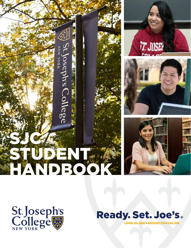



**TT. JUSEF** 





**Ready. Set. Joe's.** 

LONG ISLAND · BROOKLYN · ONLINE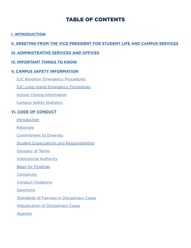## TABLE OF CONTENTS

## **[I. INTRODUCTION](#page-3-0)**

## **[II. GREETING FROM THE VICE PRESIDENT FOR STUDENT LIFE AND CAMPUS SERVICES](#page-4-0)**

### **[III. ADMINISTRATIVE SERVICES AND OFFICES](#page-8-0)**

## **[IV. IMPORTANT THINGS TO KNOW](#page-14-0)**

### **[V. CAMPUS SAFETY INFORMATION](#page-19-0)**

- [SJC Brooklyn Emergency Procedures](#page-19-0)
- [SJC Long Island Emergency Procedures](#page-24-0)
- [School Closing Information](#page-33-0)
- [Campus Safety Statistics](#page-33-0)

### **[VI. CODE OF CONDUCT](#page-34-0)**

- **[Introduction](#page-34-0)**
- **[Rationale](#page-34-0)**
- [Commitment to Diversity](#page-34-0)
- [Student Expectations and Responsibilities](#page-35-0)
- [Glossary of Terms](#page-38-0)
- [Institutional Authority](#page-35-0)
- [Basis for Findings](#page-38-0)
- **[Complicity](#page-38-0)**
- [Conduct Violations](#page-40-0)
- **[Sanctions](#page-46-0)**
- [Standards of Fairness in Disciplinary Cases](#page-48-0)
- [Adjudication of Disciplinary Cases](#page-50-0)
- [Appeals](#page-53-0)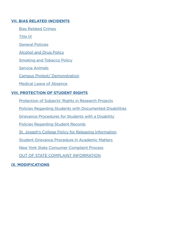## **[VII. BIAS RELATED INCIDENTS](#page-54-0)**

[Bias Related Crimes](#page-54-0)

[Title IX](#page-54-0)

[General Policies](#page-100-0)

[Alcohol and Drug Policy](#page-100-0)

[Smoking and Tobacco Policy](#page-104-0)

[Service Animals](#page-104-0)

[Campus Protest/ Demonstration](#page-106-0)

[Medical Leave of Absence](#page-107-0)

### **[VIII. PROTECTION OF STUDENT RIGHTS](#page-109-0)**

[Protection of Subjects' Rights in Research Projects](#page-109-0)

[Policies Regarding Students with Documented Disabilities](#page-109-0)

[Grievance Procedures for Students with a Disability](#page-111-0)

[Policies Regarding Student Records](#page-111-0)

[St. Joseph's College Policy for Releasing Information](#page-112-0)

[Student Grievance Procedure in Academic Matters](#page-113-0)

[New York State Consumer Complaint Process](#page-113-0)

[OUT OF STATE COMPLAINT INFORMATION](#page-114-0)

### **[IX. MODIFICATIONS](#page-115-0)**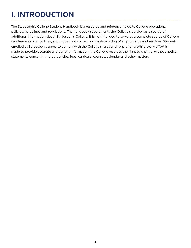# <span id="page-3-0"></span>**I. INTRODUCTION**

The St. Joseph's College Student Handbook is a resource and reference guide to College operations, policies, guidelines and regulations. The handbook supplements the College's catalog as a source of additional information about St. Joseph's College. It is not intended to serve as a complete source of College requirements and policies, and it does not contain a complete listing of all programs and services. Students enrolled at St. Joseph's agree to comply with the College's rules and regulations. While every effort is made to provide accurate and current information, the College reserves the right to change, without notice, statements concerning rules, policies, fees, curricula, courses, calendar and other matters.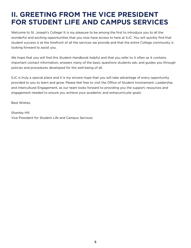## <span id="page-4-0"></span>**II. GREETING FROM THE VICE PRESIDENT FOR STUDENT LIFE AND CAMPUS SERVICES**

Welcome to St. Joseph's College! It is my pleasure to be among the first to introduce you to all the wonderful and exciting opportunities that you now have access to here at SJC. You will quickly find that student success is at the forefront of all the services we provide and that the entire College community is looking forward to assist you.

We hope that you will find this Student Handbook helpful and that you refer to it often as it contains important contact information, answers many of the basic questions students ask, and guides you through policies and procedures developed for the well-being of all.

SJC is truly a special place and it is my sincere hope that you will take advantage of every opportunity provided to you to learn and grow. Please feel free to visit the Office of Student Involvement, Leadership and Intercultural Engagement, as our team looks forward to providing you the support, resources and engagement needed to ensure you achieve your academic and extracurricular goals.

Best Wishes,

Shantey Hill Vice President for Student Life and Campus Services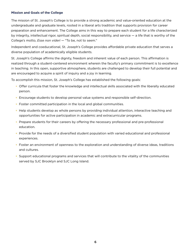#### **Mission and Goals of the College**

The mission of St. Joseph's College is to provide a strong academic and value-oriented education at the undergraduate and graduate levels, rooted in a liberal arts tradition that supports provision for career preparation and enhancement. The College aims in this way to prepare each student for a life characterized by integrity, intellectual rigor, spiritual depth, social responsibility, and service — a life that is worthy of the College's motto, *Esse non videri* — "To be, not to seem."

Independent and coeducational, St. Joseph's College provides affordable private education that serves a diverse population of academically eligible students.

St. Joseph's College affirms the dignity, freedom and inherent value of each person. This affirmation is realized through a student-centered environment wherein the faculty's primary commitment is to excellence in teaching. In this open, supportive atmosphere, students are challenged to develop their full potential and are encouraged to acquire a spirit of inquiry and a joy in learning.

To accomplish this mission, St. Joseph's College has established the following goals:

- Offer curricula that foster the knowledge and intellectual skills associated with the liberally educated person.
- Encourage students to develop personal value systems and responsible self-direction.
- Foster committed participation in the local and global communities.
- Help students develop as whole persons by providing individual attention, interactive teaching and opportunities for active participation in academic and extracurricular programs.
- Prepare students for their careers by offering the necessary professional and pre-professional education.
- Provide for the needs of a diversified student population with varied educational and professional experiences.
- Foster an environment of openness to the exploration and understanding of diverse ideas, traditions and cultures.
- Support educational programs and services that will contribute to the vitality of the communities served by SJC Brooklyn and SJC Long Island.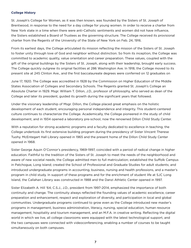#### **College History**

St. Joseph's College for Women, as it was then known, was founded by the Sisters of St. Joseph of Brentwood, in response to the need for a day college for young women. In order to receive a charter from New York state in a time when there were anti-Catholic sentiments and women did not have influence, the Sisters established a Board of Trustees as the governing structure. The College received its provisional charter from the Regents of the University of the State of New York on Feb. 24, 1916.

From its earliest days, the College articulated its mission reflecting the mission of the Sisters of St. Joseph to foster unity through love of God and neighbor without distinction. So from its inception, the College was committed to academic quality, value orientation and career preparation. These values, coupled with the gift of the original buildings by the Sisters of St. Joseph, along with their leadership, brought early success. The College quickly outgrew its original facilities at 286 Washington Ave. In 1918, the College moved to its present site at 245 Clinton Ave., and the first baccalaureate degrees were conferred on 12 graduates on

June 17, 1920. The College was accredited in 1928 by the Commission on Higher Education of the Middle States Association of Colleges and Secondary Schools. The Regents granted St. Joseph's College an Absolute Charter in 1929. Msgr. William T. Dillon, J.D., professor of philosophy, who served as dean of the College and later its president, guided its growth during the significant years that followed.

Under the visionary leadership of Msgr. Dillon, the College placed great emphasis on the holistic development of each student, encouraging personal independence and integrity. This student-centered culture continues to characterize the College. Academically, the College pioneered in the study of child development, and in 1934 opened a laboratory pre-school, now the renowned Dillon Child Study Center.

With a reputation for strong academic programs and a faculty dedicated to excellence in teaching, the College undertook its first extensive building program during the presidency of Sister Vincent Therese Tuohy. McEntegart Hall Library opened in 1965 and the present home of the Dillon Child Study Center opened in 1968.

Sister George Aquin O'Connor's presidency, 1969-1997, coincided with a period of radical change in higher education. Faithful to the tradition of the Sisters of St. Joseph to meet the needs of the neighborhood and aware of new societal needs, the College admitted men to full matriculation; established the Suffolk Campus in Patchogue, Long Island; created the School of Professional and Graduate Studies for adult students; and introduced undergraduate programs in accounting, business, nursing and health professions, and a master's program in child study. In support of these programs and for the enrichment of student life at SJC Long Island, the Callahan Library was constructed in 1988 and the Danzi Athletic Center opened in 1997.

Sister Elizabeth A. Hill '64, C.S.J., J.D., president from 1997-2014, emphasized the importance of both continuity and change. The continuity always reflected the founding values of academic excellence, career preparation and enhancement, respect and exploration of diversity, and participation in local and global communities. Undergraduate programs continued to grow even as the College introduced new master's programs in management, business administration, literacy, nursing, special education, human resource management, hospitality and tourism management, and an M.F.A. in creative writing. Reflecting the digital world in which we live, all college classrooms were equipped with the latest technological support, and the two campuses were connected with videoconferencing, enabling a number of courses to be taught simultaneously on both campuses.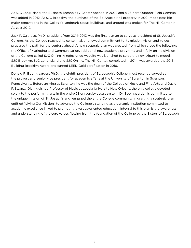At SJC Long Island, the Business Technology Center opened in 2002 and a 25-acre Outdoor Field Complex was added in 2012. At SJC Brooklyn, the purchase of the St. Angela Hall property in 2001 made possible major renovations in the College's landmark-status buildings, and ground was broken for The Hill Center in August 2012.

Jack P. Calareso, Ph.D., president from 2014-2017, was the first layman to serve as president of St. Joseph's College. As the College reached its centennial, a renewed commitment to its mission, vision and values prepared the path for the century ahead. A new strategic plan was created, from which arose the following: the Office of Marketing and Communication, additional new academic programs and a fully online division of the College called SJC Online. A redesigned website was launched to serve the new tripartite model: SJC Brooklyn, SJC Long Island and SJC Online. The Hill Center, completed in 2014, was awarded the 2015 Building Brooklyn Award and earned LEED Gold certification in 2016.

Donald R. Boomgaarden, Ph.D., the eighth president of St. Joseph's College, most recently served as the provost and senior vice president for academic affairs at the University of Scranton in Scranton, Pennsylvania. Before arriving at Scranton, he was the dean of the College of Music and Fine Arts and David P. Swanzy Distinguished Professor of Music at Loyola University New Orleans, the only college devoted solely to the performing arts in the entire 28-university Jesuit system. Dr. Boomgaarden is committed to the unique mission of St. Joseph's and engaged the entire College community in drafting a strategic plan entitled "Living Our Mission" to advance the College's standing as a dynamic institution committed to academic excellence linked to promoting a values-oriented education. Integral to this plan is the awareness and understanding of the core values flowing from the foundation of the College by the Sisters of St. Joseph.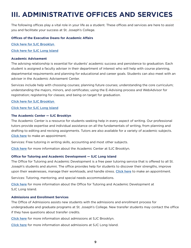## <span id="page-8-0"></span>**III. ADMINISTRATIVE OFFICES AND SERVICES**

The following offices play a vital role in your life as a student. These offices and services are here to assist you and facilitate your success at St. Joseph's College.

#### **Offices of the Executive Deans for Academic Affairs**

Click here for [SJC Brooklyn](https://mysjc.sjcny.edu/academics/deans/deanbk/Pages/default.aspx) 

Click here for [SJC Long Island](https://mysjc.sjcny.edu/academics/deans/deanli/Pages/default.aspx)

#### **Academic Advisement**

The advising relationship is essential for students' academic success and persistence to graduation. Each student is assigned a faculty adviser in their department of interest who will help with course planning, departmental requirements and planning for educational and career goals. Students can also meet with an adviser in the Academic Advisement Center.

Services include help with choosing courses; planning future courses; understanding the core curriculum; understanding the majors, minors, and certificates; using the E-Advising process and WebAdvisor for registration; registering for classes; and being on target for graduation.

#### Click here for [SJC Brooklyn](https://mysjc.sjcny.edu/academics/acc/aacbk/Pages/default.aspx)

#### Click here for [SJC Long Island](https://mysjc.sjcny.edu/academics/acc/aacli/Pages/default.aspx)

#### **The Academic Center — SJC Brooklyn**

The Academic Center is a resource for students seeking help in every aspect of writing. Our professional tutors provide expertise and individual assistance on all the fundamentals of writing, from planning and drafting to editing and revising assignments. Tutors are also available for a variety of academic subjects. [Click here](https://sjcbrooklyn.mywconline.com/index.php?msg=BACK_ADMIN) to make an appointment.

Services: Free tutoring in writing skills, accounting and most other subjects.

[Click here](https://mysjc.sjcny.edu/academics/academiccenter/Pages/default.aspx) for more information about the Academic Center at SJC Brooklyn.

#### **Office for Tutoring and Academic Development — SJC Long Island**

The Office for Tutoring and Academic Development is a free peer tutoring service that is offered to all St. Joseph's students and alumni. The office provides help for students to discover their strengths, improve upon their weaknesses, manage their workloads, and handle stress. [Click here](https://sjcny.mywconline.com) to make an appointment.

Services: Tutoring, mentoring, and special needs accommodations.

[Click here](https://mysjc.sjcny.edu/academics/academiccenterli/Pages/About-the-Center.aspx) for more information about the Office for Tutoring and Academic Development at SJC Long Island.

#### **Admissions and Enrollment Services**

The Office of Admissions assists new students with the admissions and enrollment process for undergraduate and graduate programs at St. Joseph's College. New transfer students may contact the office if they have questions about transfer credits.

[Click here](https://www.sjcny.edu/brooklyn/admissions) for more information about admissions at SJC Brooklyn.

[Click here](https://www.sjcny.edu/long-island/admissions) for more information about admissions at SJC Long Island.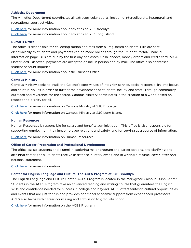#### **Athletics Department**

The Athletics Department coordinates all extracurricular sports, including intercollegiate, intramural, and recreational sport activities.

[Click here](https://www.sjcbears.com) for more information about athletics at SJC Brooklyn. [Click here](https://www.sjcgoldeneagles.com) for more information about athletics at SJC Long Island.

#### **Bursar's Office**

The office is responsible for collecting tuition and fees from all registered students. Bills are sent electronically to students and payments can be made online through the Student Portal/Financial Information page. Bills are due by the first day of classes. Cash, checks, money orders and credit card (VISA, MasterCard, Discover) payments are accepted online, in person and by mail. The office also addresses student account inquiries.

[Click here](https://mysjc.sjcny.edu/studentservices/bursar) for more information about the Bursar's Office.

#### **Campus Ministry**

Campus Ministry seeks to instill the College's core values of integrity, service, social responsibility, intellectual and spiritual values in order to further the development of students, faculty and staff. Through community outreach and reverence for the sacred, Campus Ministry participates in the creation of a world based on respect and dignity for all.

[Click here](https://mysjc.sjcny.edu/campuslife/campusministries/Pages/Campus-Ministries%20-%20BK.aspx) for more information on Campus Ministry at SJC Brooklyn.

[Click here](https://mysjc.sjcny.edu/campuslife/campusministries/Pages/Campus-Ministries%20-%20LI.aspx) for more information on Campus Ministry at SJC Long Island.

#### **Human Resources**

Human Resources is responsible for salary and benefits administration. This office is also responsible for supporting employment, training, employee relations and safety, and for serving as a source of information.

[Click here](https://mysjc.sjcny.edu/employeeservices/humanresources) for more information on Human Resources.

#### **Office of Career Preparation and Professional Development**

The office assists students and alumni in exploring major program and career options, and clarifying and attaining career goals. Students receive assistance in interviewing and in writing a resume, cover letter and personal statement.

[Click here](https://mysjc.sjcny.edu/campuslife/career/Pages/Mission.aspx) for more information.

#### **Center for English Language and Culture: The ACES Program at SJC Brooklyn**

The English Language and Culture Center: ACES Program is located in the Marygrace Calhoun Dunn Center. Students in the ACES Program take an advanced reading and writing course that guarantees the English skills and confidence needed for success in college and beyond. ACES offers fantastic cultural opportunities and events that are just for fun and provides additional academic support from experienced professors. ACES also helps with career counseling and admission to graduate school.

[Click here](https://www.sjcny.edu/brooklyn/academics/programs-departments/aces) for more information on the ACES Program.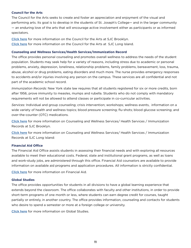#### **Council for the Arts**

The Council for the Arts seeks to create and foster an appreciation and enjoyment of the visual and performing arts. Its goal is to develop in the students of St. Joseph's College— and in the larger community — an enduring love of the arts that will encourage active involvement either as participants or as informed spectators.

[Click here](https://www.sjcny.edu/brooklyn/student-life/council-for-the-arts) for more information on the Council for the Arts at SJC Brooklyn. [Click here](https://www.sjcny.edu/long-island/student-life/council-for-the-arts) for more information on the Council for the Arts at SJC Long Island.

#### **Counseling and Wellness Services/Health Services/Immunization Record**

The office provides personal counseling and promotes overall wellness to address the needs of the student population. Students may seek help for a variety of reasons, including stress due to academic or personal problems, anxiety, depression, loneliness, relationship problems, family problems, bereavement, loss, trauma, abuse, alcohol or drug problems, eating disorders and much more. The nurse provides emergency responses to accidents and/or injuries involving any person on the campus. These services are all confidential and not part of the academic school record.

*Immunization Records:* New York state law requires that all students registered for six or more credits, born after 1956, prove immunity to measles, mumps and rubella. Students who do not comply with mandatory requirements will not be allowed to attend classes or participate in co-curricular activities.

*Services:* Individual and group counseling; crisis intervention; workshops; wellness events, information on a wide variety of health and wellness topics; blood pressure screening; flu-shots; blood glucose screening; and over-the-counter (OTC) medications.

[Click here](https://mysjc.sjcny.edu/campuslife/bkwellness/Pages/Welcome.aspx) for more information on Counseling and Wellness Services/ Health Services / Immunization Records at SJC Brooklyn.

[Click here](https://mysjc.sjcny.edu/campuslife/cfw/Pages/The%20Center%20for%20Counseling%20and%20Wellness-Long%20Island.aspx) for more information on Counseling and Wellness Services/ Health Services / Immunization Records at SJC Long Island:

#### **Financial Aid Office**

The Financial Aid Office assists students in assessing their financial needs and with exploring all resources available to meet their educational costs. Federal, state and institutional grant programs, as well as loans and work-study jobs, are administered through this office. Financial Aid counselors are available to provide information on available aid programs and application procedures. All information is strictly confidential.

[Click here](https://mysjc.sjcny.edu/studentservices/financialaid) for more information on Financial Aid.

#### **Global Studies**

The office provides opportunities for students in all divisions to have a global learning experience that extends beyond the classroom. The office collaborates with faculty and other institutions, in order to provide short-term programs of one month or less, where students can earn degree credit for courses, taught partially or entirely, in another country. The office provides information, counseling and contacts for students who desire to spend a semester or more at a foreign college or university.

[Click here](https://www.sjcny.edu/globalstudies) for more information on Global Studies.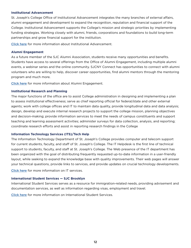#### **Institutional Advancement**

St. Joseph's College Office of Institutional Advancement integrates the many branches of external affairs, alumni engagement and development to expand the recognition, reputation and financial support of the College. Institutional Advancement supports the College's mission and strategic priorities by implementing funding strategies. Working closely with alumni, friends, corporations and foundations to build long-term partnerships and grow financial support for the institution.

[Click here](https://mysjc.sjcny.edu/collegeresources/oia/Pages/default.aspx) for more information about Institutional Advancement.

#### **Alumni Engagement**

As a future member of the SJC Alumni Association, students receive many opportunities and benefits. Students have access to several offerings from the Office of Alumni Engagement, including multiple alumni events, a webinar series and the online community. SJCNY Connect has opportunities to connect with alumni volunteers who are willing to help, discover career opportunities, find alumni mentors through the mentoring program and much more.

[Click here](https://www.sjcny.edu/alumni) for more information about Alumni Engagement.

#### **Institutional Research and Planning**

The major functions of the office are to assist College administration in designing and implementing a plan to assess institutional effectiveness; serve as chief reporting official for federal/state and other external agents; work with college offices and IT to maintain data quality, provide longitudinal data and data analysis; design, develop and execute internal research projects to support the college mission, planning objectives and decision-making; provide information services to meet the needs of campus constituents and support teaching and learning assessment activities; administer surveys for data collection, analysis, and reporting; coordinate research efforts and assist in reporting research findings in the College

#### **Information Technology Services (ITS)/Tech Help**

The Information Technology Department of St. Joseph's College provides computer and telecom support for current students, faculty, and staff of St. Joseph's College. The IT Helpdesk is the first line of technical support to students, faculty, and staff at St. Joseph's College. The Web presence of the IT department has been organized with the goal of distributing frequently requested up-to-date information in a user-friendly layout, while seeking to expand the knowledge base with quality improvements. Their web pages will answer your technical questions, provide links to services, and provide updates on crucial technology developments.

[Click here](https://mysjc.sjcny.edu/itservices) for more information on IT services.

#### **International Student Services — SJC Brooklyn**

International Student Services serves as a resource for immigration-related needs, providing advisement and documentation services, as well as information regarding visas, employment and travel.

[Click here](https://mysjc.sjcny.edu/campuslife/studentlife/cocurricularactivitiesbk/Pages/International-Student-Information.aspx) for more information on International Student Services.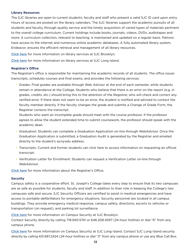#### **Library Resources**

The SJC libraries are open to current students, faculty and staff who present a valid SJC ID card upon entry. Hours of access are posted on the library calendars. The SJC libraries support the academic pursuits of all students and faculty, through quality service and the timely acquisition of varied types of materials pertinent to the overall college curriculum. Current holdings include books, journals, videos, DVDs, audiotapes and more. A curriculum collection, relevant to teaching, is maintained and updated on a regular basis. Patrons have access to the internet and numerous online academic databases. A fully automated library system, Endeavor, ensures the efficient retrieval and management of all library resources.

[Click here](https://www.sjcny.edu/brooklyn/library) for more information on library services at SJC Brooklyn.

[Click here](https://www.sjcny.edu/libraries) for more information on library services at SJC Long Island.

#### **Registrar's Office**

The Registrar's office is responsible for maintaining the academic records of all students. The office issues transcripts, schedules courses and final exams, and provides the following services:

• Grades: Final grades are available through Web Advisor at the end of each semester, while students remain in attendance at the College. Students who believe that there is an error on the report (e.g. in grades, credits, etc.) should bring this to the attention of the Registrar, who will check and correct any verified error. If there does not seem to be an error, the student is notified and advised to contact the faculty member directly. If the faculty changes the grade and submits a Change of Grade Form, the Registrar corrects the transcript.

Students who want an incomplete grade should meet with the course professor. If the professor agrees to allow the student extended time to submit coursework, the professor should speak with the academic dean.

- Graduation: Students can complete a Graduation Application on-line through WebAdvisor. Once the Graduation Application is submitted, a Graduation Audit is generated by the Registrar and emailed directly to the student's sjcny.edu address.
- Transcripts: Current and former students can click here to access information on requesting an official transcript.
- Verification Letter for Enrollment: Students can request a Verification Letter on-line through WebAdvisor.

[Click here](https://mysjc.sjcny.edu/studentservices/regsitrar) for more information about the Registrar's Office.

#### **Security**

Campus safety is a cooperative effort. St. Joseph's College takes every step to ensure that its two campuses are as safe as possible for students, faculty and staff. In addition to their role in keeping the College's two campuses safe and secure, SJC Security Officers are certified to assist in medical emergencies and have access to portable defibrillators for emergency situations. Security personnel are located in all campus buildings. They provide emergency medical response, campus safety, directions, escorts to vehicles or transportation (on request), and parking lot surveillance.

[Click here](https://mysjc.sjcny.edu/collegeresources/security/bk) for more information on Campus Security at SJC Brooklyn.

Contact Security directly by calling 718.940.5741 or 646.208.4597 (24-hour hotline) or dial "6" from any campus phone.

[Click here](https://mysjc.sjcny.edu/collegeresources/security/li) for more information on Campus Security at SJC Long Island. Contact SJC Long Island security directly by calling 631.687.2424 (24-hour hotline) or dial "3" from any campus phone or use any Blue Call Box.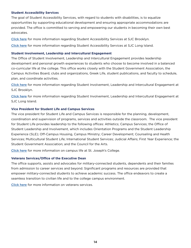#### **Student Accessibility Services**

The goal of Student Accessibility Services, with regard to students with disabilities, is to equalize opportunities by supporting educational development and ensuring appropriate accommodations are provided. The office is committed to serving and empowering our students in becoming their own best advocates.

[Click here](https://www.sjcny.edu/brooklyn/academics/student-success-services/accessibility-services) for more information regarding Student Accessibility Services at SJC Brooklyn.

[Click here](https://www.sjcny.edu/long-island/student-life/student-services/student-accessibility-services) for more information regarding Student Accessibility Services at SJC Long Island.

#### **Student Involvement, Leadership and Intercultural Engagement**

The Office of Student Involvement, Leadership and Intercultural Engagement provides leadership development and personal growth experiences to students who choose to become involved in a balanced co-curricular life at the college. This office works closely with the Student Government Association, the Campus Activities Board, clubs and organizations, Greek Life, student publications, and faculty to schedule, plan, and coordinate activities.

[Click here](https://mysjc.sjcny.edu/campuslife/studentlife/cocurricularactivitiesbk) for more information regarding Student Involvement, Leadership and Intercultural Engagement at SJC Brooklyn.

[Click here](https://mysjc.sjcny.edu/campuslife/studentlife/cocurricularactivities/Pages/studentlife-LI.aspx) for more information regarding Student Involvement, Leadership and Intercultural Engagement at SJC Long Island.

#### **Vice President for Student Life and Campus Services**

The vice president for Student Life and Campus Services is responsible for the planning, development, coordination and supervision of programs, services and activities outside the classroom. The vice president for Student Life provides leadership to the following offices: Athletics; Campus Services; the Office of Student Leadership and Involvement, which includes Orientation Programs and the Student Leadership Experience (SLE); Off-Campus Housing, Campus Ministry; Career Development; Counseling and Health Services; Multicultural Student Life; International Student Services; Judicial Affairs; First Year Experience; the Student Government Association; and the Council for the Arts.

[Click here](https://mysjc.sjcny.edu/campuslife/Pages/default.aspx) for more information on campus life at St. Joseph's College.

#### **Veterans Services/Office of the Executive Dean**

The office supports, assists and advocates for military-connected students, dependents and their families from admission to career services and beyond. Significant programs and resources are provided that empower military-connected students to achieve academic success. The office endeavors to create a seamless transition to civilian life and to the college campus environment.

[Click here](https://mysjc.sjcny.edu/studentservices/military/Pages/default.aspx) for more information on veterans services.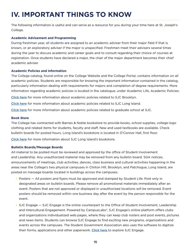## <span id="page-14-0"></span>**IV. IMPORTANT THINGS TO KNOW**

The following information is useful and can serve as a resource for you during your time here at St. Joseph's College.

#### **Academic Advisement and Programming**

During freshman year, all students are assigned to an academic adviser from their major field if that is known, or an exploratory adviser if the major is unspecified. Freshmen meet their advisers several times during the year to discuss academic and career goals and to consult regarding their choice of courses at registration. Once students have declared a major, the chair of the major department becomes their chief academic adviser.

#### **Academic Policies and Information**

The College catalog, found online on the College Website and the College Portal, contains information on all academic policies. Students are responsible for knowing the important information contained in the catalog, particularly information dealing with requirements for majors and completion of degree requirements. More information regarding academic policies is located in the catalogue, under Academic Life, Academic Policies:

[Click here](https://catalog.sjcny.edu/content.php?catoid=17&navoid=769#Academic_Policies) for more information about academic policies related to SJC Brooklyn.

[Click here](https://catalog.sjcny.edu/content.php?catoid=17&navoid=771#Academic_Policies) for more information about academic policies related to SJC Long Island.

[Click here](https://catalog.sjcny.edu/content.php?catoid=18&navoid=848#Academic_Policies) for more information about academic policies related to graduate school at SJC.

#### **Book Store**

The College has contracted with Barnes & Noble bookstore to provide books, school supplies, college-logo clothing and related items for students, faculty and staff. New and used textbooks are available. Check bulletin boards for posted hours. Long Island's bookstore is located in O'Connor Hall, first floor.

[Click here](https://www.sjcny.edu/directory/faculty/barnes-and-noble-bookstore) for more information about SJC Long Island's bookstore.

#### **Bulletin Boards/Message Boards**

All material to be posted must be reviewed and approved by the office of Student Involvement and Leadership. Any unauthorized material may be removed from any bulletin board. SGA notices, announcements of meetings, club activities, dances, class business and cultural activities happening in the areas near the College's two physical campuses in Clinton Hill, Brooklyn, and Patchogue, Long Island, are posted on message boards located in buildings across the campuses.

- Posters All posters and flyers must be approved and stamped by Student Life. Post only in designated areas on bulletin boards. Please remove all promotional materials immediately after an event. Posters that are not approved or displayed in unauthorized locations will be removed. Event posters should be removed within one business day after the event by the person responsible for the event.
- SJC Engage SJC Engage is the online counterpart to the Office of Student Involvement, Leadership and Intercultural Engagement. Powered by CampusLabs®, SJC Engage's online platform offers clubs and organizations individualized web pages, where they can keep club rosters and post events, pictures and news items. Students can browse SJC Engage to find exciting new programs, organizations and events across the campuses. The Student Government Association also uses the software to digitize their forms, applications and other paperwork. [Click here](https://engage.sjcny.edu) to explore SJC Engage.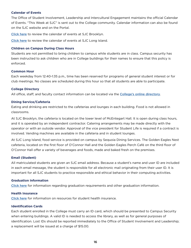#### **Calendar of Events**

The Office of Student Involvement, Leadership and Intercultural Engagement maintains the official Calendar of Events. "This Week at SJC" is sent out to the College community. Calendar information can also be found on the SJC website and on the Portal.

[Click here](https://mysjc.sjcny.edu/campuslife/studentlife/cocurricularactivitiesbk/Pages/Upcoming--Events.aspx) to review the calendar of events at SJC Brooklyn.

[Click here](https://mysjc.sjcny.edu/campuslife/studentlife/cocurricularactivities/Pages/Events-Calendar.aspx) to review the calendar of events at SJC Long Island.

#### **Children on Campus During Class Hours**

Students are not permitted to bring children to campus while students are in class. Campus security has been instructed to ask children who are in College buildings for their names to ensure that this policy is enforced.

#### **Common Hour**

Each weekday from 12:40-1:35 p.m., time has been reserved for programs of general student interest or for club meetings. No classes are scheduled during this hour so that all students are able to participate.

#### **College Directory**

All office, staff, and faculty contact information can be located via the [College's online directory](https://www.sjcny.edu/about/faculty-staff-directory).

#### **Dining Service/Cafeteria**

Eating and drinking are restricted to the cafeterias and lounges in each building. Food is not allowed in classrooms.

At SJC Brooklyn, the cafeteria is located on the lower level of McEntegart Hall. It is open during class hours, and it is operated by an independent contractor. Catering arrangements may be made directly with the operator or with an outside vendor. Approval of the vice president for Student Life is required if a contract is involved. Vending machines are available in the cafeteria and in student lounges.

At SJC Long Island, food service is provided on campus by Sequoia Dining Services. The Golden Eagles Nest cafeteria, located on the first floor of O'Connor Hall and the Golden Eagles Perch Café on the third floor of O'Connor Hall offer a variety of beverages and foods, made and baked fresh on the premises.

#### **Email (Student)**

All matriculated students are given an SJC email address. Because a student's name and user ID are included in each email message, the student is responsible for all electronic mail originating from their user ID. It is important for all SJC students to practice responsible and ethical behavior in their computing activities.

#### **Graduation Information**

[Click here](https://mysjc.sjcny.edu/studentservices/graduation/Pages/default.aspx) for information regarding graduation requirements and other graduation information.

#### **Health Insurance**

[Click here](https://www.sjcny.edu/long-island/student-life/student-services/counseling-and-wellness-center/wellness) for information on resources for student health insurance.

#### **Identification Cards**

Each student enrolled in the College must carry an ID card, which should be presented to Campus Security when entering buildings. A valid ID is needed to access the library, as well as for general purposes of identification. Lost IDs should be reported immediately to the Office of Student Involvement and Leadership; a replacement will be issued at a charge of \$15.00.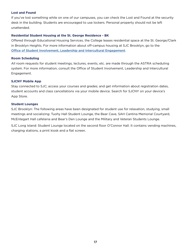#### **Lost and Found**

If you've lost something while on one of our campuses, you can check the Lost and Found at the security desk in the building. Students are encouraged to use lockers. Personal property should not be left unattended.

#### **Residential Student Housing at the St. George Residence - BK**

Offered through Educational Housing Services, the College leases residential space at the St. George/Clark in Brooklyn Heights. For more information about off-campus housing at SJC Brooklyn, go to the [Office of Student Involvement, Leadership](https://www.sjcny.edu/brooklyn/student-life/housing) and Intercultural Engagement.

#### **Room Scheduling**

All room requests for student meetings, lectures, events, etc. are made through the ASTRA scheduling system. For more information, consult the Office of Student Involvement, Leadership and Intercultural Engagement.

#### **SJCNY Mobile App**

Stay connected to SJC; access your courses and grades; and get information about registration dates, student accounts and class cancellations via your mobile device. Search for SJCNY on your device's App Store.

#### **Student Lounges**

SJC Brooklyn: The following areas have been designated for student use for relaxation, studying, small meetings and socializing: Tuohy Hall Student Lounge, the Bear Cave, SAH Cantina Memorial Courtyard, McEntegart Hall cafeteria and Bear's Den Lounge and the Military and Veteran Students Lounge.

SJC Long Island: Student Lounge located on the second floor O'Connor Hall. It contains vending machines, charging stations, a print kiosk and a flat screen.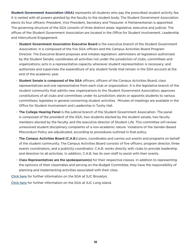**Student Government Association (SGA)** represents all students who pay the prescribed student activity fee. It is vested with all powers granted by the faculty to the student body. The Student Government Association elects its four officers: President, Vice President, Secretary and Treasurer. A Parliamentarian is appointed. The governing structure of the SGA consists of three distinct areas: legislative, executive and judicial. The offices of the Student Government Association are located in the Office for Student Involvement, Leadership and Intercultural Engagement.

- Student Government Association Executive Board is the executive branch of the Student Government Association. It is composed of the five SGA officers and the Campus Activities Board Program Director. The Executive Board proposes and initiates legislation; administers all legislation authorized by the Student Senate; coordinates all activities not under the jurisdiction of clubs, committees and organizations; acts in a representative capacity whenever student representation is necessary; and authorizes and supervises the expenditure of any student funds that remain in the SGA account at the end of the academic year.
- Student Senate is composed of the SGA officers; officers of the Campus Activities Board; class representatives and one representative from each club or organization. It is the legislative branch of the student community that admits new organizations to the Student Government Association; approves constitutions of all clubs and committees under its jurisdiction; elects or appoints students to various committees; legislates in general concerning student activities. Minutes of meetings are available in the Office for Student Involvement and Leadership in Tuohy Hall.
- The College Hearing Panel is the judicial branch of the Student Government Association. The panel is composed of the president of the SGA, two students elected by the student senate, two faculty members elected by the faculty, and the executive director of Student Life. This committee will review unresolved student disciplinary complaints of a non-academic nature. Violations of the Gender-Based Misconduct Policy are adjudicated, according to procedures outlined in that policy.
- The Campus Activities Board (C.A.B.) plans, coordinates and carries out events and programs on behalf of the student community. The Campus Activities Board consists of five officers: program director, three events coordinators, and a publicity coordinator. C.A.B. works directly with clubs to provide leadership and direction to all activities. In addition, C.A.B. has its own staff to assist with their events.
- Class Representatives are the spokesperson(s) for their respective classes. In addition to representing the opinions of their classmates and serving on the Budget Committee, they have the responsibility of planning and implementing activities associated with their class.

[Click here](https://mysjc.sjcny.edu/campuslife/studentlife/cocurricularactivitiesbk/Pages/Student-Leaders-(2011-2012).aspx) for further information on the SGA at SJC Brooklyn.

[Click here](https://mysjc.sjcny.edu/campuslife/studentlife/cocurricularactivities/Pages/SGA.aspx) for further information on the SGA at SJC Long Island.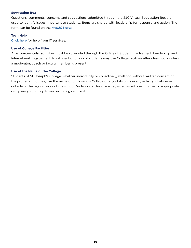#### **Suggestion Box**

Questions, comments, concerns and suggestions submitted through the SJC Virtual Suggestion Box are used to identify issues important to students. Items are shared with leadership for response and action. The form can be found on the [MySJC Portal](https://mysjc.sjcny.edu/studentservices/Suggestion/Pages/default.aspx).

#### **Tech Help**

[Click here](https://mysjc.sjcny.edu/itservices/student/Pages/ITS-Help-Desk.aspx) for help from IT services.

#### **Use of College Facilities**

All extra-curricular activities must be scheduled through the Office of Student Involvement, Leadership and Intercultural Engagement. No student or group of students may use College facilities after class hours unless a moderator, coach or faculty member is present.

#### **Use of the Name of the College**

Students of St. Joseph's College, whether individually or collectively, shall not, without written consent of the proper authorities, use the name of St. Joseph's College or any of its units in any activity whatsoever outside of the regular work of the school. Violation of this rule is regarded as sufficient cause for appropriate disciplinary action up to and including dismissal.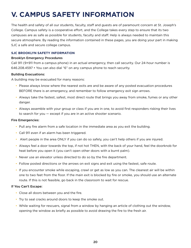## <span id="page-19-0"></span>**V. CAMPUS SAFETY INFORMATION**

The health and safety of all our students, faculty, staff and guests are of paramount concern at St. Joseph's College. Campus safety is a cooperative effort, and the College takes every step to ensure that its two campuses are as safe as possible for students, faculty and staff. Help is always needed to maintain this secure atmosphere. By reading the information contained in these pages, you are doing your part in making SJC a safe and secure college campus.

#### **SJC BROOKLYN SAFETY INFORMATION**

#### Brooklyn Emergency Procedures

Call 911 (9+911 from a campus phone) in an actual emergency, then call security. Our 24-hour number is 646.208.4597 • You can also dial "6" on any campus phone to reach security.

#### Building Evacuations:

A building may be evacuated for many reasons:

- Please always know where the nearest exits are and be aware of any posted evacuation procedures BEFORE there is an emergency, and remember to follow emergency exit sign arrows.
- Always take the fastest, safest, most direct route that brings you away from smoke, fumes or any other danger.
- Always assemble with your group or class if you are in one, to avoid first responders risking their lives to search for you — except if you are in an active shooter scenario.

#### Fire Emergencies:

- Pull any fire alarm from a safe location in the immediate area as you exit the building.
- Call 911 even if an alarm has been triggered.
- Alert people in the area ONLY if you can do so safely, you can't help others if you are injured.
- Always feel a door towards the top, if not hot THEN, with the back of your hand, feel the doorknob for heat before you open it (you can't open other doors with a burnt palm).
- Never use an elevator unless directed to do so by the fire department.
- Follow posted directions or the arrows on exit signs and exit using the fastest, safe route.
- If you encounter smoke while escaping, crawl or get as low as you can. The cleanest air will be within one to two feet from the floor. If the main exit is blocked by fire or smoke, you should use an alternate route. If this is not feasible, go back in the classroom to wait for rescue.

#### If You Can't Escape:

- Close all doors between you and the fire.
- Try to seal cracks around doors to keep the smoke out.
- While waiting for rescuers, signal from a window by hanging an article of clothing out the window, opening the window as briefly as possible to avoid drawing the fire to the fresh air.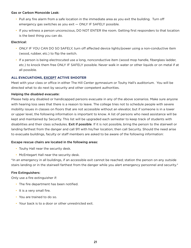#### Gas or Carbon Monoxide Leak:

- Pull any fire alarm from a safe location in the immediate area as you exit the building. Turn off emergency gas switches as you exit — ONLY IF SAFELY possible.
- If you witness a person unconscious, DO NOT ENTER the room. Getting first responders to that location is the best thing you can do.

#### Electrical:

- ONLY IF YOU CAN DO SO SAFELY, turn off affected device lights/power using a non-conductive item (wood, rubber, etc.) to flip the switch.
- If a person is being electrocuted use a long, nonconductive item (wood mop handle, fiberglass ladder, etc.) to knock them free ONLY IF SAFELY possible. Never walk in water or other liquids or on metal if at all possible.

#### **ALL EVACUATIONS, EXCEPT ACTIVE SHOOTER**

Meet with your class or office in either The Hill Center gymnasium or Touhy Hall's auditorium. You will be directed what to do next by security and other competent authorities.

#### Helping the disabled evacuate:

Please help any disabled or handicapped persons evacuate in any of the above scenarios. Make sure anyone with hearing loss sees that there is a reason to leave. The college tries not to schedule people with severe mobility issues in classes on floors that are not accessible without an elevator, but if someone is in a lower or upper level, the following information is important to know. A list of persons who need assistance will be kept and maintained by Security. This list will be upgraded each semester to keep track of students with disabilities and their class schedules. Exit if possible. If it is not possible, bring the person to the stairwell or landing farthest from the danger and call 911 with his/her location; then call Security. Should the need arise to evacuate buildings, faculty or staff members are asked to be aware of the following information:

#### Escape rescue chairs are located in the following areas:

- Touhy Hall near the security desk.
- McEntegart Hall near the security desk.

\*In an emergency in all buildings, if an accessible exit cannot be reached; station the person on any outside stairs landing or in the stairwell farthest from the danger while you alert emergency personnel and security.\*

#### Fire Extinguishers:

Only use a fire extinguisher if:

- The fire department has been notified.
- It is a very small fire.
- You are trained to do so.
- Your back is to a door or other unrestricted exit.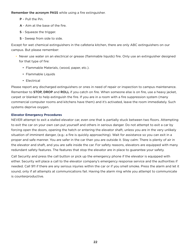Remember the acronym PASS while using a fire extinguisher.

- P Pull the Pin.
- A Aim at the base of the fire.
- S Squeeze the trigger.
- S Sweep from side to side.

Except for wet chemical extinguishers in the cafeteria kitchen, there are only ABC extinguishers on our campus. But please remember:

- Never use water on an electrical or grease (flammable liquids) fire. Only use an extinguisher designed for that type of fire:
	- Flammable Materials, (wood, paper, etc.).
	- Flammable Liquids
	- Electrical

Please report any discharged extinguishers or ones in need of repair or inspection to campus maintenance. Remember to **STOP, DROP** and ROLL if you catch on fire. When someone else is on fire, use a heavy jacket, carpet or blanket to help extinguish the fire. If you are in a room with a fire suppression system (many commercial computer rooms and kitchens have them) and it's activated, leave the room immediately. Such systems deprive oxygen.

#### **Elevator Emergency Procedures**

NEVER attempt to exit a stalled elevator car, even one that is partially stuck between two floors. Attempting to exit the car on your own can put yourself and others in serious danger. Do not attempt to exit a car by forcing open the doors, opening the hatch or entering the elevator shaft, unless you are in the very unlikely situation of imminent danger, (e.g.: a fire is quickly approaching). Wait for assistance so you can exit in a proper and safe manner. You are safer in the car than you are outside it. Stay calm: There is plenty of air in the elevator and shaft, and you are safe inside the car. For safety reasons, elevators are equipped with many redundant safety features. The features that stop the elevator are in place to guarantee your safety.

Call Security and press the call button or pick up the emergency phone if the elevator is equipped with either. Security will place a call to the elevator company's emergency response service and the authorities if needed. Call 911 if there are any serious injuries within the car or if you smell smoke. Press the alarm and let it sound, only if all attempts at communications fail. Having the alarm ring while you attempt to communicate is counterproductive.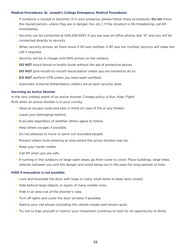#### **Medical Procedures: St. Joseph's College Emergency Medical Procedures**

- If someone is injured or becomes ill in your presence, please follow these procedures. Do not move the injured person, unless they are in danger, fire, etc.). If the situation is life threatening, call 911 immediately.
- Security can be contacted at 646.208.4597. If you are near an office phone, dial "6" and you will be connected directly to security.
- When security arrives, let them know if 911 was notified. If 911 was not notified, security will make the call if required.
- Security will be in charge until EMS arrives on the campus.
- DO NOT touch blood or bodily fluids without the aid of protective gloves.
- DO NOT give mouth-to-mouth resuscitation unless you are trained to do so.
- DO NOT perform CPR unless you have been certified.
- Automatic External Defibrillators (AEDs) are at each security desk.

#### **Surviving an Active Shooter**

In the very unlikely event of an active shooter, College policy is Run, Hide, Fight! RUN when an active shooter is in your vicinity:

- Have an escape route and plan in mind (in case of fire or any threat).
- Leave your belongings behind.
- Evacuate regardless of whether others agree to follow.
- Help others escape, if possible.
- Do not attempt to move or point out wounded people.
- Prevent others from entering an area where the active shooter may be.
- Keep your hands visible.
- Call 911 when you are safe.
- If running in the outdoors or large open areas, go from cover to cover. Place buildings, large trees, vehicles between you and the danger and avoid being out in the open for long periods of time.

#### **HIDE if evacuation is not possible:**

- Lock and blockade the door with large or many small items to keep door closed.
- Hide behind large objects or layers of many smaller ones.
- Hide in an area out of the shooter's view.
- Turn off lights and cover the door window if possible.
- Silence your cell phone (including the vibrate mode) and remain quiet.
- Try not to trap yourself or restrict your movement (continue to look for an opportunity to RUN)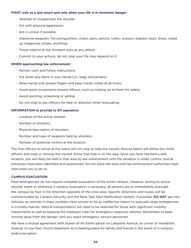#### **FIGHT only as a last resort and only when your life is in imminent danger:**

- Attempt to incapacitate the shooter.
- Act with physical aggression.
- Act in unison if possible.
- Improvise weapons: fire extinguishers, chairs, pens, pencils, rulers, scissors, staplers, keys, shoes, rolled up magazines, books, anything!
- Throw objects at the shooters eyes as you attack.
- Commit to your actions, do not stop your life may depend on it.

#### **WHEN approaching law enforcement:**

- Remain calm and follow instructions.
- Put down any items in your hands (i.e., bags and jackets).
- Raise hands and spread fingers and keep hands visible at all times.
- Avoid quick movements toward officers, such as holding on to them for safety.
- Avoid pointing, screaming or yelling.
- Do not stop to ask officers for help or direction when evacuating.

#### **INFORMATION to provide to 911 operators:**

- Location of the active shooter.
- Number of shooters.
- Physical description of shooters.
- Number and type of weapons held by shooters.
- Number of potential victims at the location.

The first officers to arrive at the scene will not stop to help the injured. Rescue teams will follow the initial officers and treat or remove the injured. Know that help is on the way! Once you have reached a safe location, you will likely be held in that area by law enforcement until the situation is under control, and all witnesses have been identified and questioned. Do not leave the area until law enforcement authorities have instructed you to do so.

#### **CAMPUS EVACUATION**

Most emergencies do not require complete evacuation of the entire campus. However, during an active shooter event or whenever a campus evacuation is necessary, all persons are to immediately evacuate the campus by foot in the direction opposite of the crisis area. Specific directions and routes will be communicated by Campus Security and the Rave Text Alert Notification System, if possible. DO NOT get into vehicles, as vehicles in mass numbers have proven to be an ineffective means to evacuate large emergencies in a timely manner. Vehicle transportation will need to be reserved for those with significant mobility impairments as well as keeping the roadways clear for emergency response vehicles. Remember to keep moving away from the danger until you reach emergency service personnel.

We have a mutual agreement with Queen of All Saints parish on Lafayette Avenue, at corner of Vanderbilt Avenue, to use their church basement as a meeting place for family and friends in the event of a campuswide evacuation.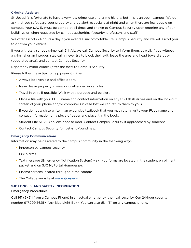#### <span id="page-24-0"></span>**Criminal Activity:**

St. Joseph's is fortunate to have a very low crime rate and crime history, but this is an open campus. We do ask that you safeguard your property and be alert, especially at night and when there are few people on campus. Your SJC ID must be carried at all times and shown to Campus Security upon entering any of our buildings or when requested by campus authorities (security, professors and staff).

We offer escorts 24 hours a day if you ever feel uncomfortable. Call Campus Security and we will escort you to or from your vehicle.

If you witness a serious crime, call 911. Always call Campus Security to inform them, as well. If you witness a criminal or an intruder; stay calm, never try to block their exit, leave the area and head toward a busy (populated area), and contact Campus Security.

Report any minor crimes (after the fact) to Campus Security.

Please follow these tips to help prevent crime:

- Always lock vehicle and office doors.
- Never leave property in view or unattended in vehicles.
- Travel in pairs if possible. Walk with a purpose and be alert.
- Place a file with your FULL name and contact information on any USB flash drives and on the lock-out screen of your phone and/or computer (in case lost we can return them to you).
- If you do not wish to write in an expensive textbook that you may return; write your FULL name and contact information on a piece of paper and place it in the book.
- Student Life NEVER solicits door to door. Contact Campus Security if approached by someone.
- Contact Campus Security for lost-and-found help.

#### **Emergency Communications**

Information may be delivered to the campus community in the following ways:

- In-person by campus security.
- Fire alarms.
- Text message (Emergency Notification System) sign-up forms are located in the student enrollment packet and on SJC MyPortal Homepage).
- Plasma screens located throughout the campus.
- The College website at [www.sjcny.edu](http://www.sjcny.edu).

#### **SJC LONG ISLAND SAFETY INFORMATION**

#### Emergency Procedures

Call 911 (9+911 from a Campus Phone) in an actual emergency, then call security. Our 24-hour security number 917.209.3625 • Any Blue Light Box • You can also dial "3" on any campus phone.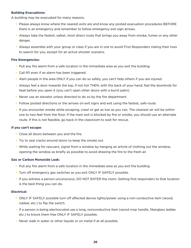#### **Building Evacuations:**

A building may be evacuated for many reasons.

- Please always know where the nearest exits are and know any posted evacuation procedures BEFORE there is an emergency and remember to follow emergency exit sign arrows.
- Always take the fastest, safest, most direct route that brings you away from smoke, fumes or any other danger.
- Always assemble with your group or class if you are in one to avoid First Responders risking their lives to search for you, except for an active shooter scenario.

#### **Fire Emergencies:**

- Pull any fire alarm from a safe location in the immediate area as you exit the building.
- Call 911 even if an alarm has been triggered.
- Alert people in the area ONLY if you can do so safely, you can't help others if you are injured.
- Always feel a door towards the top, if not hot THEN, with the back of your hand, feel the doorknob for heat before you open it (you can't open other doors with a burnt palm).
- Never use an elevator unless directed to do so by the fire department.
- Follow posted directions or the arrows on exit signs and exit using the fastest, safe route.
- If you encounter smoke while escaping, crawl or get as low as you can. The cleanest air will be within one to two feet from the floor. If the main exit is blocked by fire or smoke, you should use an alternate route. If this is not feasible, go back in the classroom to wait for rescue.

#### **If you can't escape:**

- Close all doors between you and the fire.
- Try to seal cracks around doors to keep the smoke out.
- While waiting for rescuers, signal from a window by hanging an article of clothing out the window, opening the window as briefly as possible to avoid drawing the fire to the fresh air.

#### **Gas or Carbon Monoxide Leak:**

- Pull any fire alarm from a safe location in the immediate area as you exit the building.
- Turn off emergency gas switches as you exit ONLY IF SAFELY possible.
- If you witness a person unconscious, DO NOT ENTER the room. Getting first responders to that location is the best thing you can do.

#### **Electrical:**

- ONLY IF SAFELY possible turn off affected device lights/power using a non-conductive item (wood, rubber, etc.) to flip the switch.
- If a person is being electrocuted use a long, nonconductive item (wood mop handle, fiberglass ladder, etc.) to knock them free ONLY IF SAFELY possible.
- Never walk in water or other liquids or on metal if at all possible.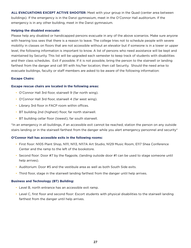**ALL EVACUATIONS EXCEPT ACTIVE SHOOTER:** Meet with your group in the Quad (center area between buildings). If the emergency is in the Danzi gymnasium, meet in the O'Connor Hall auditorium. If the emergency is in any other building, meet in the Danzi gymnasium.

#### **Helping the disabled evacuate:**

Please help any disabled or handicapped persons evacuate in any of the above scenarios. Make sure anyone with hearing loss sees that there is a reason to leave. The college tries not to schedule people with severe mobility in classes on floors that are not accessible without an elevator but if someone is in a lower or upper level, the following information is important to know. A list of persons who need assistance will be kept and maintained by Security. This list will be upgraded each semester to keep track of students with disabilities and their class schedules. Exit if possible. If it is not possible, bring the person to the stairwell or landing farthest from the danger and call 911 with his/her location; then call Security. Should the need arise to evacuate buildings, faculty or staff members are asked to be aware of the following information:

#### **Escape Chairs:**

#### **Escape rescue chairs are located in the following areas:**

- O'Connor Hall 3rd floor, stairwell 9 (far north wing).
- O'Connor Hall 3rd floor, stairwell 4 (far west wing).
- Library 3rd floor in FACP room within offices.
- BT building 2nd (highest) floor, far north stairwell.
- BT building cellar floor (lowest), far south stairwell.

\*In an emergency in all buildings, if an accessible exit cannot be reached; station the person on any outside stairs landing or in the stairwell farthest from the danger while you alert emergency personnel and security\*

#### **O'Connor Hall has accessible exits in the following rooms:**

- First floor: N105 Plant Shop, N111, N113, N117A Art Studio, N129 Music Room, E117 Shea Conference Center and the ramp to the left of the bookstore.
- Second floor: Door #7 by the flagpole, (landing outside door #1 can be used to stage someone until help arrives).
- Auditorium: Door #5 and the vestibule area as well as both South Side exits.
- Third floor, stage in the stairwell landing farthest from the danger until help arrives.

#### **Business and Technology (BT) Building:**

- Level B, north entrance has an accessible exit ramp.
- Level C, first floor and second floor: Escort students with physical disabilities to the stairwell landing farthest from the danger until help arrives.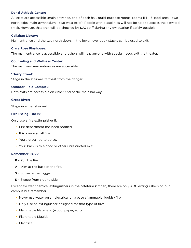#### **Danzi Athletic Center:**

All exits are accessible (main entrance, end of each hall, multi-purpose rooms, rooms 114-115, pool area – two north exits, main gymnasium – two west exits). People with disabilities will not be able to access the elevated track. However, that area will be checked by SJC staff during any evacuation if safely possible.

#### **Callahan Library:**

Main entrance and the two north doors in the lower level book stacks can be used to exit.

#### **Clare Rose Playhouse:**

The main entrance is accessible and ushers will help anyone with special needs exit the theater.

#### **Counseling and Wellness Center:**

The main and rear entrances are accessible.

#### **1 Terry Street:**

Stage in the stairwell farthest from the danger.

#### **Outdoor Field Complex:**

Both exits are accessible on either end of the main hallway.

#### **Great River:**

Stage in either stairwell.

#### **Fire Extinguishers:**

Only use a fire extinguisher if:

- Fire department has been notified.
- It is a very small fire.
- You are trained to do so.
- Your back is to a door or other unrestricted exit.

#### **Remember PASS:**

- P Pull the Pin.
- A Aim at the base of the fire.
- S Squeeze the trigger.
- S Sweep from side to side

Except for wet chemical extinguishers in the cafeteria kitchen, there are only ABC extinguishers on our campus but remember:

- Never use water on an electrical or grease (flammable liquids) fire
- Only Use an extinguisher designed for that type of fire:
- Flammable Materials, (wood, paper, etc.).
- Flammable Liquids
- Electrical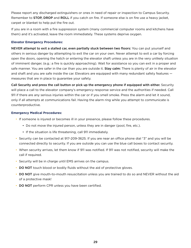Please report any discharged extinguishers or ones in need of repair or inspection to Campus Security. Remember to **STOP, DROP** and ROLL if you catch on fire. If someone else is on fire use a heavy jacket, carpet or blanket to help put the fire out.

If you are in a room with a fire suppression system (many commercial computer rooms and kitchens have them) and it's activated, leave the room immediately. These systems deprive oxygen.

#### **Elevator Emergency Procedures:**

NEVER attempt to exit a stalled car, even partially stuck between two floors: You can put yourself and others in serious danger by attempting to exit the car on your own. Never attempt to exit a car by forcing open the doors, opening the hatch or entering the elevator shaft unless you are in the very unlikely situation of imminent danger, (e.g.: a fire is quickly approaching). Wait for assistance so you can exit in a proper and safe manner. You are safer in the car than you are outside it. Stay calm: There is plenty of air in the elevator and shaft and you are safe inside the car. Elevators are equipped with many redundant safety features measures that are in place to guarantee your safety.

Call Security and press the call button or pick up the emergency phone if equipped with either. Security will place a call to the elevator company's emergency response service and the authorities if needed. Call 911 if there are any serious injuries within the car or if you smell smoke. Press the alarm and let it sound, only if all attempts at communications fail. Having the alarm ring while you attempt to communicate is counterproductive.

#### **Emergency Medical Procedures:**

- If someone is injured or becomes ill in your presence, please follow these procedures.
	- Do not move the injured person, unless they are in danger (pool, fire, etc.).
	- If the situation is life threatening, call 911 immediately.
- Security can be contacted at 917-209-3625. If you are near an office phone dial "3" and you will be connected directly to security. If you are outside you can use the blue call boxes to contact security.
- When security arrives, let them know if 911 was notified. If 911 was not notified, security will make the call if required.
- Security will be in charge until EMS arrives on the campus.
- DO NOT touch blood or bodily fluids without the aid of protective gloves.
- DO NOT give mouth-to-mouth resuscitation unless you are trained to do so and NEVER without the aid of a protective mask!
- DO NOT perform CPR unless you have been certified.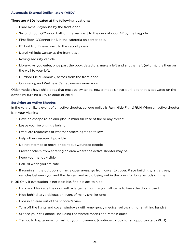#### **Automatic External Defibrillators (AEDs):**

#### There are AEDs located at the following locations:

- Clare Rose Playhouse by the front door.
- Second floor, O'Connor Hall, on the wall next to the desk at door #7 by the flagpole.
- First floor, O'Connor Hall, in the cafeteria on center pole.
- BT building, B level, next to the security desk.
- Danzi Athletic Center at the front desk.
- Roving security vehicle.
- Library: As you enter, once past the book detectors, make a left and another left (u-turn); it is then on the wall to your left.
- Outdoor Field Complex, across from the front door.
- Counseling and Wellness Center, nurse's exam room.

Older models have child pads that must be switched, newer models have a uni-pad that is activated on the device by turning a key to adult or child.

#### **Surviving an Active Shooter:**

In the very unlikely event of an active shooter, college policy is Run, Hide Fight! RUN When an active shooter is in your vicinity:

- Have an escape route and plan in mind (in case of fire or any threat).
- Leave your belongings behind.
- Evacuate regardless of whether others agree to follow.
- Help others escape, if possible.
- Do not attempt to move or point out wounded people.
- Prevent others from entering an area where the active shooter may be.
- Keep your hands visible.
- Call 911 when you are safe.
- If running in the outdoors or large open areas, go from cover to cover. Place buildings, large trees, vehicles between you and the danger, and avoid being out in the open for long periods of time.

HIDE Only if evacuation is not possible, find a place to hide:

- Lock and blockade the door with a large item or many small items to keep the door closed.
- Hide behind large objects or layers of many smaller ones.
- Hide in an area out of the shooter's view.
- Turn off the lights and cover windows (with emergency medical yellow sign or anything handy)
- Silence your cell phone (including the vibrate mode) and remain quiet.
- Try not to trap yourself or restrict your movement (continue to look for an opportunity to RUN).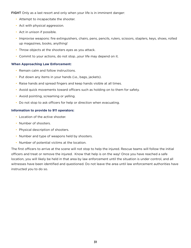FIGHT Only as a last resort and only when your life is in imminent danger:

- Attempt to incapacitate the shooter.
- Act with physical aggression.
- Act in unison if possible.
- Improvise weapons: fire extinguishers, chairs, pens, pencils, rulers, scissors, staplers, keys, shoes, rolled up magazines, books, anything!
- Throw objects at the shooters eyes as you attack.
- Commit to your actions, do not stop…your life may depend on it.

#### **When Approaching Law Enforcement:**

- Remain calm and follow instructions.
- Put down any items in your hands (i.e., bags, jackets).
- Raise hands and spread fingers and keep hands visible at all times.
- Avoid quick movements toward officers such as holding on to them for safety.
- Avoid pointing, screaming or yelling.
- Do not stop to ask officers for help or direction when evacuating.

#### **Information to provide to 911 operators:**

- Location of the active shooter.
- Number of shooters.
- Physical description of shooters.
- Number and type of weapons held by shooters.
- Number of potential victims at the location.

The first officers to arrive at the scene will not stop to help the injured. Rescue teams will follow the initial officers and treat or remove the injured. Know that help is on the way! Once you have reached a safe location, you will likely be held in that area by law enforcement until the situation is under control, and all witnesses have been identified and questioned. Do not leave the area until law enforcement authorities have instructed you to do so.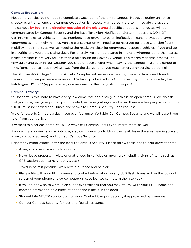#### **Campus Evacuation:**

Most emergencies do not require complete evacuation of the entire campus. However, during an active shooter event or whenever a campus evacuation is necessary, all persons are to immediately evacuate the campus by foot in the direction opposite of the crisis area. Specific directions and routes will be communicated by Campus Security and the Rave Text Alert Notification System if possible. DO NOT get into vehicles, as vehicles in mass numbers have proven to be an ineffective means to evacuate large emergencies in a timely manner. Vehicle transportation will need to be reserved for those with significant mobility impairments as well as keeping the roadways clear for emergency response vehicles. If you end up in a traffic jam, you are a sitting duck. Fortunately, we are not located in a rural environment and the nearest police precinct is not very far, less than a mile south on Waverly Avenue. This means response time will be very quick and even in foul weather, you should reach shelter when leaving the campus in a short period of time. Remember to keep moving away from the danger until you reach emergency service personnel.

The St. Joseph's College Outdoor Athletic Complex will serve as a meeting place for family and friends in the event of a campus wide evacuation: The facility is located at 246 Sunrise Hwy South Service Rd, East Patchogue, NY 11772 (approximately one mile east of the Long Island campus).

#### **Criminal Activity:**

St. Joseph's is fortunate to have a very low crime rate and history, but this is an open campus. We do ask that you safeguard your property and be alert, especially at night and when there are few people on campus. SJC ID must be carried at all times and shown to Campus Security upon request.

We offer escorts 24 hours a day if you ever feel uncomfortable. Call Campus Security and we will escort you to or from your vehicle.

If witness to a serious crime, call 911. Always call Campus Security to inform them, as well.

If you witness a criminal or an intruder, stay calm, never try to block their exit, leave the area heading toward a busy (populated area), and contact Campus Security.

Report any minor crimes (after the fact) to Campus Security. Please follow these tips to help prevent crime:

- Always lock vehicle and office doors.
- Never leave property in view or unattended in vehicles or anywhere (including signs of items such as GPS suction cup marks, gift bags, etc.).
- Travel in pairs if possible. Walk with a purpose and be alert.
- Place a file with your FULL name and contact information on any USB flash drives and on the lock out screen of your phone and/or computer (in case lost we can return them to you).
- If you do not wish to write in an expensive textbook that you may return; write your FULL name and contact information on a piece of paper and place it in the book.
- Student Life NEVER solicits door to door. Contact Campus Security if approached by someone.
- Contact Campus Security for lost-and-found assistance.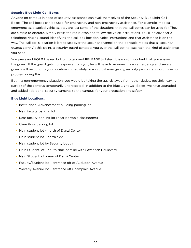#### **Security Blue Light Call Boxes**

Anyone on campus in need of security assistance can avail themselves of the Security Blue Light Call Boxes. The call boxes can be used for emergency and non-emergency assistance. For example: medical emergencies, disabled vehicles, etc., are just some of the situations that the call boxes can be used for. They are simple to operate. Simply press the red button and follow the voice instructions. You'll initially hear a telephone ringing sound identifying the call box location, voice instructions and that assistance is on the way. The call box's location is broadcast over the security channel on the portable radios that all security guards carry. At this point, a security guard contacts you over the call box to ascertain the kind of assistance you need.

You press and HOLD the red button to talk and RELEASE to listen. It is most important that you answer the guard. If the guard gets no response from you, he will have to assume it is an emergency and several guards will respond to your location immediately. In an actual emergency, security personnel would have no problem doing this.

But in a non-emergency situation, you would be taking the guards away from other duties, possibly leaving part(s) of the campus temporarily unprotected. In addition to the Blue Light Call Boxes, we have upgraded and added additional security cameras to the campus for your protection and safety.

#### **Blue Light Locations:**

- Institutional Advancement building parking lot
- Main faculty parking lot
- Rear faculty parking lot (near portable classrooms)
- Clare Rose parking lot
- Main student lot north of Danzi Center
- Main student lot north side
- Main student lot by Security booth
- Main Student lot south side, parallel with Savannah Boulevard
- Main Student lot rear of Danzi Center
- Faculty/Student lot entrance off of Audubon Avenue
- Waverly Avenue lot entrance off Champlain Avenue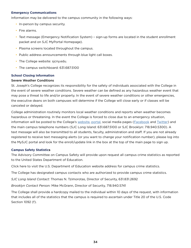#### <span id="page-33-0"></span>**Emergency Communications**

Information may be delivered to the campus community in the following ways:

- In-person by campus security.
- Fire alarms.
- Text message (Emergency Notification System) sign-up forms are located in the student enrollment packet and on SJC MyPortal Homepage).
- Plasma screens located throughout the campus.
- Public address announcements through blue light call boxes.
- The College website: sjcny.edu.
- The campus switchboard: 631.687.5100

#### **School Closing Information**

#### Severe Weather Conditions

St. Joseph's College recognizes its responsibility for the safety of individuals associated with the College in the event of severe weather conditions. Severe weather can be defined as any hazardous weather event that may pose a threat to life and/or property. In the event of severe weather conditions or other emergencies, the executive deans on both campuses will determine if the College will close early or if classes will be canceled or delayed.

College administration routinely monitors local weather conditions and reports when weather becomes hazardous or threatening. In the event the College is forced to close due to an emergency situation, information will be posted to the College's [website](https://www.sjcny.edu), [portal](https://fs.sjcny.edu/adfs/ls?wa=wsignin1.0&wtrealm=urn%3amysjc.sjcny.edu%3a443&wctx=https%3a%2f%2fmysjc.sjcny.edu%2f_layouts%2f15%2fAuthenticate.aspx%3fSource%3d%252F&wreply=https%3a%2f%2fmysjc.sjcny.edu%2f_trust%2fdefault.aspx), social media pages ([Facebook](https://www.facebook.com/SJCNY) and [Twitter\)](https://twitter.com/SJCNY) and the main campus telephone numbers (SJC Long Island: 631.687.5100 or SJC Brooklyn: 718.940.5300). A text message will also be transmitted to all students, faculty, administration and staff. If you are not already registered to receive text messaging alerts (or you want to change your notification number), please log into the MySJC portal and look for the enroll/update link in the box at the top of the main page to sign up.

#### **Campus Safety Statistics**

The Advisory Committee on Campus Safety will provide upon request all campus crime statistics as reported to the United States Department of Education.

Click here to visit the U.S. Department of Education website address for campus crime statistics.

The College has designated campus contacts who are authorized to provide campus crime statistics.

*SJC Long Island Contact:* Thomas N. Tzimorotas, Director of Security, 631.831.2692

*Brooklyn Contact Person:* Mike McGrann, Director of Security, 718.940.5741

The College shall provide a hardcopy mailed to the individual within 10 days of the request, with information that includes all of the statistics that the campus is required to ascertain under Title 20 of the U.S. Code Section 1092 (f).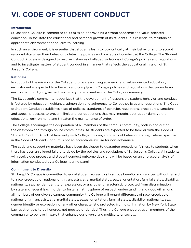## <span id="page-34-0"></span>**VI. CODE OF STUDENT CONDUCT**

#### **Introduction**

St. Joseph's College is committed to its mission of providing a strong academic and value-oriented education. To facilitate the educational and personal growth of its students, it is essential to maintain an appropriate environment conducive to learning.

In such an environment, it is essential that students learn to look critically at their behavior and to accept responsibility when their behavior violates the policies and precepts of conduct at the College. The Student Conduct Process is designed to resolve instances of alleged violations of College's policies and regulations, and to investigate matters of student conduct in a manner that reflects the educational mission of St. Joseph's College.

#### **Rationale**

In support of the mission of the College to provide a strong academic and value-oriented education, each student is expected to adhere to and comply with College policies and regulations that promote an environment of dignity, respect and safety for all members of the College community.

The St. Joseph's community recognizes that the development of responsible student behavior and conduct is fostered by education, guidance, admonition and adherence to College policies and regulations. The Code of Student Conduct establishes a set of policies, standards of behavior, regulations, procedures, sanctions and appeal processes to prevent, limit and correct actions that may impede, obstruct or damage the educational environment, and threaten the maintenance of order.

The College encourages the cooperation of all members of the campus community, both in and out of the classroom and through online communities. All students are expected to be familiar with the Code of Student Conduct. A lack of familiarity with College policies, standards of behavior and regulations specified in the Code of Student Conduct is not an acceptable excuse for non-adherence.

The code and supporting materials have been developed to guarantee procedural fairness to students when there has been an alleged failure to abide by the policies and regulations of St. Joseph's College. All students will receive due process and student conduct outcome decisions will be based on an unbiased analysis of information conducted by a College hearing panel.

#### **Commitment to Diversity**

St. Joseph's College is committed to equal student access to all campus benefits and services without regard to: race, creed, color, national origin, ancestry, age, marital status, sexual orientation, familial status, disability, nationality, sex, gender identity or expression, or any other characteristic protected from discrimination by state and federal law. In order to foster an atmosphere of respect, understanding and goodwill among all members of our diverse campus community, the College will regard differences of race, creed, color, national origin, ancestry, age, marital status, sexual orientation, familial status, disability, nationality, sex, gender identity or expression, or any other characteristic protected from discrimination by New York State Law as strengths to be honored, not mocked or derided. Thus, the College encourages all members of the community to behave in ways that enhance our diverse and multicultural society.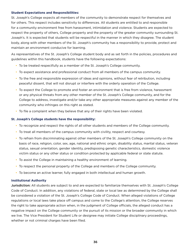#### <span id="page-35-0"></span>**Student Expectations and Responsibilities:**

St. Joseph's College expects all members of the community to demonstrate respect for themselves and for others. This respect includes sensitivity to differences. All students are entitled to and responsible for a community environment free from harassment, intimidation and violence. Students are expected to respect the property of others, College property and the property of the greater community surrounding St. Joseph's. It is expected that students will be respectful in the manner in which they disagree. The student body, along with other members of the St. Joseph's community has a responsibility to provide, protect and maintain an environment conducive for learning.

As representatives of the St. Joseph's College student body and as set forth in the policies, procedures and guidelines within this handbook, students have the following expectations:

- To be treated respectfully as a member of the St. Joseph's College community.
- To expect assistance and professional conduct from all members of the campus community.
- To the free and responsible expression of ideas and opinions, without fear of retribution, including peaceful dissent, that will not disrupt or interfere with the orderly operation of the College.
- To expect the College to promote and foster an environment that is free from violence, harassment or any physical threats from any other member of the St. Joseph's College community, and for the College to address, investigate and/or take any other appropriate measures against any member of the community who infringes on this right as stated.
- To file a complaint when they believe that any of their rights have been violated.

#### **St. Joseph's College students have the responsibility:**

- To recognize and respect the rights of all other students and members of the College community.
- To treat all members of the campus community with civility, respect and courtesy.
- To refrain from discriminating against other members of the St. Joseph's College community on the basis of race, religion, color, sex, age, national and ethnic origin, disability status, marital status, veteran status, sexual orientation, gender identity, predisposing genetic characteristics, domestic violence victim status or any other status or condition protected by applicable federal or state statute.
- To assist the College in maintaining a healthy environment of learning.
- To respect the personal property of the College and members of the College community.
- To become an active learner, fully engaged in both intellectual and human growth.

#### **Institutional Authority**

Jurisdiction: All students are subject to and are expected to familiarize themselves with St. Joseph's College Code of Conduct. In addition, any violations of federal, state or local law as determined by the College shall be considered a violation of the St. Joseph's College Code of Conduct. When alleged violations of College regulations or local laws take place off campus and come to the College's attention, the College reserves the right to take appropriate action when, in the judgment of College officials, the alleged conduct has a negative impact on the College community or the pursuit of its mission or the broader community in which we live. The Vice President for Student Life or designee may initiate College disciplinary proceedings, whether or not criminal charges have been filed.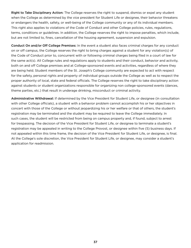Right to Take Disciplinary Action: The College reserves the right to suspend, dismiss or expel any student when the College as determined by the vice president for Student Life or designee, their behavior threatens or endangers the health, safety, or well-being of the College community or any of its individual members. This right also applies to violations of the Code of Conduct and other College policies, rules, regulations, terms, conditions or guidelines. In addition, the College reserves the right to impose penalties, which include, but are not limited to, fines, cancellation of the housing agreement, suspension and expulsion.

Conduct On and/or Off College Premises: In the event a student also faces criminal charges for any conduct on or off campus, the College reserves the right to bring charges against a student for any violation(s) of the Code of Conduct prior to, concurrent with or following criminal charges being filed in a court of law for the same act(s). All College rules and regulations apply to students and their conduct, behavior and activity, both on and off College premises and at College-sponsored events and activities, regardless of where they are being held. Student members of the St. Joseph's College community are expected to act with respect for the safety, personal rights and property of individual groups outside the College as well as to respect the proper authority of local, state and federal officials. The College reserves the right to take disciplinary action against students or student organizations responsible for organizing non college-sponsored events (dances, theme parties, etc.) that result in underage drinking, misconduct or criminal activity.

Administrative Withdrawal: If determined by the Vice President for Student Life, or designee (in consultation with other College officials), a student with a behavior problem cannot accomplish his or her objectives in concert with those of the College or without jeopardizing his or her welfare or that of others, the student's registration may be terminated and the student may be required to leave the College immediately. In such cases, the student will be restricted from being on campus property and, if found, subject to arrest for trespassing. The decision of the Vice President for Student Life, or designee to terminate a student's registration may be appealed in writing to the College Provost, or designee within five (5) business days. If not appealed within this time frame, the decision of the Vice President for Student Life, or designee, is final. At the College's sole discretion, the Vice President for Student Life, or designee, may consider a student's application for readmission.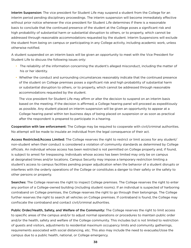Interim Suspension: The vice president for Student Life may suspend a student from the College for an interim period pending disciplinary proceedings. The interim suspension will become immediately effective without prior notice whenever the vice president for Student Life determines if there is a reasonable basis to conclude that the continued presence of the student at the College poses a significant risk and high probability of substantial harm or substantial disruption to others, or to property, which cannot be addressed through reasonable accommodations requested by the student. Interim Suspensions will exclude the student from being on campus or participating in any College activity, including academic work, unless otherwise notified.

A student suspended on an interim basis will be given an opportunity to meet with the Vice President for Student Life to discuss the following issues only:

- The reliability of the information concerning the student's alleged misconduct, including the matter of his or her identity.
- Whether the conduct and surrounding circumstances reasonably indicate that the continued presence of the student on College premises poses a significant risk and high probability of substantial harm or substantial disruption to others, or to property, which cannot be addressed through reasonable accommodations requested by the student.

The vice president for Student Life may affirm or alter the decision to suspend on an interim basis based on the meeting. If the decision is affirmed, a College hearing panel will proceed as expeditiously as possible. Any student placed on interim suspension will be given an opportunity to appear at a College hearing panel within ten business days of being placed on suspension or as soon as practical after the respondent is prepared to participate in a hearing.

Cooperation with law enforcement: The College may be required to cooperate with civil/criminal authorities. No attempt will be made to insulate an individual from the legal consequence of their act.

Access Restricted/Access Limited: The College reserves the right to restrict or limit access for any student/ non-student when their conduct is considered a violation of community standards as determined by College officials. An individual whose access has been restricted is not permitted on College property and, if found, is subject to arrest for trespassing. Individuals whose access has been limited may only be on campus at designated times and/or locations. Campus Security may impose a temporary restriction limiting a student's access to campus facilities pending proper adjudication when the behavior of a student disrupts or interferes with the orderly operations of the College or constitutes a danger to their safety or the safety to other persons or property.

Searches: The College reserves the right to inspect College premises. The College reserves the right to enter any portion of a College-owned building (including student rooms). If an individual is suspected of harboring contraband on College premises, the College reserves the right to go through their belongings. The College further reserves the right to search all vehicles on College premises. If contraband is found, the College may confiscate the contraband and contact civil/criminal authorities.

Public Order/Health, Safety, and Welfare of the Community: The College reserves the right to limit access to specific areas of the campus and/or to adjust normal operations or procedures to maintain public order and/or the health, safety and welfare of the College community. This includes but is not limited to restriction of guests and visitors, adjustments to residential maximum occupancy limits and community gatherings, requirements associated with social distancing, etc. This also may include the need to evacuate/close the campus due to a public health, national, or College emergency.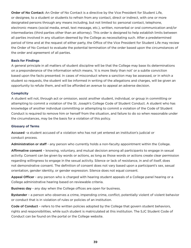Order of No Contact: An Order of No Contact is a directive by the Vice President for Student Life, or designee, to a student or students to refrain from any contact, direct or indirect, with one or more designated persons through any means including, but not limited to: personal contact, telephone, electronic means (social media, email, text message, etc.), written, nonverbal or oral communication and/or intermediaries (third parties other than an attorney). This order is designed to help establish limits between all parties involved in any situation deemed by the College as necessitating such. After a predetermined period of time and at the request of either party, the Office of the Vice President for Student Life may review the Order of No Contact to evaluate the potential termination of the order based upon the circumstances of the order and agreement of all parties.

#### **Basis for Findings**

A general principle in all matters of student discipline will be that the College may base its determinations on a preponderance of the information which means, 'it is more likely than not' or a subtle conviction based upon the facts presented. In cases of misconduct where a sanction may be assessed, or in which a student so requests, the student will be informed in writing of the allegations and charges, will be given an opportunity to refute them, and will be afforded an avenue to appeal an adverse decision.

#### **Complicity**

A student will not, through act or omission, assist another student, individual, or group in committing or attempting to commit a violation of the St. Joseph's College Code of Student Conduct. A student who has knowledge of another individual committing or attempting to commit a violation of the Code of Student Conduct is required to remove him or herself from the situation, and failure to do so when reasonable under the circumstances, may be the basis for a violation of this policy.

#### **Glossary of Terms**

Accused -a student accused of a violation who has not yet entered an institution's judicial or conduct process.

Administration or staff - any person who currently holds a non-faculty appointment within the College.

Affirmative consent - knowing, voluntary, and mutual decision among all participants to engage in sexual activity. Consent can be given by words or actions, as long as those words or actions create clear permission regarding willingness to engage in the sexual activity. Silence or lack of resistance, in and of itself, does not demonstrative consent. The definition of consent does not vary based upon a participant's sex, sexual orientation, gender identity, or gender expression. Silence does not equal consent.

Appeal Officer - any person who is charged with hearing student appeals of a College panel hearing or a College administrative hearing based on reviewable criteria.

Business day - any day when the College offices are open for business.

Bystander - a person who observes a crime, impending crime, conflict, potentially violent of violent behavior or conduct that is in violation of rules or policies of an institution.

Code of Conduct - refers to the written policies adopted by the College that govern student behaviors, rights and responsibilities, while such student is matriculated at this institution. The SJC Student Code of Conduct can be found on the portal or the College website.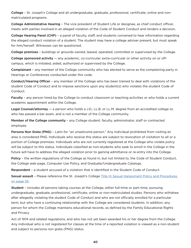College – St. Joseph's College and all undergraduate, graduate, professional, certificate, online and nonmatriculated programs.

College Administrative Hearing - The vice president of Student Life or designee, as chief conduct officer, meets with parties involved in an alleged violation of the Code of Student Conduct and renders a decision.

College Hearing Panel (CHP) – a panel of faculty, staff, and students convened to hear information regarding the alleged conduct violation of a student. The student may have a college adviser present, but must speak for him/herself. Witnesses can be questioned.

College premises – buildings or grounds owned, leased, operated, controlled or supervised by the College.

College sponsored activity - any academic, co-curricular, extra-curricular or other activity on or offcampus, which is initiated, aided, authorized or supervised by the College.

Complainant – any member of the College community who has elected to serve as the complaining party in Hearings or Conferences conducted under this code.

Conduct/Hearing Officer – any member of the College who has been trained to deal with violations of the student Code of Conduct and to impose sanctions upon any student(s) who violates the student Code of Conduct.

Faculty – any person hired by the College to conduct classroom or teaching activities or who holds a current academic appointment within the College.

Legal Counsel/attorney — a person who holds a J.D., LL.B. or LL.M. degree from an accredited college or, who has passed a bar exam, and is not a member of the College community.

Member of the College community - any College student, faculty, administrator, staff or contracted employee.

**Persona Non Grata (PNG)** – Latin for "an unwelcome person." Any individual prohibited from visiting an area is considered PNG. Individuals who receive this status are subject to revocation of visitation to all or a portion of College premises. Individuals who are not currently registered at the College who violate policy will be subject to this status. Individuals classified as non-students who seek to enroll in the College in the future will have to address the alleged violation prior to gaining admittance or re-entry into the College.

Policy – the written regulations of the College as found in, but not limited to, the Code of Student Conduct, the College web page, Computer Use Policy, and Graduate/Undergraduate Catalogs.

Respondent – a student accused of a violation that is identified in the Student Code of Conduct.

Sexual assault - Please reference the St. Joseph's College [Title IX Sexual Harassment Policy and Procedures](#page-54-0) on page 55.

Student – includes all persons taking courses at the College, either full-time or part-time, pursuing undergraduate, graduate, professional, certificate, online or non-matriculated studies. Persons who withdraw after allegedly violating the student Code of Conduct and who are not officially enrolled for a particular term, but who have a continuing relationship with the College are considered students. In addition, any person for whom the College maintains educational records, as defined by the Family Educational Rights and Privacy

Act of 1974 and related regulations, and who has not yet been awarded his or her degree from the College. Any individual who is not registered for classes at the time of a reported violation is viewed as a non-student and subject to persona non grata (PNG) status.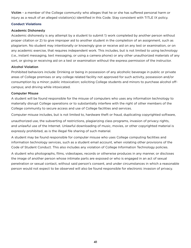Victim – a member of the College community who alleges that he or she has suffered personal harm or injury as a result of an alleged violation(s) identified in this Code. Stay consistent with TITLE IX policy.

# **Conduct Violations**

# Academic Dishonesty

Academic dishonesty is any attempt by a student to submit 1) work completed by another person without proper citation or 2) to give improper aid to another student in the completion of an assignment, such as plagiarism. No student may intentionally or knowingly give or receive aid on any test or examination, or on any academic exercise, that requires independent work. This includes, but is not limited to using technology (i.e., instant messaging, text messaging, or using a camera phone) or any other unauthorized materials of any sort, or giving or receiving aid on a test or examination without the express permission of the instructor.

# Alcohol Violation

Prohibited behaviors include: Drinking or being in possession of any alcoholic beverage in public or private areas of College premises or any college related facility not approved for such activity, possession and/or consumption by a minor; public intoxication; soliciting College students and minors to purchase alcohol offcampus; and driving while intoxicated.

# Computer Misuse

A student will be found responsible for the misuse of computers who uses any information technology to materially disrupt College operations or to substantially interfere with the right of other members of the College community to secure access and use of College facilities and services.

Computer misuse includes, but is not limited to, hardware theft or fraud, duplicating copyrighted software,

unauthorized use, the subverting of restrictions, plagiarizing class programs, invasion of privacy rights, and unlawful use of the Internet. Unlawful downloading of music, movies, or other copyrighted material is expressly prohibited, as is the illegal file sharing of such material.

A student may be found responsible for computer misuse who uses College computing facilities and information technology services, such as a student email account, when violating other provisions of the Code of Student Conduct. This also includes any violation of College Information Technology policies.

A student who photographs, films, videotapes, records or otherwise produces in any manner, or discloses the image of another person whose intimate parts are exposed or who is engaged in an act of sexual penetration or sexual contact, without said person's consent, and under circumstances in which a reasonable person would not expect to be observed will also be found responsible for electronic invasion of privacy.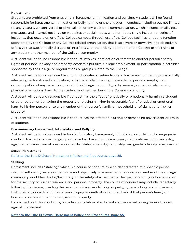# Harassment

Students are prohibited from engaging in harassment, intimidation and bullying. A student will be found responsible for harassment, intimidation or bullying if he or she engages in conduct, including but not limited to, any gesture, written, verbal or physical act, or any electronic communication, which includes emails, text messages, and Internet postings on web-sites or social media, whether it be a single incident or series of incidents, that occurs on or off the College campus, through use of the College facilities, or at any function sponsored by the College or any College related organization, that is so severe or pervasive and objectively offensive that substantially disrupts or interferes with the orderly operation of the College or the rights of any student or other member of the College community.

A student will be found responsible if conduct involves intimidation or threats to another person's safety, rights of personal privacy and property, academic pursuits, College employment, or participation in activities sponsored by the College or organizations or groups related to the College.

A student will be found responsible if conduct creates an intimidating or hostile environment by substantially interfering with a student's education, or by materially impairing the academic pursuits, employment or participation of any person or group in the College community, or by severely or pervasively causing physical or emotional harm to the student or other member of the College community.

A student will be found responsible if conduct has the effect of physically or emotionally harming a student or other person or damaging the property or placing him/her in reasonable fear of physical or emotional harm to his/her person, or to any member of that person's family or household, or of damage to his/her property.

A student will be found responsible if conduct has the effect of insulting or demeaning any student or group of students.

# Discriminatory Harassment, Intimidation and Bullying

A student will be found responsible for discriminatory harassment, intimidation or bullying who engages in conduct directed at a specific group or individual, based upon race, creed, color, national origin, ancestry, age, marital status, sexual orientation, familial status, disability, nationality, sex, gender identity or expression.

# Sexual Harassment

# [Refer to the Title IX Sexual Harassment Policy and Procedures, page 55.](#page-54-0)

# **Stalking**

Harassment includes "stalking," which is a course of conduct by a student directed at a specific person which is sufficiently severe or pervasive and objectively offensive that a reasonable member of the College community would fear for his/her safety or the safety of a member of that person's family or household or for the security of his/her residence and personal property. The course of conduct may include: repeatedly following the person, invading the person's privacy, vandalizing property, cyber-stalking, and similar acts that threaten, intimidate or create fear of injury or death of self or members of that person's family or household or fear of harm to that person's property.

Harassment includes conduct by a student in violation of a domestic violence restraining order obtained against the student.

# **[Refer to the Title IX Sexual Harassment Policy and Procedures, page 55.](#page-3-0)**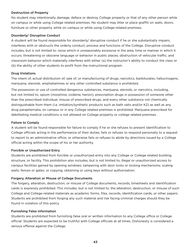# Destruction of Property

No student may intentionally damage, deface or destroy College property or that of any other person while on campus or while using College related premises. No student may litter or place graffiti on walls, doors, furniture or other property while on campus or while using College-related premises.

# Disorderly/ Disruptive Conduct

A student will be found responsible for disorderly/ disruptive conduct if he or she substantially impairs, interferes with or obstructs the orderly conduct, process and functions of the College. Disruptive conduct includes, but is not limited to: noise which is unreasonably excessive in the area, time or manner in which it occurs; threatening or obscene language or behavior in public places; obstruction of vehicular traffic; and classroom behavior which materially interferes with either (a) the instructor's ability to conduct the class or (b) the ability of other students to profit from the instructional program.

# Drug Violations

The intent of, actual distribution of, sale of, or manufacturing of drugs, narcotics, barbiturates, hallucinogens, marijuana, steroids, amphetamines or any other controlled substance is prohibited.

The possession or use of controlled dangerous substances, marijuana, steroids, or narcotics, including, but not limited to, opium (morphine, codeine, heroin), prescription drugs in possession of someone other than the prescribed individual, misuse of prescribed drugs, and every other substance not chemically distinguishable from them (i.e. imitation/synthetic products such as bath salts and/or K2) as well as any drug paraphernalia, on campus or in any College related premises is prohibited. Marijuana prescribed for debilitating medical conditions is not allowed on College property or college related premises.

# Failure to Comply

A student will be found responsible for failure to comply if he or she refuses to present identification to College officials acting in the performance of their duties; fails or refuses to respond personally to a request to report to an administrative office; or otherwise fails or refuses to abide by directions issued by a College official acting within the scope of his or her authority.

# Forcible or Unauthorized Entry

Students are prohibited from forcible or unauthorized entry into any College or College related building, structure, or facility. This prohibition also includes, but is not limited to, illegal or unauthorized access to campus facilities gained by opening windows; tampering with door locks or locking mechanisms; scaling walls, fences or gates; or copying, obtaining or using keys without authorization.

# Forgery, Alteration or Misuse of College Documents

The forgery, alteration, destruction, or misuse of College documents, records, timesheets and identification cards is expressly prohibited. This includes, but is not limited to, the alteration, destruction, or misuse of such College and College-related materials as academic forms, files, records, identification cards, or other papers. Students are prohibited from forging any such material and risk facing criminal charges should they be found in violation of this policy.

# Furnishing False Information

Students are prohibited from furnishing false oral or written information to any College office or College official. Students are expected to be truthful with College officials at all times. Dishonesty is considered a serious offense against the College.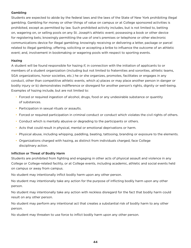# Gambling

Students are expected to abide by the federal laws and the laws of the State of New York prohibiting illegal gambling. Gambling for money or other things of value on campus or at College sponsored activities is prohibited, except as permitted by law. Such prohibited activity includes, but is not limited to, betting on, wagering on, or selling pools on any St. Joseph's athletic event; possessing a book or other device for registering bets; knowingly permitting the use of one's premises or telephone or other electronic communications device for illegal gambling; knowingly receiving or delivering a letter, package or parcel related to illegal gambling; offering, soliciting or accepting a bribe to influence the outcome of an athletic event; and, involvement in bookmaking or wagering pools with respect to sporting events.

# Hazing

A student will be found responsible for hazing if, in connection with the initiation of applicants to or members of a student organization (including but not limited to fraternities and sororities, athletic teams, SGA organizations, honor societies, etc.) he or she organizes, promotes, facilitates or engages in any conduct, other than competitive athletic events, which a) places or may place another person in danger or bodily injury or b) demonstrates indifference or disregard for another person's rights, dignity or well-being. Examples of hazing include, but are not limited to:

- Forced or required ingestion of alcohol, drugs, food or any undesirable substance or quantity of substances.
- Participation in sexual rituals or assaults.
- Forced or required participation in criminal conduct or conduct which violates the civil rights of others.
- Conduct which is mentally abusive or degrading to the participants or others.
- Acts that could result in physical, mental or emotional deprivations or harm.
- Physical abuse, including whipping, paddling, beating, tattooing, branding or exposure to the elements.
- Organizations charged with hazing, as distinct from individuals charged, face College disciplinary action.

# Infliction or Threat of Bodily Harm

Students are prohibited from fighting and engaging in other acts of physical assault and violence in any College or College-related facility, or at College events, including academic, athletic and social events held on campus or away from campus.

No student may intentionally inflict bodily harm upon any other person.

No student may intentionally take any action for the purpose of inflicting bodily harm upon any other person.

No student may intentionally take any action with reckless disregard for the fact that bodily harm could result on any other person.

No student may perform any intentional act that creates a substantial risk of bodily harm to any other person.

No student may threaten to use force to inflict bodily harm upon any other person.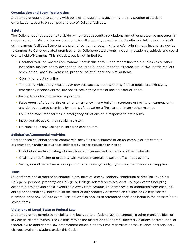#### **Organization and Event Registration**

Students are required to comply with policies or regulations governing the registration of student organizations, events on campus and use of College facilities.

#### **Safety**

The College requires students to abide by numerous security regulations and other protective measures, in order to assure safe learning environments for all students, as well as the faculty, administrators and staff using campus facilities. Students are prohibited from threatening to and/or bringing any incendiary device to campus, to College-related premises, or to College-related events, including academic, athletic and social events held off-campus. This includes, but is not limited to:

- Unauthorized use, possession, storage, knowledge or failure to report fireworks, explosives or other incendiary devices of any description including but not limited to: firecrackers, M-80s, bottle rockets, ammunition, gasoline, kerosene, propane, paint thinner and similar items.
- Causing or creating a fire.
- Tampering with safety measures or devices, such as alarm systems, fire extinguishers, exit signs, emergency phone systems, fire hoses, security systems or locked exterior doors.
- Failing to conform to safety regulations.
- False report of a bomb, fire or other emergency in any building, structure or facility on campus or in any College-related premises by means of activating a fire alarm or in any other manner.
- Failure to evacuate facilities in emergency situations or in response to fire alarms.
- Inappropriate use of the fire alarm system.
- No smoking in any College building or parking lots.

#### **Solicitation/Commercial Activities**

Unauthorized soliciting and/or commercial activities by a student or an on-campus or off-campus organization, vendor or business, initiated by either a student or visitor:

- Distribution and/or posting of unauthorized flyers/advertisements or other materials.
- Chalking or defacing of property with various materials to solicit off-campus events.
- Selling unauthorized services or products, or seeking funds, signatures, merchandise or supplies.

#### **Theft**

Students are not permitted to engage in any form of larceny, robbery, shoplifting or stealing, involving College or personal property, on College or College-related premises, or at College events (including academic, athletic and social events held away from campus. Students are also prohibited from enabling, aiding or abetting any individual in the theft of any property or service on College or College-related premises, or at any College event. This policy also applies to attempted theft and being in the possession of stolen items.

#### **Violations of Local, State or Federal Law**

Students are not permitted to violate any local, state or federal law on campus, in other municipalities, or in College-related events. The College retains the discretion to report suspected violations of state, local or federal law to appropriate law enforcement officials, at any time, regardless of the issuance of disciplinary charges against a student under this Code.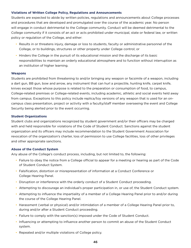#### **Violations of Written College Policy, Regulations and Announcements**

Students are expected to abide by written policies, regulations and announcements about College processes and procedures that are developed and promulgated over the course of the academic year. No person will engage in conduct detrimental to the College community. Conduct will be deemed detrimental to the College community if it consists of an act or acts prohibited under municipal, state or federal law, or written policy or regulation of the College, and either:

- Results in or threatens injury, damage or loss to students, faculty or administrative personnel of the College, or to buildings, structures or other property under College control; or
- Hinders the College in the pursuit of its educational mission and the discharge of its basic responsibilities to maintain an orderly educational atmosphere and to function without interruption as an institution of higher learning.

#### **Weapons**

Students are prohibited from threatening to and/or bringing any weapon or facsimile of a weapon, including a dart gun, BB gun, bow and arrow, any instrument that can hurl a projectile, hunting knife, carpet knife, knives except those whose purpose is related to the preparation or consumption of food, to campus, College-related premises or College-related events, including academic, athletic and social events held away from campus. Exceptions to this policy include replica/toy versions of any weapon that is used for an oncampus class presentation, project or activity with a faculty/staff member overseeing the event and College Security being alerted prior to the event occurring.

#### **Student Organizations**

Student clubs and organizations recognized by student government and/or their officers may be charged with and held responsible for violations of the Code of Student Conduct. Sanctions against the student organization and its officers may include recommendation to the Student Government Association for revocation of the organization's charter, loss of permission to use College facilities, loss of other privileges and other appropriate sanctions.

#### **Abuse of the Conduct System**

Any abuse of the College's conduct process, including, but not limited to, the following:

- Failure to obey the notice from a College official to appear for a meeting or hearing as part of the Code of Student Conduct System.
- Falsification, distortion or misrepresentation of information at a Conduct Conference or College Hearing Panel.
- Disruption or interference with the orderly conduct of a Student Conduct proceeding.
- Attempting to discourage an individual's proper participation in, or use of, the Student Conduct system.
- Attempting to influence the impartiality of a member of a College Hearing Panel prior to and/or during the course of the College Hearing Panel.
- Harassment (verbal or physical) and/or intimidation of a member of a College Hearing Panel prior to, during and/or after a Student Conduct proceeding.
- Failure to comply with the sanction(s) imposed under the Code of Student Conduct.
- Influencing or attempting to influence another person to commit an abuse of the Student Conduct system.
- Repeated and/or multiple violations of College policy.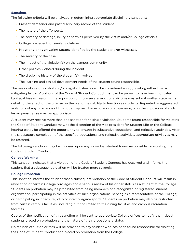#### **Sanctions**

The following criteria will be analyzed in determining appropriate disciplinary sanctions:

- Present demeanor and past disciplinary record of the student.
- The nature of the offense(s).
- The severity of damage, injury or harm as perceived by the victim and/or College officials.
- College precedent for similar violations.
- Mitigating or aggravating factors identified by the student and/or witnesses.
- The severity of the case.
- The impact of the violation(s) on the campus community.
- Other policies violated during the incident.
- The discipline history of the student(s) involved
- The learning and ethical development needs of the student found responsible.

The use or abuse of alcohol and/or illegal substances will be considered an aggravating rather than a mitigating factor. Violations of the Code of Student Conduct that can be proven to have been motivated by illegal bias will result in the imposition of more severe sanctions. Victims may submit written statements detailing the effect of the offense on them and their ability to function as students. Repeated or aggravated violations of any provisions of this code may result in expulsion or suspension, or in the imposition of such lesser penalties as may be appropriate.

A student may receive more than one sanction for a single violation. Students found responsible for violating the Code of Student Conduct may, at the discretion of the vice president for Student Life or the College hearing panel, be offered the opportunity to engage in substantive educational and reflective activities. After the satisfactory completion of the specified educational and reflective activities, appropriate privileges may be restored.

The following sanctions may be imposed upon any individual student found responsible for violating the Code of Student Conduct:

# **College Warning**

This sanction indicates that a violation of the Code of Student Conduct has occurred and informs the student that a subsequent violation will be treated more severely.

# **College Probation**

This sanction informs the student that a subsequent violation of the Code of Student Conduct will result in revocation of certain College privileges and a serious review of his or her status as a student at the College. Students on probation may be prohibited from being members of a recognized or registered student organization; participating in the activities of such organizations; serving as a representative of the College; or participating in intramural, club or intercollegiate sports. Students on probation may also be restricted from certain campus facilities, including but not limited to the dining facilities and campus recreation facilities.

Copies of the notification of this sanction will be sent to appropriate College offices to notify them about students placed on probation and the nature of their probationary status.

No refunds of tuition or fees will be provided to any student who has been found responsible for violating the Code of Student Conduct and placed on probation from the College.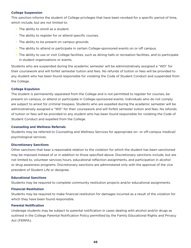#### **College Suspension**

This sanction informs the student of College privileges that have been revoked for a specific period of time, which include, but are not limited to:

- The ability to enroll as a student.
- The ability to register for or attend specific courses.
- The ability to be present on campus grounds.
- The ability to attend or participate in certain College-sponsored events on or off campus.
- The ability to use or visit College facilities, such as dining halls or recreation facilities, and to participate in student organizations or events.

Students who are suspended during the academic semester will be administratively assigned a "WD" for their coursework and will forfeit semester tuition and fees. No refunds of tuition or fees will be provided to any student who has been found responsible for violating the Code of Student Conduct and suspended from the College.

#### **College Expulsion**

The student is permanently separated from the College and is not permitted to register for courses, be present on campus, or attend or participate in College-sponsored events. Individuals who do not comply are subject to arrest for criminal trespass. Students who are expelled during the academic semester will be administratively assigned a "WD" for their coursework and will forfeit semester tuition and fees. No refunds of tuition or fees will be provided to any student who has been found responsible for violating the Code of Student Conduct and expelled from the College.

# **Counseling and Wellness Referrals**

Students may be referred to Counseling and Wellness Services for appropriate on- or off-campus medical/ psychological services.

# **Discretionary Sanctions**

Other sanctions that bear a reasonable relation to the violation for which the student has been sanctioned may be imposed instead of or in addition to those specified above. Discretionary sanctions include, but are not limited to, volunteer services hours, educational reflection assignments, and participation in alcohol or drug awareness programs. Discretionary sanctions are administered only with the approval of the vice president of Student Life or designee.

# **Educational Sanctions**

Students may be required to complete community restitution projects and/or educational assignments.

#### **Financial Restitution**

Students may be required to make financial restitution for damages incurred as a result of the violation for which they have been found responsible.

#### **Parental Notification**

Underage students may be subject to parental notification in cases dealing with alcohol and/or drugs as outlined in the College Parental Notification Policy permitted by the Family Educational Rights and Privacy Act (FERPA).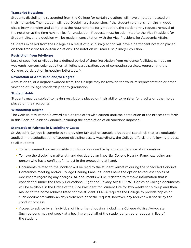# **Transcript Notations**

Students disciplinarily suspended from the College for certain violations will have a notation placed on their transcript. The notation will read Disciplinary Suspension. If the student re-enrolls, remains in good disciplinary standing and completes the requirements for graduation, the student may request removal of the notation at the time he/she files for graduation. Requests must be submitted to the Vice President for Student Life, and a decision will be made in consultation with the Vice President for Academic Affairs.

Students expelled from the College as a result of disciplinary action will have a permanent notation placed on their transcript for certain violations. The notation will read Disciplinary Expulsion.

#### **Restriction from Privileges**

Loss of specified privileges for a defined period of time (restriction from residence facilities, campus on weekends, co-curricular activities, athletics participation, use of computing services, representing the College, participation in housing lottery, etc.).

#### **Revocation of Admission and/or Degree**

Admission to, or a degree awarded from, the College may be revoked for fraud, misrepresentation or other violation of College standards prior to graduation.

#### **Student Holds**

Students may be subject to having restrictions placed on their ability to register for credits or other holds placed on their accounts.

#### **Withholding Degree**

The College may withhold awarding a degree otherwise earned until the completion of the process set forth in this Code of Student Conduct, including the completion of all sanctions imposed.

# **Standards of Fairness in Disciplinary Cases**

St. Joseph's College is committed to providing fair and reasonable procedural standards that are equitably applied in the adjudication of student discipline cases. Accordingly, the College affords the following process to all students:

- To be presumed not responsible until found responsible by a preponderance of information.
- To have the discipline matter at hand decided by an impartial College Hearing Panel, excluding any person who has a conflict of interest in the proceeding at hand.
- Documents related to the incident will be read to the student verbatim during the scheduled Conduct Conference Meeting and/or College Hearing Panel. Students have the option to request copies of documents regarding any charges. All documents will be redacted to remove information that is confidential under the Family Educational Right and Privacy Act (FERPA). Copies of College documents will be available in the Office of the Vice President for Student Life for two weeks for pick-up and then mailed to the home address listed for the student. FERPA requires the College to provide copies of such documents within 45 days from receipt of the request; however, any request will not delay the conduct process.
- Access to advice by an individual of his or her choosing, including a College Adviser/Advocate. Such persons may not speak at a hearing on behalf of the student charged or appear in lieu of the student.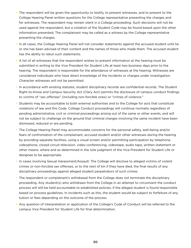- The respondent will be given the opportunity to testify, to present witnesses, and to present to the College Hearing Panel written questions for the College representative presenting the charges and for witnesses. The respondent may remain silent in a College proceeding. Such decisions will not be used against the respondent, but a violation of the Student Code may be found based upon the other information presented. The complainant may be called as a witness by the College representative presenting the charges.
- In all cases, the College Hearing Panel will not consider statements against the accused student until he or she has been advised of their content and the names of those who made them. The accused student has the ability to rebut such statements.
- A list of all witnesses that the respondent wishes to present information at the hearing must be submitted in writing to the Vice President for Student Life at least two business days prior to the hearing. The respondent is responsible for the attendance of witnesses at the hearing. Witnesses are considered individuals who have direct knowledge of the incidents or charges under investigation. Character witnesses will not be permitted.
- In accordance with existing statutes, student disciplinary records are confidential records. The Student Right-to-Know and Campus Security Act (Clery Act) permits the disclosure of campus conduct findings to victims of "sex offenses" (including non-forcible ones) or "crimes of violence."
- Students may be accountable to both external authorities and to the College for acts that constitute violations of law and this Code. College Conduct proceedings will continue normally regardless of pending administrative, civil or criminal proceedings arising out of the same or other events, and will not be subject to challenge on the ground that criminal charges involving the same incident have been dismissed, reduced or are pending.
- The College Hearing Panel may accommodate concerns for the personal safety, well-being and/or fears of confrontation of the complainant, accused student and/or other witnesses during the hearing by providing separate facilities, using a visual screen and/or permitting participation by telephone, videophone, closed circuit television, video conferencing, videotape, audio tape, written statement or other means, where and as determined in the sole judgment of the Vice President for Student Life or designee to be appropriate.
- In cases involving Sexual Harassment/Assault: The College will disclose to alleged victims of violent crimes or non-forcible sex offenses, or to the next of kin if they have died, the final results of any disciplinary proceedings against alleged student perpetrators of such crimes.
- The respondent or complainant's withdrawal from the College does not terminate the disciplinary proceeding. Any student(s) who withdraws from the College in an attempt to circumvent the conduct process will still be held accountable to established policies, if the alleged student is found responsible based on process guidelines. In incidents such as this, the student would be subject to forfeiture of any tuition or fees depending on the outcome of the process.
- Any question of interpretation or application of the College's Code of Conduct will be referred to the campus Vice President for Student Life for final determination.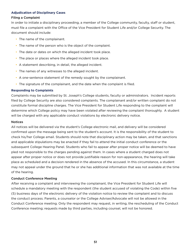#### **Adjudication of Disciplinary Cases**

#### Filing a Complaint

In order to initiate a disciplinary proceeding, a member of the College community, faculty, staff or student, must file a complaint with the Office of the Vice President for Student Life and/or College Security. The document should include:

- The name of the complainant.
- The name of the person who is the object of the complaint.
- The date or dates on which the alleged incident took place.
- The place or places where the alleged incident took place.
- A statement describing, in detail, the alleged incident.
- The names of any witnesses to the alleged incident.
- A one-sentence statement of the remedy sought by the complainant.
- The signature of the complainant, and the date when the complaint is filed.

# **Responding to Complaints**

Complaints may be submitted by St. Joseph's College students, faculty or administrators. Incident reports filed by College Security are also considered complaints. The complainant and/or written complaint do not constitute formal discipline charges. The Vice President for Student Life responding to the complaint will determine which College policy may have been violated after reviewing the complaint thoroughly. A student will be charged with any applicable conduct violations by electronic delivery notice.

#### Notices

All notices will be delivered via the student's College electronic mail, and delivery will be considered confirmed upon the message being sent to the student's account. It is the responsibility of the student to check his/her College email. Students should note that disciplinary action may be taken, and that sanctions and applicable stipulations may be enacted if they fail to attend the initial conduct conference or the subsequent College Hearing Panel. Students who fail to appear after proper notice will be deemed to have pled not responsible to the charges pending against them. In cases where a student charged does not appear after proper notice or does not provide justifiable reason for non-appearance, the hearing will take place as scheduled and a decision rendered in the absence of the accused. In this circumstance, a student may not appeal under the ground that he or she has additional information that was not available at the time of the hearing.

# Conduct Conference Meeting

After receiving a complaint and interviewing the complainant, the Vice President for Student Life will schedule a mandatory meeting with the respondent (the student accused of violating the Code) within five (5) business days of the electronic delivery of the violation notice to review the complaint and to discuss the conduct process. Parents, a counselor or the College Adviser/Advocate will not be allowed in the Conduct Conference meeting. Only the respondent may request, in writing, the rescheduling of the Conduct Conference meeting; requests made by third parties, including counsel, will not be honored.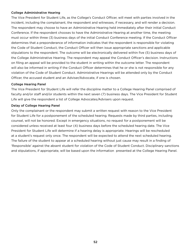# College Administrative Hearing

The Vice President for Student Life, as the College's Conduct Officer, will meet with parties involved in the incident, including the complainant, the respondent and witnesses, if necessary, and will render a decision. The respondent may choose to have an Administrative Hearing held immediately after their initial Conduct Conference. If the respondent chooses to have the Administrative Hearing at another time, the meeting must occur within three (3) business days of the initial Conduct Conference meeting. If the Conduct Officer determines that a preponderance of information indicates that the respondent is responsible for violating the Code of Student Conduct, the Conduct Officer will then issue appropriate sanctions and applicable stipulations to the respondent. The outcome will be electronically delivered within five (5) business days of the College Administrative Hearing. The respondent may appeal the Conduct Officer's decision. Instructions on filing an appeal will be provided to the student in writing within the outcome letter. The respondent will also be informed in writing if the Conduct Officer determines that he or she is not responsible for any violation of the Code of Student Conduct. Administrative Hearings will be attended only by the Conduct Officer, the accused student and an Adviser/Advocate, if one is chosen.

# College Hearing Panel

The Vice President for Student Life will refer the discipline matter to a College Hearing Panel comprised of faculty and/or staff and/or students within the next seven (7) business days. The Vice President for Student Life will give the respondent a list of College Advocates/Advisers upon request.

# Delay of College Hearing Panel

Only the complainant or the respondent may submit a written request with reason to the Vice President for Student Life for a postponement of the scheduled hearing. Requests made by third parties, including counsel, will not be honored. Except in emergency situations, no request for a postponement will be considered unless received at least four (4) business days before the scheduled hearing date. The Vice President for Student Life will determine if a hearing delay is appropriate. Hearings will be rescheduled at a student's request only once. The respondent will be expected to attend the next scheduled hearing. The failure of the student to appear at a scheduled hearing without just cause may result in a finding of 'Responsible' against the absent student for violation of the Code of Student Conduct. Disciplinary sanctions and stipulations, if appropriate, will be based upon the information presented at the College Hearing Panel.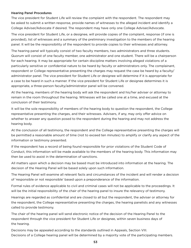# Hearing Panel Procedures

The vice president for Student Life will review the complaint with the respondent. The respondent may be asked to submit a written response, provide names of witnesses to the alleged incident and identify a College Adviser/Advocate if desired. The respondent may have only one College Adviser/Advocate.

The vice president for Student Life, or a designee, will provide copies of the complaint, response (if one is provided), list of witnesses and a summary of the preliminary investigation to the members of the hearing panel. It will be the responsibility of the respondent to provide copies to their witnesses and attorney.

The hearing panel will typically consist of two faculty members, two administrators and three students. Quorum will consist of one faculty member, one administrator and one student. There will be a chairperson for each hearing. It may be appropriate for certain discipline matters involving alleged violations of a particularly sensitive or confidential nature to be heard by faculty or administrators only. The complainant, respondent or College representative presenting the charges may request the case be heard by a faculty/ administrator panel. The vice president for Student Life or designee will determine if it is appropriate for a case to be heard in such a manner. If the vice president for Student Life or designee determines it is appropriate, a three-person faculty/administrator panel will be convened.

At the hearing, members of the hearing body will ask the respondent and his/her adviser or attorney to remain in the room throughout the hearing. Witnesses will be called one at a time, and excused at the conclusion of their testimony.

It will be the sole responsibility of members of the hearing body to question the respondent, the College representative presenting the charges, and their witnesses. Advisers, if any, may only offer advice on whether to answer any question posed to the respondent during the hearing and may not address the hearing body.

At the conclusion of all testimony, the respondent and the College representative presenting the charges will be permitted a reasonable amount of time (not to exceed ten minutes) to amplify or clarify any aspect of the information or testimony presented.

If the respondent has a record of being found responsible for prior violations of the Student Code of Conduct, this information will be made available to the members of the hearing body. This information may then be used to assist in the determination of sanctions.

All matters upon which a decision may be based must be introduced into information at the hearing. The decision of the Hearing Panel will be based solely upon such information.

The Hearing Panel will examine all relevant facts and circumstances of the incident and will render a decision of 'responsible or not responsible' based upon a preponderance of the information.

Formal rules of evidence applicable to civil and criminal cases will not be applicable to the proceedings. It will be the initial responsibility of the chair of the hearing panel to insure the relevancy of testimony.

Hearings are regarded as confidential and are closed to all but the respondent, the adviser or attorney for the respondent, the College representative presenting the charges, the hearing panelists and any witnesses called to provide testimony.

The chair of the hearing panel will send electronic notice of the decision of the Hearing Panel to the respondent through the vice president for Student Life or designee, within seven business days of the hearing.

Decisions may be appealed according to the standards outlined in Appeals, Section VIII. Decisions of a College hearing panel will be determined by a majority vote of the participating members.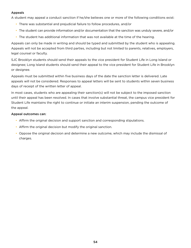# Appeals

A student may appeal a conduct sanction if he/she believes one or more of the following conditions exist:

- There was substantial and prejudicial failure to follow procedures, and/or
- The student can provide information and/or documentation that the sanction was unduly severe, and/or
- The student has additional information that was not available at the time of the hearing.

Appeals can only be made in writing and should be typed and submitted by the student who is appealing. Appeals will not be accepted from third parties, including but not limited to parents, relatives, employers, legal counsel or faculty.

SJC Brooklyn students should send their appeals to the vice president for Student Life in Long Island or designee; Long Island students should send their appeal to the vice president for Student Life in Brooklyn or designee.

Appeals must be submitted within five business days of the date the sanction letter is delivered. Late appeals will not be considered. Responses to appeal letters will be sent to students within seven business days of receipt of the written letter of appeal.

In most cases, students who are appealing their sanction(s) will not be subject to the imposed sanction until their appeal has been resolved. In cases that involve substantial threat, the campus vice president for Student Life maintains the right to continue or initiate an interim suspension, pending the outcome of the appeal.

# Appeal outcomes can:

- Affirm the original decision and support sanction and corresponding stipulations.
- Affirm the original decision but modify the original sanction.
- Oppose the original decision and determine a new outcome, which may include the dismissal of charges.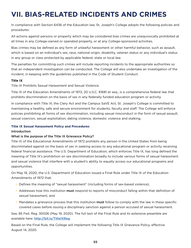# <span id="page-54-0"></span>**VII. BIAS-RELATED INCIDENTS AND CRIMES**

In compliance with Section 6436 of the Education law, St. Joseph's College adopts the following policies and procedures:

All actions against persons or property which may be considered bias crimes are unequivocally prohibited at all times in any College-owned or operated property, or at any College-sponsored activities.

Bias crimes may be defined as any form of unlawful harassment or other harmful behavior, such as assault, which is based on an individual's sex, race, national origin, disability, veteran status or any individual's status in any group or class protected by applicable federal, state or local law.

The penalties for committing such crimes will include reporting incidents to the appropriate authorities so that an independent investigation can be conducted. The College will also undertake an investigation of the incident, in keeping with the guidelines published in the Code of Student Conduct.

# **Title IX**

Title IX Prohibits Sexual Harassment and Sexual Violence.

Title IX of the Education Amendments of 1972, 20 U.S.C. §1681 et seq., is a comprehensive federal law that prohibits discrimination on the basis of sex in any federally funded education program or activity.

In compliance with Title IX, the Clery Act and the Campus SaVE Act, St. Joseph's College is committed to maintaining a healthy, safe and secure environment for students, faculty and staff. The College will enforce policies prohibiting all forms of sex discrimination, including sexual misconduct in the form of sexual assault, sexual coercion, sexual exploitation, dating violence, domestic violence and stalking.

# **Title IX Sexual Harassment Policy and Procedures**

# Introduction

# What is the purpose of the Title IX Grievance Policy?

Title IX of the Educational Amendments of 1972 prohibits any person in the United States from being discriminated against on the basis of sex in seeking access to any educational program or activity receiving federal financial assistance. The U.S. Department of Education, which enforces Title IX, has long defined the meaning of Title IX's prohibition on sex discrimination broadly to include various forms of sexual harassment and sexual violence that interfere with a student's ability to equally access our educational programs and opportunities.

On May 19, 2020, the U.S. Department of Education issued a Final Rule under Title IX of the Education Amendments of 1972 that:

- Defines the meaning of "sexual harassment" (including forms of sex-based violence),
- Addresses how this institution **must** respond to reports of misconduct falling within that definition of sexual harassment, and
- Mandates a grievance process that this institution **must** follow to comply with the law in these specific covered cases before issuing a disciplinary sanction against a person accused of sexual harassment.

See, 85 Fed. Reg. 30026 (May 19, 2020). The full text of the Final Rule and its extensive preamble are available here: <http://bit.ly/TitleIXReg>

Based on the Final Rule, the College will implement the following Title IX Grievance Policy, effective August 14, 2020.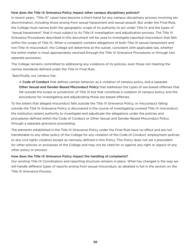# How does the Title IX Grievance Policy impact other campus disciplinary policies?

In recent years, "Title IX" cases have become a short-hand for any campus disciplinary process involving sex discrimination, including those arising from sexual harassment and sexual assault. But under the Final Rule, the College must narrow both the geographic scope of its authority to act under Title IX and the types of "sexual harassment" that it must subject to its Title IX investigation and adjudication process. The Title IX Grievance Procedures described in this document will be used to investigate reported misconduct that falls within the scope of Title IX. When a complaint contains allegations of both Title IX sexual harassment and non-Title IX misconduct, the College will determine at the outset, consistent with applicable law, whether the entire matter is most appropriately resolved through the Title IX Grievance Procedures or through two separate processes.

The College remains committed to addressing any violations of its policies, even those not meeting the narrow standards defined under the Title IX Final Rule.

Specifically, our campus has:

• A Code of Conduct that defines certain behavior as a violation of campus policy, and a separate Other Sexual and Gender-Based Misconduct Policy that addresses the types of sex-based offenses that fall outside the scope or jurisdiction of Title IX but that constitute a violation of campus policy, and the procedures for investigating and adjudicating those sex-based offenses.

To the extent that alleged misconduct falls outside the Title IX Grievance Policy, or misconduct falling outside the Title IX Grievance Policy is discovered in the course of investigating covered Title IX misconduct, the institution retains authority to investigate and adjudicate the allegations under the policies and procedures defined within the Code of Conduct or Other Sexual and Gender-Based Misconduct Policy through a separate grievance proceeding.

The elements established in the Title IX Grievance Policy under the Final Rule have no effect and are not transferable to any other policy of the College for any violation of the Code of Conduct, employment policies or any civil rights violation except as narrowly defined in this Policy. This Policy does not set a precedent for other policies or processes of the College and may not be cited for or against any right or aspect of any other policy or process.

# How does the Title IX Grievance Policy impact the handling of complaints?

Our existing Title IX Coordinators and reporting structure remains in place. What has changed is the way we will handle different types of reports arising from sexual misconduct, as detailed in full in the section on the Title IX Grievance Process.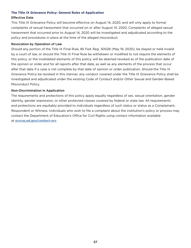# **The Title IX Grievance Policy: General Rules of Application**

# Effective Date

This Title IX Grievance Policy will become effective on August 14, 2020, and will only apply to formal complaints of sexual harassment that occurred on or after August 14, 2020. Complaints of alleged sexual harassment that occurred prior to August 14, 2020 will be investigated and adjudicated according to the policy and procedures in place at the time of the alleged misconduct.

# Revocation by Operation of Law

Should any portion of the Title IX Final Rule, 85 Fed. Reg. 30026 (May 19, 2020), be stayed or held invalid by a court of law, or should the Title IX Final Rule be withdrawn or modified to not require the elements of this policy, or the invalidated elements of this policy, will be deemed revoked as of the publication date of the opinion or order and for all reports after that date, as well as any elements of the process that occur after that date if a case is not complete by that date of opinion or order publication. Should the Title IX Grievance Policy be revoked in this manner, any conduct covered under the Title IX Grievance Policy shall be investigated and adjudicated under the existing Code of Conduct and/or Other Sexual and Gender-Based Misconduct Policy.

# Non-Discrimination in Application

The requirements and protections of this policy apply equally regardless of sex, sexual orientation, gender identity, gender expression, or other protected classes covered by federal or state law. All requirements and protections are equitably provided to individuals regardless of such status or status as a Complainant, Respondent or Witness. Individuals who wish to file a complaint about the institution's policy or process may contact the Department of Education's Office for Civil Rights using contact information available at [ocrcas.ed.gov/contact-ocr](https://ocrcas.ed.gov/contact-ocr).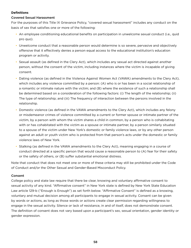# **Definitions**

# Covered Sexual Harassment

For the purposes of this Title IX Grievance Policy, "covered sexual harassment" includes any conduct on the basis of sex that satisfies one or more of the following:

- An employee conditioning educational benefits on participation in unwelcome sexual conduct (i.e., quid pro quo).
- Unwelcome conduct that a reasonable person would determine is so severe, pervasive and objectively offensive that it effectively denies a person equal access to the educational institution's education program or activity.
- Sexual assault (as defined in the Clery Act), which includes any sexual act directed against another person, without the consent of the victim, including instances where the victim is incapable of giving consent.
- Dating violence (as defined in the Violence Against Women Act (VAWA) amendments to the Clery Act), which includes any violence committed by a person: (A) who is or has been in a social relationship of a romantic or intimate nature with the victim; and (B) where the existence of such a relationship shall be determined based on a consideration of the following factors: (i) The length of the relationship; (ii) The type of relationship; and (iii) The frequency of interaction between the persons involved in the relationship.
- Domestic violence (as defined in the VAWA amendments to the Clery Act), which includes any felony or misdemeanor crimes of violence committed by a current or former spouse or intimate partner of the victim, by a person with whom the victim shares a child in common, by a person who is cohabitating with or has cohabitated with the victim as a spouse or intimate partner, by a person similarly situated to a spouse of the victim under New York's domestic or family violence laws, or by any other person against an adult or youth victim who is protected from that person's acts under the domestic or family violence laws of New York.
- Stalking (as defined in the VAWA amendments to the Clery Act), meaning engaging in a course of conduct directed at a specific person that would cause a reasonable person to (A) fear for their safety or the safety of others, or (B) suffer substantial emotional distress.

Note that conduct that does not meet one or more of these criteria may still be prohibited under the Code of Conduct and/or the Other Sexual and Gender-Based Misconduct Policy.

# Consent

College policy and state law require that there be clear, knowing and voluntary affirmative consent to sexual activity of any kind. "Affirmative consent" in New York state is defined by New York State Education Law article 129-b ("Enough is Enough") as set forth below. "Affirmative Consent" is defined as a knowing, voluntary and mutual decision among all participants to engage in sexual activity. Consent can be given by words or actions, as long as those words or actions create clear permission regarding willingness to engage in the sexual activity. Silence or lack of resistance, in and of itself, does not demonstrate consent. The definition of consent does not vary based upon a participant's sex, sexual orientation, gender identity or gender expression.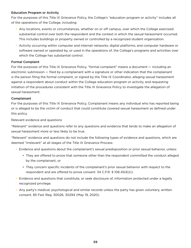# Education Program or Activity

For the purposes of this Title IX Grievance Policy, the College's "education program or activity" includes all of the operations of the College, including:

- Any locations, events or circumstances, whether on or off campus, over which the College exercised substantial control over both the respondent and the context in which the sexual harassment occurred. This includes buildings or property owned or controlled by a recognized student organization.
- Activity occurring within computer and internet networks; digital platforms; and computer hardware or software owned or operated by, or used in the operations of, the College's programs and activities over which the College has substantial control.

# Formal Complaint

For the purposes of this Title IX Grievance Policy, "formal complaint" means a document — including an electronic submission — filed by a complainant with a signature or other indication that the complainant is the person filing the formal complaint, or signed by the Title IX Coordinator, alleging sexual harassment against a respondent about conduct within the College education program or activity, and requesting initiation of the procedures consistent with the Title IX Grievance Policy to investigate the allegation of sexual harassment.

# Complainant

For the purposes of this Title IX Grievance Policy, Complainant means any individual who has reported being or is alleged to be the victim of conduct that could constitute covered sexual harassment as defined under this policy.

# Relevant evidence and questions

"Relevant" evidence and questions refer to any questions and evidence that tends to make an allegation of sexual harassment more or less likely to be true.

"Relevant" evidence and questions do not include the following types of evidence and questions, which are deemed "irrelevant" at all stages of the Title IX Grievance Process:

- Evidence and questions about the complainant's sexual predisposition or prior sexual behavior, unless:
	- They are offered to prove that someone other than the respondent committed the conduct alleged by the complainant, or
	- They concern specific incidents of the complainant's prior sexual behavior with respect to the respondent and are offered to prove consent. 34 C.F.R. § 106.45(6)(i).
- Evidence and questions that constitute, or seek disclosure of, information protected under a legally recognized privilege.
- Any party's medical, psychological and similar records unless the party has given voluntary, written consent. 85 Fed. Reg. 30026, 30294 (May 19, 2020).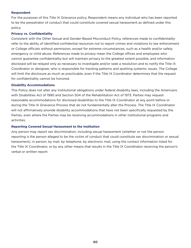#### **Respondent**

For the purposes of this Title IX Grievance policy, Respondent means any individual who has been reported to be the perpetrator of conduct that could constitute covered sexual harassment as defined under this policy.

#### **Privacy vs. Confidentiality**

Consistent with the Other Sexual and Gender-Based Misconduct Policy, references made to *confidentiality* refer to the ability of identified confidential resources not to report crimes and violations to law enforcement or College officials without permission, except for extreme circumstances, such as a health and/or safety emergency or child abuse. References made to *privacy* mean the College offices and employees who cannot guarantee confidentiality but will maintain privacy to the greatest extent possible, and information disclosed will be relayed only as necessary to investigate and/or seek a resolution and to notify the Title IX Coordinator or designee, who is responsible for tracking patterns and spotting systemic issues. The College will limit the disclosure as much as practicable, even if the Title IX Coordinator determines that the request for confidentiality cannot be honored.

#### **Disability Accommodations**

This Policy does not alter any institutional obligations under federal disability laws, including the Americans with Disabilities Act of 1990 and Section 504 of the Rehabilitation Act of 1973. Parties may request reasonable accommodations for disclosed disabilities to the Title IX Coordinator at any point before or during the Title IX Grievance Process that do not fundamentally alter the Process. The Title IX Coordinator will not affirmatively provide disability accommodations that have not been specifically requested by the Parties, even where the Parties may be receiving accommodations in other institutional programs and activities.

# **Reporting Covered Sexual Harassment to the Institution**

Any person may report sex discrimination, including sexual harassment (whether or not the person reporting is the person alleged to be the victim of conduct that could constitute sex discrimination or sexual harassment), in person, by mail, by telephone, by electronic mail, using the contact information listed for the Title IX Coordinator, or by any other means that results in the Title IX Coordinator receiving the person's verbal or written report.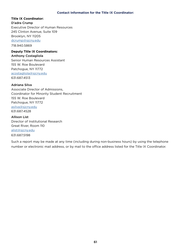#### **Contact Information for the Title IX Coordinator:**

# **Title IX Coordinator:**

D'adra Crump Executive Director of Human Resources 245 Clinton Avenue, Suite 109 Brooklyn, NY 11205 [dcrump@sjcny.edu](mailto:dcrump%40sjcny.edu?subject=) 718.940.5869

# **Deputy Title IX Coordinators:**

Anthony Costagliola Senior Human Resources Assistant

155 W. Roe Boulevard Patchogue, NY 11772 [acostagliola@sjcny.edu](mailto:acostagliola%40sjcny.edu?subject=) 631.687.4513

# Adriana Silva

Associate Director of Admissions, Coordinator for Minority Student Recruitment 155 W. Roe Boulevard Patchogue, NY 11772 [asilva@sjcny.edu](mailto:asilva%40sjcny.edu?subject=) 631.687.4528

Allison List Director of Institutional Research Great River, Room 110 [alist@sjcny.edu](mailto:alist%40sjcny.edu?subject=) 631.687.5198

Such a report may be made at any time (including during non-business hours) by using the telephone number or electronic mail address, or by mail to the office address listed for the Title IX Coordinator.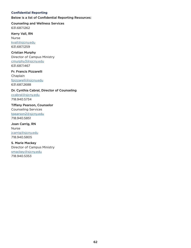# **Confidential Reporting**

Below is a list of Confidential Reporting Resources:

Counseling and Wellness Services 631.687.1262

Kerry Vall, RN Nurse [kvall@sjcny.edu](mailto:kvall%40sjcny.edu?subject=) 631.687.1259

Cristian Murphy Director of Campus Ministry [cmurphy3@sjcny.edu](mailto:cmurphy3%40sjcny.edu?subject=) 631.687.1467

Fr. Francis Pizzarelli Chaplain [fpizzarelli@sjcny.edu](mailto:fpizzarelli%40sjcny.edu?subject=) 631.687.2688

Dr. Cynthia Cabral, Director of Counseling

[ccabral@sjcny.edu](mailto:ccabral%40sjcny.edu?subject=) 718.940.5734

Tiffany Pearson, Counselor Counseling Services [tpearson2@sjcny.edu](mailto:tpearson2%40sjcny.edu?subject=) 718.940.5851

Joan Carrig, RN Nurse [jcarrig@sjcny.edu](mailto:jcarrig%40sjcny.edu?subject=) 718.940.5805

S. Marie Mackey Director of Campus Ministry [smackey@sjcny.edu](mailto:smackey%40sjcny.edu?subject=) 718.940.5353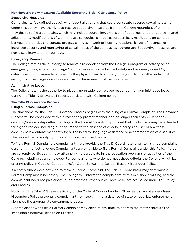#### **Non-Investigatory Measures Available Under the Title IX Grievance Policy**

#### Supportive Measures

Complainants (as defined above), who report allegations that could constitute covered sexual harassment under this policy, have the right to receive supportive measures from the College regardless of whether they desire to file a complaint, which may include counseling, extension of deadlines or other course-related adjustments, modifications of work or class schedules, campus escort services, restrictions on contact between the parties (no contact orders), changes in work or housing locations, leaves of absence, or increased security and monitoring of certain areas of the campus, as appropriate. Supportive measures are non-disciplinary and non-punitive.

#### Emergency Removal

The College retains the authority to remove a respondent from the College's program or activity on an emergency basis, where the College (1) undertakes an individualized safety and risk analysis and (2) determines that an immediate threat to the physical health or safety of any student or other individual arising from the allegations of covered sexual harassment justifies a removal.

#### Administrative Leave

The College retains the authority to place a non-student employee respondent on administrative leave during the Title IX Grievance Process, consistent with College policy.

# **The Title IX Grievance Process**

# Filing a Formal Complaint

The timeframe for the Title IX Grievance Process begins with the filing of a Formal Complaint. The Grievance Process will be concluded within a reasonably prompt manner, and no longer than sixty (60) school/ calendar/business days after the filing of the Formal Complaint, provided that the Process may be extended for a good reason, including but not limited to the absence of a party, a party's adviser or a witness; concurrent law enforcement activity; or the need for language assistance or accommodation of disabilities. The procedure for applying for extensions is described below.

To file a Formal Complaint, a complainant must provide the Title IX Coordinator a written, signed complaint describing the facts alleged. Complainants are only able to file a Formal Complaint under this Policy if they are currently participating in, or attempting to participate in, the education programs or activities of the College, including as an employee. For complainants who do not meet these criteria, the College will utilize existing policy in Code of Conduct and/or Other Sexual and Gender-Based Misconduct Policy.

If a complainant does not wish to make a Formal Complaint, the Title IX Coordinator may determine a Formal Complaint is necessary. The College will inform the complainant of this decision in writing, and the complainant need not participate in the process further but will receive all notices issued under this Policy and Process.

Nothing in the Title IX Grievance Policy or the Code of Conduct and/or Other Sexual and Gender-Based Misconduct Policy prevents a complainant from seeking the assistance of state or local law enforcement alongside the appropriate on-campus process.

A complainant who files a Formal Complaint may elect, at any time, to address the matter through the Institution's Informal Resolution Process.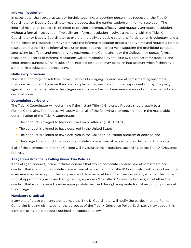#### **Informal Resolution**

In cases other than sexual assault or forcible touching, a reporting person may request, or the Title IX Coordinator or Deputy Coordinator may propose, that the parties explore an informal resolution. The informal resolution process is intended to provide a prompt, effective and mutually agreeable resolution without a formal investigation. Typically, an informal resolution involves a meeting with the Title IX Coordinator or Deputy Coordinator to explore mutually agreeable solutions. Participation is voluntary, and a Complainant or Respondent may terminate the informal resolution process at any time and request a formal resolution. Further, if the informal resolution does not prove effective in stopping the prohibited conduct, addressing its effects and preventing its recurrence, the Complainant or the College may pursue formal resolution. Records of informal resolutions will be maintained by the Title IX Coordinator for tracking and enforcement purposes. The results of an informal resolution may be taken into account when fashioning a sanction in a subsequent proceeding.

# **Multi-Party Situations**

The institution may consolidate Formal Complaints alleging covered sexual harassment against more than one respondent, by more than one complainant against one or more respondents, or by one party against the other party, where the allegations of covered sexual harassment arise out of the same facts or circumstances.

# **Determining Jurisdiction**

The Title IX Coordinator will determine if the instant Title IX Grievance Process should apply to a Formal Complaint. The Process will apply when all of the following elements are met, in the reasonable determination of the Title IX Coordinator:

- The conduct is alleged to have occurred on or after August 14, 2020;
- The conduct is alleged to have occurred in the United States;
- The conduct is alleged to have occurred in the College's education program or activity; and
- The alleged conduct, if true, would constitute covered sexual harassment as defined in this policy.

If all of the elements are met, the College will investigate the allegations according to the Title IX Grievance Process.

# **Allegations Potentially Falling Under Two Policies**

If the alleged conduct, if true, includes conduct that would constitute covered sexual harassment and conduct that would not constitute covered sexual harassment, the Title IX Coordinator will conduct an initial assessment upon receipt of the complaint and determine, at his or her own discretion, whether the matter is most appropriately resolved through a single process (the Title IX Grievance Process) or whether the conduct that is not covered is more appropriately resolved through a separate formal resolution process at the College.

# **Mandatory Dismissal**

If any one of these elements are not met, the Title IX Coordinator will notify the parties that the Formal Complaint is being dismissed for the purposes of the Title IX Grievance Policy. Each party may appeal this dismissal using the procedure outlined in "Appeals" below.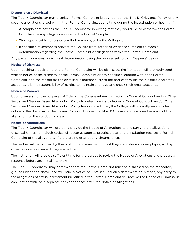# **Discretionary Dismissal**

The Title IX Coordinator may dismiss a Formal Complaint brought under the Title IX Grievance Policy, or any specific allegations raised within that Formal Complaint, at any time during the investigation or hearing if:

- A complainant notifies the Title IX Coordinator in writing that they would like to withdraw the Formal Complaint or any allegations raised in the Formal Complaint;
- The respondent is no longer enrolled or employed by the College; or,
- If specific circumstances prevent the College from gathering evidence sufficient to reach a determination regarding the Formal Complaint or allegations within the Formal Complaint.

Any party may appeal a dismissal determination using the process set forth in "Appeals" below.

#### **Notice of Dismissal**

Upon reaching a decision that the Formal Complaint will be dismissed, the institution will promptly send written notice of the dismissal of the Formal Complaint or any specific allegation within the Formal Complaint, and the reason for the dismissal, simultaneously to the parties through their institutional email accounts. It is the responsibility of parties to maintain and regularly check their email accounts.

#### **Notice of Remova**l

Upon dismissal for the purposes of Title IX, the College retains discretion to Code of Conduct and/or Other Sexual and Gender-Based Misconduct Policy to determine if a violation of Code of Conduct and/or Other Sexual and Gender-Based Misconduct Policy has occurred. If so, the College will promptly send written notice of the dismissal of the Formal Complaint under the Title IX Grievance Process and removal of the allegations to the conduct process.

#### **Notice of Allegations**

The Title IX Coordinator will draft and provide the Notice of Allegations to any party to the allegations of sexual harassment. Such notice will occur as soon as practicable after the institution receives a Formal Complaint of the allegations, if there are no extenuating circumstances.

The parties will be notified by their institutional email accounts if they are a student or employee, and by other reasonable means if they are neither.

The institution will provide sufficient time for the parties to review the Notice of Allegations and prepare a response before any initial interview.

The Title IX Coordinator may determine that the Formal Complaint must be dismissed on the mandatory grounds identified above, and will issue a Notice of Dismissal. If such a determination is made, any party to the allegations of sexual harassment identified in the Formal Complaint will receive the Notice of Dismissal in conjunction with, or in separate correspondence after, the Notice of Allegations.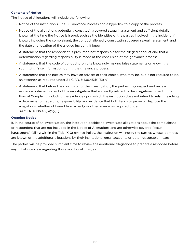# **Contents of Notice**

The Notice of Allegations will include the following:

- Notice of the institution's Title IX Grievance Process and a hyperlink to a copy of the process.
- Notice of the allegations potentially constituting covered sexual harassment and sufficient details known at the time the Notice is issued, such as the identities of the parties involved in the incident, if known, including the complainant; the conduct allegedly constituting covered sexual harassment; and the date and location of the alleged incident, if known.
- A statement that the respondent is presumed not responsible for the alleged conduct and that a determination regarding responsibility is made at the conclusion of the grievance process.
- A statement that the code of conduct prohibits knowingly making false statements or knowingly submitting false information during the grievance process.
- A statement that the parties may have an adviser of their choice, who may be, but is not required to be, an attorney, as required under 34 C.F.R. § 106.45(b)(5)(iv);
- A statement that before the conclusion of the investigation, the parties may inspect and review evidence obtained as part of the investigation that is directly related to the allegations raised in the Formal Complaint, including the evidence upon which the institution does not intend to rely in reaching a determination regarding responsibility, and evidence that both tends to prove or disprove the allegations, whether obtained from a party or other source, as required under 34 C.F.R. § 106.45(b)(5)(vi).

# **Ongoing Notice**

If, in the course of an investigation, the institution decides to investigate allegations about the complainant or respondent that are not included in the Notice of Allegations and are otherwise covered "sexual harassment" falling within the Title IX Grievance Policy, the institution will notify the parties whose identities are known of the additional allegations by their institutional email accounts or other reasonable means.

The parties will be provided sufficient time to review the additional allegations to prepare a response before any initial interview regarding those additional charges.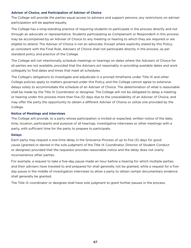## **Adviser of Choice, and Participation of Adviser of Choice**

The College will provide the parties equal access to advisers and support persons; any restrictions on adviser participation will be applied equally.

The College has a long-standing practice of requiring students to participate in the process directly and not through an advocate or representative. Students participating as Complainant or Respondent in this process may be accompanied by an Adviser of Choice to any meeting or hearing to which they are required or are eligible to attend. The Adviser of Choice is not an advocate. Except where explicitly stated by this Policy, as consistent with the Final Rule, Advisers of Choice shall not participate directly in the process, as per standard policy and practice of the College.

The College will not intentionally schedule meetings or hearings on dates where the Advisers of Choice for all parties are not available, provided that the Advisers act reasonably in providing available dates and work collegially to find dates and times that meet all schedules.

The College's obligations to investigate and adjudicate in a prompt timeframe under Title IX and other College policies apply to matters governed under this Policy, and the College cannot agree to extensive delays solely to accommodate the schedule of an Adviser of Choice. The determination of what is reasonable shall be made by the Title IX Coordinator or designee. The College will not be obligated to delay a meeting or hearing under this process more than five (5) days due to the unavailability of an Adviser of Choice, and may offer the party the opportunity to obtain a different Adviser of Choice or utilize one provided by the College.

#### **Notice of Meetings and Interviews**

The College will provide, to a party whose participation is invited or expected, written notice of the date, time, location, participants and purpose of all hearings, investigative interviews or other meetings with a party, with sufficient time for the party to prepare to participate.

#### **Delays**

Each party may request a one-time delay in the Grievance Process of up to five (5) days for good cause (granted or denied in the sole judgment of the Title IX Coordinator, Director of Student Conduct or designee) provided that the requestor provides reasonable notice and the delay does not overly inconvenience other parties.

For example, a request to take a five-day pause made an hour before a hearing for which multiple parties and their advisers have traveled to and prepared for shall generally not be granted, while a request for a fiveday pause in the middle of investigation interviews to allow a party to obtain certain documentary evidence shall generally be granted.

The Title IX coordinator or designee shall have sole judgment to grant further pauses in the process.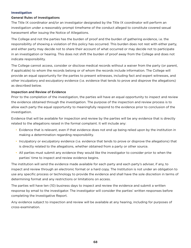#### **Investigation**

# General Rules of Investigations

The Title IX coordinator and/or an investigator designated by the Title IX coordinator will perform an investigation under a reasonably prompt timeframe of the conduct alleged to constitute covered sexual harassment after issuing the Notice of Allegations.

The College and not the parties has the burden of proof and the burden of gathering evidence, i.e. the responsibility of showing a violation of this policy has occurred. This burden does not rest with either party, and either party may decide not to share their account of what occurred or may decide not to participate in an investigation or hearing. This does not shift the burden of proof away from the College and does not indicate responsibility.

The College cannot access, consider or disclose medical records without a waiver from the party (or parent, if applicable) to whom the records belong or of whom the records include information. The College will provide an equal opportunity for the parties to present witnesses, including fact and expert witnesses, and other inculpatory and exculpatory evidence (i.e. evidence that tends to prove and disprove the allegations) as described below.

# Inspection and Review of Evidence

Prior to the completion of the investigation, the parties will have an equal opportunity to inspect and review the evidence obtained through the investigation. The purpose of the inspection and review process is to allow each party the equal opportunity to meaningfully respond to the evidence prior to conclusion of the investigation.

Evidence that will be available for inspection and review by the parties will be any evidence that is directly related to the allegations raised in the formal complaint. It will include any:

- Evidence that is relevant, even if that evidence does not end up being relied upon by the institution in making a determination regarding responsibility.
- Inculpatory or exculpatory evidence (i.e. evidence that tends to prove or disprove the allegations) that is directly related to the allegations, whether obtained from a party or other source.
- All parties must submit any evidence they would like the investigator to consider prior to when the parties' time to inspect and review evidence begins.

The institution will send the evidence made available for each party and each party's adviser, if any, to inspect and review through an electronic format or a hard copy. The Institution is not under an obligation to use any specific process or technology to provide the evidence and shall have the sole discretion in terms of determining format and any restrictions or limitations on access.

The parties will have ten (10) business days to inspect and review the evidence and submit a written response by email to the investigator. The investigator will consider the parties' written responses before completing the Investigative Report.

Any evidence subject to inspection and review will be available at any hearing, including for purposes of cross-examination.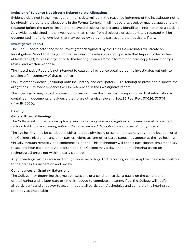#### **Inclusion of Evidence Not Directly Related to the Allegations**

Evidence obtained in the investigation that is determined in the reasoned judgment of the investigator not to be directly related to the allegations in the Formal Complaint will not be disclosed, or may be appropriately redacted before the parties' inspection to avoid disclosure of personally identifiable information of a student. Any evidence obtained in the investigation that is kept from disclosure or appropriately redacted will be documented in a "privilege log" that may be reviewed by the parties and their advisers, if any.

#### **Investigative Report**

The Title IX coordinator and/or an investigator designated by the Title IX coordinator will create an Investigative Report that fairly summarizes relevant evidence and will provide that Report to the parties at least ten (10) business days prior to the hearing in an electronic format or a hard copy for each party's review and written response.

The Investigative Report is not intended to catalog all evidence obtained by the investigator, but only to provide a fair summary of that evidence.

Only relevant evidence (including both inculpatory and exculpatory — i.e. tending to prove and disprove the allegations — relevant evidence) will be referenced in the investigative report.

The investigator may redact irrelevant information from the investigative report when that information is contained in documents or evidence that is/are otherwise relevant. See, 85 Fed. Reg. 30026, 30304 (May 19, 2020).

#### **Hearing**

# General Rules of Hearings

The College will not issue a disciplinary sanction arising from an allegation of covered sexual harassment without holding a live hearing *unless otherwise resolved through an informal resolution process*.

The live hearing may be conducted with all parties physically present in the same geographic location, or at the College's discretion, any or all parties, witnesses and other participants may appear at the live hearing virtually through remote video conferencing option. This technology will enable participants simultaneously to see and hear each other. At its discretion, the College may delay or adjourn a hearing based on technological errors not within a party's control.

All proceedings will be recorded through audio recording. That recording or transcript will be made available to the parties for inspection and review.

# Continuances or Granting Extensions

The College may determine that multiple sessions or a continuance (i.e. a pause on the continuation of the hearing until a later date or time) is needed to complete a hearing. If so, the College will notify all participants and endeavor to accommodate all participants' schedules and complete the hearing as promptly as practicable.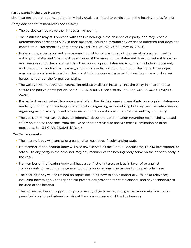# Participants in the Live Hearing

Live hearings are not public, and the only individuals permitted to participate in the hearing are as follows:

# *Complainant and Respondent (The Parties)*

- The parties cannot waive the right to a live hearing.
- The institution may still proceed with the live hearing in the absence of a party, and may reach a determination of responsibility in their absence, including through any evidence gathered that does not constitute a "statement" by that party. 85 Fed. Reg. 30026, 30361 (May 19, 2020).
- For example, a verbal or written statement constituting part or all of the sexual harassment itself is not a "prior statement" that must be excluded if the maker of the statement does not submit to crossexamination about that statement. In other words, a prior statement would not include a document, audio recording, audiovisual reading, and digital media, including but not limited to text messages, emails and social media postings that constitute the conduct alleged to have been the act of sexual harassment under the formal complaint.
- The College will not threaten, coerce, intimidate or discriminate against the party in an attempt to secure the party's participation. See 34 C.F.R. § 106.71; see also 85 Fed. Reg. 30026, 30216 (May 19, 2020).
- If a party does not submit to cross-examination, the decision-maker cannot rely on any prior statements made by that party in reaching a determination regarding responsibility, but may reach a determination regarding responsibility based on evidence that does not constitute a "statement" by that party.
- The decision-maker cannot draw an inference about the determination regarding responsibility based solely on a party's absence from the live hearing or refusal to answer cross examination or other questions. See 34 C.F.R. §106.45(b)(6)(i).

# *The Decision-maker*

- The hearing body will consist of a panel of at least three faculty and/or staff.
- No member of the hearing body will also have served as the Title IX Coordinator, Title IX investigator, or adviser to any party in the case, nor may any member of the hearing body serve on the appeals body in the case.
- No member of the hearing body will have a conflict of interest or bias in favor of or against complainants or respondents generally, or in favor or against the parties to the particular case.
- The hearing body will be trained on topics including how to serve impartially, issues of relevance, including how to apply the rape shield protections provided for complainants, and any technology to be used at the hearing.
- The parties will have an opportunity to raise any objections regarding a decision-maker's actual or perceived conflicts of interest or bias at the commencement of the live hearing.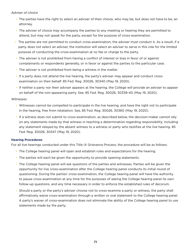# *Adviser of choice*

- The parties have the right to select an adviser of their choice, who may be, but does not have to be, an attorney.
- The adviser of choice may accompany the parties to any meeting or hearing they are permitted to attend, but may not speak for the party, except for the purpose of cross-examination.
- The parties are not permitted to conduct cross-examination; the adviser must conduct it. As a result, if a party does not select an adviser, the institution will select an adviser to serve in this role for the limited purpose of conducting the cross-examination at no fee or charge to the party.
- The adviser is not prohibited from having a conflict of interest or bias in favor of or against complainants or respondents generally, or in favor or against the parties to the particular case.
- The adviser is not prohibited from being a witness in the matter.
- If a party does not attend the live hearing, the party's adviser may appear and conduct crossexamination on their behalf. 85 Fed. Reg. 30026, 30340 (May 19, 2020).
- If neither a party nor their adviser appears at the hearing, the College will provide an adviser to appear on behalf of the non-appearing party. See, 85 Fed. Reg. 30026, 30339-40 (May 19, 2020).

# *Witnesses*

- Witnesses cannot be compelled to participate in the live hearing, and have the right not to participate in the hearing, free from retaliation. See, 85 Fed. Reg. 30026, 30360 (May 19, 2020).
- If a witness does not submit to cross-examination, as described below, the decision-maker cannot rely on any statements made by that witness in reaching a determination regarding responsibility, including any statement relayed by the absent witness to a witness or party who testifies at the live hearing. 85 Fed. Reg. 30026, 30347 (May 19, 2020).

# **Hearing Procedures**

For all live hearings conducted under this Title IX Grievance Process, the procedure will be as follows:

- The College hearing panel will open and establish rules and expectations for the hearing.
- The parties will each be given the opportunity to provide opening statements.
- The College hearing panel will ask questions of the parties and witnesses. Parties will be given the opportunity for live cross-examination after the College hearing panel conducts its initial round of questioning. During the parties' cross-examination, the College hearing panel will have the authority to pause cross-examination at any time for the purposes of asking the College hearing panel its own follow-up questions, and any time necessary in order to enforce the established rules of decorum.
- Should a party or the party's adviser choose not to cross-examine a party or witness, the party shall affirmatively waive cross-examination through a written or oral statement to the College hearing panel. A party's waiver of cross-examination does not eliminate the ability of the College hearing panel to use statements made by the party.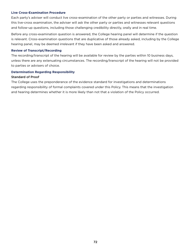#### **Live Cross-Examination Procedure**

Each party's adviser will conduct live cross-examination of the other party or parties and witnesses. During this live-cross examination, the adviser will ask the other party or parties and witnesses relevant questions and follow-up questions, including those challenging credibility directly, orally and in real time.

Before any cross-examination question is answered, the College hearing panel will determine if the question is relevant. Cross-examination questions that are duplicative of those already asked, including by the College hearing panel, may be deemed irrelevant if they have been asked and answered.

#### **Review of Transcript/Recording**

The recording/transcript of the hearing will be available for review by the parties within 10 business days, unless there are any extenuating circumstances. The recording/transcript of the hearing will not be provided to parties or advisers of choice.

# **Determination Regarding Responsibility**

#### Standard of Proof

The College uses the preponderance of the evidence standard for investigations and determinations regarding responsibility of formal complaints covered under this Policy. This means that the investigation and hearing determines whether it is more likely than not that a violation of the Policy occurred.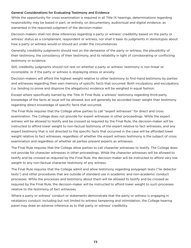### General Considerations for Evaluating Testimony and Evidence

While the opportunity for cross-examination is required in all Title IX hearings, determinations regarding responsibility may be based in part, or entirely, on documentary, audiovisual and digital evidence, as warranted in the reasoned judgment of the decision-maker.

Decision-makers shall not draw inferences regarding a party or witness' credibility based on the party or witness' status as a complainant, respondent or witness, nor shall it base its judgments in stereotypes about how a party or witness would or should act under the circumstances.

Generally, credibility judgments should rest on the demeanor of the party or witness, the plausibility of their testimony, the consistency of their testimony, and its reliability in light of corroborating or conflicting testimony or evidence.

Still, credibility judgments should not rest on whether a party or witness' testimony is non-linear or incomplete, or if the party or witness is displaying stress or anxiety.

Decision-makers will afford the highest weight relative to other testimony to first-hand testimony by parties and witnesses regarding their own memory of specific facts that occurred. Both inculpatory and exculpatory (i.e. tending to prove and disprove the allegations) evidence will be weighed in equal fashion.

Except where specifically barred by the Title IX Final Rule, a witness' testimony regarding third-party knowledge of the facts at issue will be allowed, but will generally be accorded lower weight than testimony regarding direct knowledge of specific facts that occurred.

The Final Rule requires that the College allow parties to call "expert witnesses" for direct and cross examination. The College does not provide for expert witnesses in other proceedings. While the expert witness will be allowed to testify and be crossed as required by the Final Rule, the decision-maker will be instructed to afford lower weight to non-factual testimony of the expert relative to fact witnesses, and any expert testimony that is not directed to the specific facts that occurred in the case will be afforded lower weight relative to fact witnesses, regardless of whether the expert witness testimony is the subject of cross examination and regardless of whether all parties present experts as witnesses.

The Final Rule requires that the College allow parties to call character witnesses to testify. The College does not provide for character witnesses in other proceedings. While the character witnesses will be allowed to testify and be crossed as required by the Final Rule, the decision-maker will be instructed to afford very low weight to any non-factual character testimony of any witness.

The Final Rule requires that the College admit and allow testimony regarding polygraph tests ("lie detector tests") and other procedures that are outside of standard use in academic and non-academic conduct processes. While the processes and testimony about them will be allowed to testify and be crossed as required by the Final Rule, the decision-maker will be instructed to afford lower weight to such processes relative to the testimony of fact witnesses.

Where a party or witness' conduct or statements demonstrate that the party or witness is engaging in retaliatory conduct, including but not limited to witness tampering and intimidation, the College hearing panel may draw an adverse inference as to that party or witness' credibility.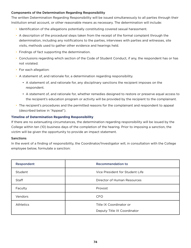# Components of the Determination Regarding Responsibility

The written Determination Regarding Responsibility will be issued simultaneously to all parties through their Institution email account, or other reasonable means as necessary. The determination will include:

- Identification of the allegations potentially constituting covered sexual harassment.
- A description of the procedural steps taken from the receipt of the formal complaint through the determination, including any notifications to the parties, interviews with parties and witnesses, site visits, methods used to gather other evidence and hearings held.
- Findings of fact supporting the determination.
- Conclusions regarding which section of the Code of Student Conduct, if any, the respondent has or has not violated.
- For each allegation:
- A statement of, and rationale for, a determination regarding responsibility.
	- A statement of, and rationale for, any disciplinary sanctions the recipient imposes on the respondent.
	- A statement of, and rationale for, whether remedies designed to restore or preserve equal access to the recipient's education program or activity will be provided by the recipient to the complainant.
- The recipient's procedures and the permitted reasons for the complainant and respondent to appeal (described below in "Appeal").

# **Timeline of Determination Regarding Responsibility**

If there are no extenuating circumstances, the determination regarding responsibility will be issued by the College within ten (10) business days of the completion of the hearing. Prior to imposing a sanction, the victim will be given the opportunity to provide an impact statement.

### Sanctions

In the event of a finding of responsibility, the Coordinator/Investigator will, in consultation with the College employee below, formulate a sanction:

| Respondent       | <b>Recommendation to</b>        |
|------------------|---------------------------------|
| Student          | Vice President for Student Life |
| Staff            | Director of Human Resources     |
| Faculty          | Provost                         |
| Vendors          | <b>CFO</b>                      |
| <b>Athletics</b> | Title IX Coordinator or         |
|                  | Deputy Title IX Coordinator     |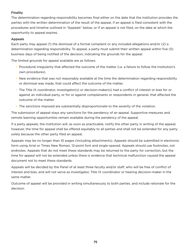# Finality

The determination regarding responsibility becomes final either on the date that the institution provides the parties with the written determination of the result of the appeal, if an appeal is filed consistent with the procedures and timeline outlined in "Appeals" below, or if an appeal is not filed, on the date at which the opportunity to appeal expires.

# Appeals

Each party may appeal (1) the dismissal of a formal complaint or any included allegations and/or (2) a determination regarding responsibility. To appeal, a party must submit their written appeal within five (5) business days of being notified of the decision, indicating the grounds for the appeal.

The limited grounds for appeal available are as follows:

- Procedural irregularity that affected the outcome of the matter (i.e. a failure to follow the Institution's own procedures).
- New evidence that was not reasonably available at the time the determination regarding responsibility or dismissal was made, that could affect the outcome of the matter.
- The Title IX coordinator, investigator(s) or decision-maker(s) had a conflict of interest or bias for or against an individual party, or for or against complainants or respondents in general, that affected the outcome of the matter.
- The sanctions imposed are substantially disproportionate to the severity of the violation.

The submission of appeal stays any sanctions for the pendency of an appeal. Supportive measures and remote learning opportunities remain available during the pendency of the appeal.

If a party appeals, the institution will, as soon as practicable, notify the other party in writing of the appeal; however, the time for appeal shall be offered equitably to all parties and shall not be extended for any party solely because the other party filed an appeal.

Appeals may be no longer than 10 pages (including attachments). Appeals should be submitted in electronic form using Arial or Times New Roman, 12-point font and single-spaced. Appeals should use footnotes, not endnotes. Appeals that do not meet these standards may be returned to the party for correction, but the time for appeal will not be extended unless there is evidence that technical malfunction caused the appeal document not to meet these standards.

Appeals will be decided by the Panel of at least three faculty and/or staff, who will be free of conflict of interest and bias, and will not serve as investigator, Title IX coordinator or hearing decision-maker in the same matter.

Outcome of appeal will be provided in writing simultaneously to both parties, and include rationale for the decision.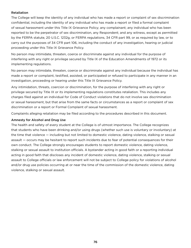## Retaliation

The College will keep the identity of any individual who has made a report or complaint of sex discrimination confidential, including the identity of any individual who has made a report or filed a formal complaint of sexual harassment under this Title IX Grievance Policy; any complainant; any individual who has been reported to be the perpetrator of sex discrimination, any Respondent; and any witness, except as permitted by the FERPA statute, 20 U.S.C. 1232g, or FERPA regulations, 34 CFR part 99, or as required by law, or to carry out the purposes of 34 CFR part 106, including the conduct of any investigation, hearing or judicial proceeding under this Title IX Grievance Policy.

No person may intimidate, threaten, coerce or discriminate against any individual for the purpose of interfering with any right or privilege secured by Title IX of the Education Amendments of 1972 or its implementing regulations.

No person may intimidate, threaten, coerce or discriminate against any individual because the individual has made a report or complaint, testified, assisted, or participated or refused to participate in any manner in an investigation, proceeding or hearing under this Title IX Grievance Policy.

Any intimidation, threats, coercion or discrimination, for the purpose of interfering with any right or privilege secured by Title IX or its implementing regulations constitutes retaliation. This includes any charges filed against an individual for Code of Conduct violations that do not involve sex discrimination or sexual harassment, but that arise from the same facts or circumstances as a report or complaint of sex discrimination or a report or Formal Complaint of sexual harassment.

Complaints alleging retaliation may be filed according to the procedures described in this document.

# Amnesty for Alcohol and Drug Use

The health and safety of every student at the College is of utmost importance. The College recognizes that students who have been drinking and/or using drugs (whether such use is voluntary or involuntary) at the time that violence — including but not limited to domestic violence, dating violence, stalking or sexual assault — occurs may be hesitant to report such incidents due to fear of potential consequences for their own conduct. The College strongly encourages students to report domestic violence, dating violence, stalking or sexual assault to institution officials. A bystander acting in good faith or a reporting individual acting in good faith that discloses any incident of domestic violence, dating violence, stalking or sexual assault to College officials or law enforcement will not be subject to College policy for violations of alcohol and/or drug use policies occurring at or near the time of the commission of the domestic violence, dating violence, stalking or sexual assault.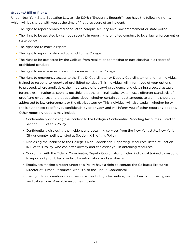### **Students' Bill of Rights**

Under New York State Education Law article 129-b ("Enough is Enough"), you have the following rights, which will be shared with you at the time of first disclosure of an incident:

- The right to report prohibited conduct to campus security, local law enforcement or state police.
- The right to be assisted by campus security in reporting prohibited conduct to local law enforcement or state police.
- The right not to make a report.
- The right to report prohibited conduct to the College.
- The right to be protected by the College from retaliation for making or participating in a report of prohibited conduct.
- The right to receive assistance and resources from the College.
- The right to emergency access to the Title IX Coordinator or Deputy Coordinator, or another individual trained to respond to reports of prohibited conduct. This individual will inform you of your options to proceed; where applicable, the importance of preserving evidence and obtaining a sexual assault forensic examination as soon as possible; that the criminal justice system uses different standards of proof and evidence; and that questions about whether certain conduct amounts to a crime should be addressed to law enforcement or the district attorney. This individual will also explain whether he or she is authorized to offer you confidentiality or privacy, and will inform you of other reporting options. Other reporting options may include:
	- Confidentially disclosing the incident to the College's Confidential Reporting Resources, listed at Section IX.E. of this Policy.
	- Confidentially disclosing the incident and obtaining services from the New York state, New York City or county hotlines, listed at Section IX.E. of this Policy.
	- Disclosing the incident to the College's Non-Confidential Reporting Resources, listed at Section IX.F. of this Policy, who can offer privacy and can assist you in obtaining resources.
	- Consulting with the Title IX Coordinator, Deputy Coordinator or other individual trained to respond to reports of prohibited conduct for information and assistance.
	- Employees making a report under this Policy have a right to contact the College's Executive Director of Human Resources, who is also the Title IX Coordinator.
	- The right to information about resources, including intervention, mental health counseling and medical services. Available resources include: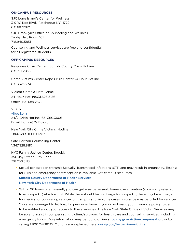#### **ON-CAMPUS RESOURCES**

SJC Long Island's Center for Wellness 319 W. Roe Blvd., Patchogue NY 11772 631.687.1262 SJC Brooklyn's Office of Counseling and Wellness Tuohy Hall, Room 101 718.940.5851

Counseling and Wellness services are free and confidential for all registered students.

#### **OFF-CAMPUS RESOURCES**

Response Crisis Center | Suffolk County Crisis Hotline 631.751.7500

Crime Victims Center Rape Crisis Center 24 Hour Hotline 631.332.9234

Violent Crime & Hate Crime 24-Hour Hotline631.626.3156 Office: 631.689.2672

#### VIBES

[vibesli.org](https://vibesli.org/) 24/7 Crisis Hotline: 631.360.3606 Email: hotline@VIBS.org

New York City Crime Victims' Hotline 1.866.689.HELP (4357)

Safe Horizon Counseling Center 1.347.328.8110

NYC Family Justice Center, Brooklyn 350 Jay Street, 15th Floor 718.250.5113

- Sexual contact can transmit Sexually Transmitted Infections (STI) and may result in pregnancy. Testing for STIs and emergency contraception is available. Off-campus resources: [Suffolk County Department of Health Services](https://www.suffolkcountyny.gov/Departments/Health-Services/Patient-Care/Health-Centers) [New York City Department of Health](https://www1.nyc.gov/site/doh/services/sexual-health-clinics.page)
- Within 96 hours of an assault, you can get a sexual assault forensic examination (commonly referred to as a rape kit) at a hospital. While there should be no charge for a rape kit, there may be a charge for medical or counseling services off campus and, in some cases, insurance may be billed for services. You are encouraged to let hospital personnel know if you do not want your insurance policyholder to be notified about your access to these services. The New York State Office of Victim Services may be able to assist in compensating victims/survivors for health care and counseling services, including emergency funds. More information may be found online at [ovs.ny.gov/victim-compensation](http://ovs.ny.gov/victim-compensation), or by calling 1.800.247.8035. Options are explained here: [ovs.ny.gov/help-crime-victims](https://ovs.ny.gov/help-crime-victims).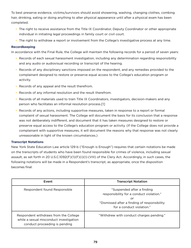To best preserve evidence, victims/survivors should avoid showering, washing, changing clothes, combing hair, drinking, eating or doing anything to alter physical appearance until after a physical exam has been completed.

- The right to receive assistance from the Title IX Coordinator, Deputy Coordinator or other appropriate individual in initiating legal proceedings in family court or civil court.
- The right to withdraw a report or involvement from the College's investigative process at any time.

# **Recordkeeping**

In accordance with the Final Rule, the College will maintain the following records for a period of seven years:

- Records of each sexual harassment investigation, including any determination regarding responsibility and any audio or audiovisual recording or transcript of the hearing.
- Records of any disciplinary sanctions imposed on the respondent, and any remedies provided to the complainant designed to restore or preserve equal access to the College's education program or activity.
- Records of any appeal and the result therefrom.
- Records of any informal resolution and the result therefrom.
- Records of all materials used to train Title IX Coordinators, investigators, decision-makers and any person who facilitates an informal resolution process.[1]
- Records of any actions, including supportive measures, taken in response to a report or formal complaint of sexual harassment. The College will document the basis for its conclusion that a response was not deliberately indifferent, and document that it has taken measures designed to restore or preserve equal access to the College's education program or activity. (If the College does not provide a complainant with supportive measures, it will document the reasons why that response was not clearly unreasonable in light of the known circumstances.)

# **Transcript Notations**

New York State Education Law article 129-b ("Enough is Enough") requires that certain notations be made on the transcripts of students who have been found responsible for crimes of violence, including sexual assault, as set forth in 20 U.S.C.1092(F)(1)(F)(i)(I)-(VIII) of the Clery Act. Accordingly, in such cases, the following notations will be made in a Respondent's transcript, as appropriate, once the disposition becomes final:

| Event                                                                                                             | <b>Transcript Notation</b>                                                                                                                                |
|-------------------------------------------------------------------------------------------------------------------|-----------------------------------------------------------------------------------------------------------------------------------------------------------|
| Respondent found Responsible                                                                                      | "Suspended after a finding<br>responsibility for a conduct violation."<br>or<br>"Dismissed after a finding of responsibility<br>for a conduct violation." |
| Respondent withdraws from the College<br>while a sexual misconduct investigation<br>conduct proceeding is pending | "Withdrew with conduct charges pending."                                                                                                                  |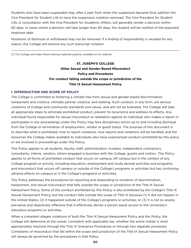Students who have been suspended may, after a year from when the suspension became final, petition the Vice President for Student Life to have the suspension notation removed. The Vice President for Student Life, in consultation with the Vice President for Academic Affairs, will generally render a decision within 60 days. In cases where a decision will take longer than 60 days, the student will be notified of the expected response date.

Notations of dismissal or withdrawal may not be removed. If a finding of responsibility is vacated for any reason, the College will remove any such transcript notation.

 $\_$  ,  $\_$  ,  $\_$  ,  $\_$  ,  $\_$  ,  $\_$  ,  $\_$  ,  $\_$  ,  $\_$  ,  $\_$  ,  $\_$  ,  $\_$  ,  $\_$  ,  $\_$  ,  $\_$  ,  $\_$  ,  $\_$  ,  $\_$  ,  $\_$  ,  $\_$  ,  $\_$  ,  $\_$  ,  $\_$  ,  $\_$  ,  $\_$  ,  $\_$  ,  $\_$  ,  $\_$  ,  $\_$  ,  $\_$  ,  $\_$  ,  $\_$  ,  $\_$  ,  $\_$  ,  $\_$  ,  $\_$  ,  $\_$  ,

[1] The College will make these training materials publicly available on its website.

# **ST. JOSEPH'S COLLEGE Other Sexual and Gender-Based Misconduct Policy and Procedures For conduct falling outside the scope or jurisdiction of the Title IX Sexual Harassment Policy**

### **I. INTRODUCTION AND SCOPE OF POLICY**

The College is committed to fostering a climate free from sexual and gender-based discrimination, harassment and violence, intimate partner violence, and stalking. Such conduct, in any form, are serious violations of College and community standards and values, and will not be tolerated. The College will take all appropriate steps to eliminate prohibited conduct, prevent its recurrence and address its effects. Any individual found responsible for sexual misconduct or retaliation against an individual who makes a report or participates in any proceedings under this Policy may face disciplinary action up to and including dismissal from the College or termination of employment, vendor or guest status. The purpose of this document is to describe what is prohibited, how to report violations, how reports and violations will be handled, and the resources the College makes available to individuals who have experienced conduct prohibited by this policy or are involved in proceedings under this Policy.

This Policy applies to all students, faculty, staff, administrators, trustees, independent contractors, consultants, interns, vendors, others engaged in business with the College, guests and visitors. This Policy applies to all forms of prohibited conduct that occurs on campus; off campus but in the context of any College program or activity, including education, employment and study abroad activities and programs; and misconduct that occurs off campus or outside of the College's programs or activities but has continuing adverse effects on campus or in the College's programs or activities.

This Policy addresses the procedures for reporting and responding to incidents of discrimination, harassment, and sexual misconduct that falls outside the scope or jurisdiction of the Title IX Sexual Harassment Policy. Some of the conduct prohibited by this Policy is also prohibited by the College's Title IX Sexual Harassment Policy, but the conduct falls outside the scope of Title IX because (1) It did not happen in the United States; (2) It happened outside of the College's programs or activities; or (3) It is not so severe, pervasive and objectively offensive that it effectively denies a person equal access to the University's education programs or activities.

When a complaint alleges violations of both the Title IX Sexual Harassment Policy and this Policy, the College will determine at the outset, consistent with applicable law, whether the entire matter is most appropriately resolved through the Title IX Grievance Procedures or through two separate processes. Complaints of misconduct that fall within the scope and jurisdiction of the Title IX Sexual Harassment Policy will always be governed by the procedures in that Policy.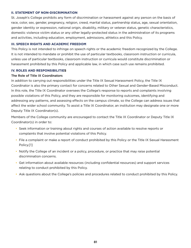#### **II. STATEMENT OF NON-DISCRIMINATION**

St. Joseph's College prohibits any form of discrimination or harassment against any person on the basis of race, color, sex, gender, pregnancy, religion, creed, marital status, partnership status, age, sexual orientation, gender identity or expression, national origin, disability, military or veteran status, genetic characteristics, domestic violence victim status or any other legally-protected status in the administration of its programs and activities, including education, employment, admissions, athletics and this Policy.

### **III. SPEECH RIGHTS AND ACADEMIC FREEDOM**

This Policy is not intended to infringe on speech rights or the academic freedom recognized by the College. It is not intended to mandate or prohibit the use of particular textbooks, classroom instruction or curricula, unless use of particular textbooks, classroom instruction or curricula would constitute discrimination or harassment prohibited by this Policy and applicable law, in which case such use remains prohibited.

#### **IV. ROLES AND RESPONSIBILITIES**

### The Role of Title IX Coordinators

In addition to carrying out responsibilities under the Title IX Sexual Harassment Policy, the Title IX Coordinator is also the primary contact for concerns related to Other Sexual and Gender-Based Misconduct. In this role, the Title IX Coordinator oversees the College's response to reports and complaints involving possible violations of this Policy, and they are responsible for monitoring outcomes, identifying and addressing any patterns, and assessing effects on the campus climate, so the College can address issues that affect the wider school community. To assist a Title IX Coordinator, an institution may designate one or more Deputy Title IX Coordinator(s).

Members of the College community are encouraged to contact the Title IX Coordinator or Deputy Title IX Coordinator(s) in order to:

- Seek information or training about rights and courses of action available to resolve reports or complaints that involve potential violations of this Policy.
- File a complaint or make a report of conduct prohibited by this Policy or the Title IX Sexual Harassment Policy.[1]
- Notify the College of an incident or a policy, procedure, or practice that may raise potential discrimination concerns.
- Get information about available resources (including confidential resources) and support services relating to conduct prohibited by this Policy.
- Ask questions about the College's policies and procedures related to conduct prohibited by this Policy.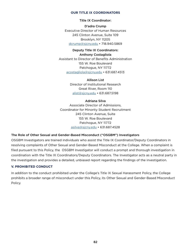### **OUR TITLE IX COORDINATORS**

#### Title IX Coordinator:

D'adra Crump Executive Director of Human Resources 245 Clinton Avenue, Suite 109 Brooklyn, NY 11205 [dcrump@sjcny.edu](mailto:dcrump%40sjcny.edu?subject=) • 718.940.5869

Deputy Title IX Coordinators: Anthony Costagliola Assistant to Director of Benefits Administration 155 W. Roe Boulevard Patchogue, NY 11772 [acostagliola@sjcny.edu](mailto:acostagliola%40sjcny.edu?subject=) • 631.687.4513

> Allison List Director of Institutional Research Great River, Room 110 [alist@sjcny.edu](mailto:alist%40sjcny.edu?subject=) • 631.687.5198

#### Adriana Silva

Associate Director of Admissions, Coordinator for Minority Student Recruitment 245 Clinton Avenue, Suite 155 W. Roe Boulevard Patchogue, NY 11772 [asilva@sjcny.edu](mailto:asilva%40sjcny.edu?subject=) • 631.687.4528

### The Role of Other Sexual and Gender-Based Misconduct ("OSGBM") Investigators

OSGBM Investigators are trained individuals who assist the Title IX Coordinator/Deputy Coordinators in resolving complaints of Other Sexual and Gender-Based Misconduct at the College. When a complaint is filed pursuant to this Policy, the OSGBM Investigator will conduct a prompt and thorough investigation in coordination with the Title IX Coordinators/Deputy Coordinators. The Investigator acts as a neutral party in the investigation and provides a detailed, unbiased report regarding the findings of the investigation.

#### **V. PROHIBITED CONDUCT**

In addition to the conduct prohibited under the College's Title IX Sexual Harassment Policy, the College prohibits a broader range of misconduct under this Policy, its Other Sexual and Gender-Based Misconduct Policy.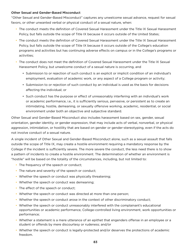### Other Sexual and Gender-Based Misconduct

"Other Sexual and Gender-Based Misconduct" captures any unwelcome sexual advance, request for sexual favors, or other unwanted verbal or physical conduct of a sexual nature, when:

- The conduct meets the definition of Covered Sexual Harassment under the Title IX Sexual Harassment Policy, but falls outside the scope of Title IX because it occurs outside of the United States;
- The conduct meets the definition of Covered Sexual Harassment under the Title IX Sexual Harassment Policy, but falls outside the scope of Title IX because it occurs outside of the College's education programs and activities but has continuing adverse effects on campus or in the College's programs or activities;
- The conduct does not meet the definition of Covered Sexual Harassment under the Title IX Sexual Harassment Policy, but unwelcome conduct of a sexual nature is occurring, and
	- Submission to or rejection of such conduct is an explicit or implicit condition of an individual's employment, evaluation of academic work, or any aspect of a College program or activity;
	- Submission to or rejection of such conduct by an individual is used as the basis for decisions affecting the individual; or
	- Such conduct has the purpose or effect of unreasonably interfering with an individual's work or academic performance, i.e., it is sufficiently serious, pervasive, or persistent as to create an intimidating, hostile, demeaning, or sexually offensive working, academic, residential, or social environment under both an objective and subjective standard.

Other Sexual and Gender-Based Misconduct also includes harassment based on sex, gender, sexual orientation, gender identity, or gender expression, that may include acts of verbal, nonverbal, or physical aggression, intimidation, or hostility that are based on gender or gender-stereotyping, even if the acts do not involve conduct of a sexual nature.

A single incident of Other Sexual and Gender-Based Misconduct alone, such as a sexual assault that falls outside the scope of Title IX, may create a hostile environment requiring a mandatory response by the College if the incident is sufficiently severe. The more severe the conduct, the less need there is to show a pattern of incidents to create a hostile environment. The determination of whether an environment is "hostile" will be based on the totality of the circumstances, including, but not limited to:

- The frequency of the speech or conduct;
- The nature and severity of the speech or conduct;
- Whether the speech or conduct was physically threatening;
- Whether the speech or conduct was demeaning;
- The effect of the speech or conduct;
- Whether the speech or conduct was directed at more than one person;
- Whether the speech or conduct arose in the context of other discriminatory conduct;
- Whether the speech or conduct unreasonably interfered with the complainant's educational opportunities or academic performance, College-controlled living environment, work opportunities or performance;
- Whether a statement is a mere utterance of an epithet that engenders offense in an employee or a student or offends by mere discourtesy or rudeness; and/or
- Whether the speech or conduct is legally-protected and/or deserves the protections of academic freedom.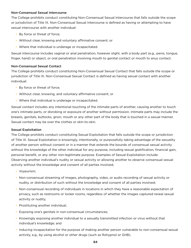### Non-Consensual Sexual Intercourse

The College prohibits conduct constituting Non-Consensual Sexual Intercourse that falls outside the scope or jurisdiction of Title IX. Non-Consensual Sexual Intercourse is defined as having or attempting to have sexual intercourse with another individual:

- By force or threat of force;
- Without clear, knowing and voluntary affirmative consent; or
- Where that individual is underage or incapacitated.

Sexual intercourse includes vaginal or anal penetration, however slight, with a body part (e.g., penis, tongue, finger, hand) or object, or oral penetration involving mouth to genital contact or mouth to anus contact.

### Non-Consensual Sexual Contact

The College prohibits conduct constituting Non-Consensual Sexual Contact that falls outside the scope or jurisdiction of Title IX. Non-Consensual Sexual Contact is defined as having sexual contact with another individual:

- By force or threat of force;
- Without clear, knowing, and voluntary affirmative consent; or
- Where that individual is underage or incapacitated.

Sexual contact includes any intentional touching of the intimate parts of another, causing another to touch one's intimate parts, or disrobing or exposure of another without permission. Intimate parts may include the breasts, genitals, buttocks, groin, mouth or any other part of the body that is touched in a sexual manner. Sexual contact may be over the clothes or skin-to-skin.

#### Sexual Exploitation

The College prohibits conduct constituting Sexual Exploitation that falls outside the scope or jurisdiction of Title IX. Sexual Exploitation is knowingly, intentionally, or purposefully taking advantage of the sexuality of another person without consent or in a manner that extends the bounds of consensual sexual activity without the knowledge of the other individual for any purpose, including sexual gratification, financial gain, personal benefit, or any other non-legitimate purpose. Examples of Sexual Exploitation include: Observing another individual's nudity or sexual activity or allowing another to observe consensual sexual activity without the knowledge and consent of all parties involved;

- Voyeurism;
- Non-consensual streaming of images, photography, video, or audio recording of sexual activity or nudity, or distribution of such without the knowledge and consent of all parties involved;
- Non-consensual recording of individuals in locations in which they have a reasonable expectation of privacy, such as restrooms or locker rooms, regardless of whether the images captured reveal sexual activity or nudity;
- Prostituting another individual;
- Exposing one's genitals in non-consensual circumstances;
- Knowingly exposing another individual to a sexually transmitted infection or virus without that individual's knowledge; and
- Inducing incapacitation for the purpose of making another person vulnerable to non-consensual sexual activity, e.g., by using alcohol or other drugs (such as Rohypnol or GHB).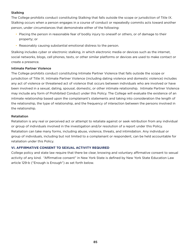## Stalking

The College prohibits conduct constituting Stalking that falls outside the scope or jurisdiction of Title IX. Stalking occurs when a person engages in a course of conduct or repeatedly commits acts toward another person, under circumstances that demonstrate either of the following:

- Placing the person in reasonable fear of bodily injury to oneself or others, or of damage to their property; or
- Reasonably causing substantial emotional distress to the person.

Stalking includes cyber or electronic stalking, in which electronic media or devices such as the internet, social networks, blogs, cell phones, texts, or other similar platforms or devices are used to make contact or create a presence.

### Intimate Partner Violence

The College prohibits conduct constituting Intimate Partner Violence that falls outside the scope or jurisdiction of Title IX. Intimate Partner Violence (including dating violence and domestic violence) includes any act of violence or threatened act of violence that occurs between individuals who are involved or have been involved in a sexual, dating, spousal, domestic, or other intimate relationship. Intimate Partner Violence may include any form of Prohibited Conduct under this Policy. The College will evaluate the existence of an intimate relationship based upon the complainant's statements and taking into consideration the length of the relationship, the type of relationship, and the frequency of interaction between the persons involved in the relationship.

### Retaliation

Retaliation is any real or perceived act or attempt to retaliate against or seek retribution from any individual or group of individuals involved in the investigation and/or resolution of a report under this Policy. Retaliation can take many forms, including abuse, violence, threats, and intimidation. Any individual or group of individuals, including but not limited to a complainant or respondent, can be held accountable for retaliation under this Policy.

### **VI. AFFIRMATIVE CONSENT TO SEXUAL ACTIVITY REQUIRED**

College policy and state law require that there be clear, knowing and voluntary affirmative consent to sexual activity of any kind. "Affirmative consent" in New York State is defined by New York State Education Law article 129-b ("Enough is Enough") as set forth below.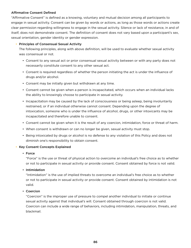# Affirmative Consent Defined

"Affirmative Consent" is defined as a knowing, voluntary and mutual decision among all participants to engage in sexual activity. Consent can be given by words or actions, as long as those words or actions create clear permission regarding willingness to engage in the sexual activity. Silence or lack of resistance, in and of itself, does not demonstrate consent. The definition of consent does not vary based upon a participant's sex, sexual orientation, gender identity or gender expression.

# • Principles of Consensual Sexual Activity

The following principles, along with above definition, will be used to evaluate whether sexual activity was consensual or not.

- Consent to any sexual act or prior consensual sexual activity between or with any party does not necessarily constitute consent to any other sexual act.
- Consent is required regardless of whether the person initiating the act is under the influence of drugs and/or alcohol.
- Consent may be initially given but withdrawn at any time.
- Consent cannot be given when a person is incapacitated, which occurs when an individual lacks the ability to knowingly choose to participate in sexual activity.
- Incapacitation may be caused by the lack of consciousness or being asleep, being involuntarily restrained, or if an individual otherwise cannot consent. Depending upon the degree of intoxication, someone who is under the influence of alcohol, drugs, or other intoxicants may be incapacitated and therefore unable to consent.
- Consent cannot be given when it is the result of any coercion, intimidation, force or threat of harm.
- When consent is withdrawn or can no longer be given, sexual activity must stop.
- Being intoxicated by drugs or alcohol is no defense to any violation of this Policy and does not diminish one's responsibility to obtain consent.

### • Key Consent Concepts Explained

### • Force

"Force" is the use or threat of physical action to overcome an individual's free choice as to whether or not to participate in sexual activity or provide consent. Consent obtained by force is not valid.

# • Intimidation

"Intimidation" is the use of implied threats to overcome an individual's free choice as to whether or not to participate in sexual activity or provide consent. Consent obtained by intimidation is not valid.

### • Coercion

"Coercion" is the improper use of pressure to compel another individual to initiate or continue sexual activity against that individual's will. Consent obtained through coercion is not valid. Coercion can include a wide range of behaviors, including intimidation, manipulation, threats, and blackmail.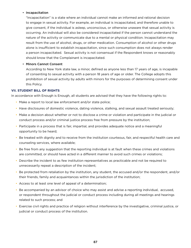### • Incapacitation

"Incapacitation" is a state where an individual cannot make an informed and rational decision to engage in sexual activity. For example, an individual is incapacitated, and therefore unable to give consent, if the individual is asleep, unconscious, or otherwise unaware that sexual activity is occurring. An individual will also be considered incapacitated if the person cannot understand the nature of the activity or communicate due to a mental or physical condition. Incapacitation may result from the use of alcohol, drugs, or other medication. Consumption of alcohol or other drugs alone is insufficient to establish incapacitation, since such consumption does not always render a person incapacitated. Sexual activity is not consensual if the Respondent knows or reasonably should know that the Complainant is incapacitated.

# • Minors Cannot Consent

According to New York state law, a minor, defined as anyone less than 17 years of age, is incapable of consenting to sexual activity with a person 18 years of age or older. The College adopts this prohibition of sexual activity by adults with minors for the purposes of determining consent under this Policy.

# **VII. STUDENT BILL OF RIGHTS**

In accordance with Enough is Enough, all students are advised that they have the following rights to:

- Make a report to local law enforcement and/or state police;
- Have disclosures of domestic violence, dating violence, stalking, and sexual assault treated seriously;
- Make a decision about whether or not to disclose a crime or violation and participate in the judicial or conduct process and/or criminal justice process free from pressure by the institution;
- Participate in a process that is fair, impartial, and provides adequate notice and a meaningful opportunity to be heard;
- Be treated with dignity and to receive from the institution courteous, fair, and respectful health care and counseling services, where available;
- Be free from any suggestion that the reporting individual is at fault when these crimes and violations are committed, or should have acted in a different manner to avoid such crimes or violations;
- Describe the incident to as few institution representatives as practicable and not be required to unnecessarily repeat a description of the incident;
- Be protected from retaliation by the institution, any student, the accused and/or the respondent, and/or their friends, family and acquaintances within the jurisdiction of the institution;
- Access to at least one level of appeal of a determination;
- Be accompanied by an advisor of choice who may assist and advise a reporting individual, accused, or respondent throughout the judicial or conduct process including during all meetings and hearings related to such process; and
- Exercise civil rights and practice of religion without interference by the investigative, criminal justice, or judicial or conduct process of the institution.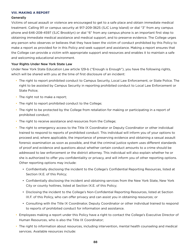#### **VIII. MAKING A REPORT**

#### **Generally**

Victims of sexual assault or violence are encouraged to get to a safe place and obtain immediate medical treatment. Calling 911 or campus security at 917-209-3625 (SJC Long Island) or dial "3" from any campus phone and 646-208-4597 (SJC Brooklyn) or dial "6" from any campus phone is an important first step to obtaining immediate medical assistance and medical support, and to preserve evidence. The College urges any person who observes or believes that they have been the victim of conduct prohibited by this Policy to make a report as provided for in this Policy and seek support and assistance. Making a report ensures that the College can provide a victim with appropriate support and resources and enables it to maintain a safe and welcoming educational environment.

### Your Rights Under New York State Law

Under New York State Education Law article 129-b ("Enough is Enough"), you have the following rights, which will be shared with you at the time of first disclosure of an incident:

- The right to report prohibited conduct to Campus Security, Local Law Enforcement, or State Police. The right to be assisted by Campus Security in reporting prohibited conduct to Local Law Enforcement or State Police;
- The right not to make a report;
- The right to report prohibited conduct to the College;
- The right to be protected by the College from retaliation for making or participating in a report of prohibited conduct;
- The right to receive assistance and resources from the College;
- The right to emergency access to the Title IX Coordinator or Deputy Coordinator or other individual trained to respond to reports of prohibited conduct. This individual will inform you of your options to proceed and, where applicable, the importance of preserving evidence and obtaining a sexual assault forensic examination as soon as possible, and that the criminal justice system uses different standards of proof and evidence and questions about whether certain conduct amounts to a crime should be addressed to law enforcement or the district attorney. This individual will also explain whether he or she is authorized to offer you confidentiality or privacy, and will inform you of other reporting options. Other reporting options may include:
	- Confidentially disclosing the incident to the College's Confidential Reporting Resources, listed at Section IX.E. of this Policy;
	- Confidentially disclosing the incident and obtaining services from the New York State, New York City or county hotlines, listed at Section IX.E. of this Policy;
	- Disclosing the incident to the College's Non-Confidential Reporting Resources, listed at Section IX.F. of this Policy, who can offer privacy and can assist you in obtaining resources; or
	- Consulting with the Title IX Coordinator, Deputy Coordinator or other individual trained to respond to reports of prohibited conduct for information and assistance.
- Employees making a report under this Policy have a right to contact the College's Executive Director of Human Resources, who is also the Title IX Coordinator;
- The right to information about resources, including intervention, mental health counseling and medical services. Available resources include: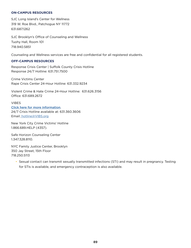#### **ON-CAMPUS RESOURCES**

SJC Long Island's Center for Wellness 319 W. Roe Blvd., Patchogue NY 11772 631.687.1262

SJC Brooklyn's Office of Counseling and Wellness Tuohy Hall, Room 101 718.940.5851

Counseling and Wellness services are free and confidential for all registered students.

#### **OFF-CAMPUS RESOURCES**

Response Crisis Center | Suffolk County Crisis Hotline Response 24/7 Hotline: 631.751.7500

Crime Victims Center Rape Crisis Center 24-Hour Hotline: 631.332.9234

Violent Crime & Hate Crime 24-Hour Hotline: 631.626.3156 Office: 631.689.2672

VIBES [Click here for more information](https://vibesli.org/). 24/7 Crisis Hotline available at: 631.360.3606 Email: [hotline@VIBS.org](mailto:%20hotline%40VIBS.org?subject=)

New York City Crime Victims' Hotline 1.866.689.HELP (4357).

Safe Horizon Counseling Center 1.347.328.8110.

NYC Family Justice Center, Brooklyn 350 Jay Street, 15th Floor 718.250.5113

• Sexual contact can transmit sexually transmitted infections (STI) and may result in pregnancy. Testing for STIs is available, and emergency contraception is also available.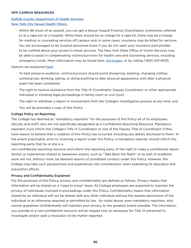#### **OFF-CAMPUS RESOURCES**

# [Suffolk County Department of Health Services](https://www.suffolkcountyny.gov/Departments/Health-Services/Patient-Care/Health-Centers) **[New York City Sexual Health Clinics](https://www1.nyc.gov/site/doh/services/sexual-health-clinics.page)**

• Within 96 hours of an assault, you can get a Sexual Assault Forensic Examination (commonly referred to as a rape kit) at a hospital. While there should be no charge for a rape kit, there may be a charge for medical or counseling services off campus and, in some cases, insurance may be billed for services. You are encouraged to let hospital personnel know if you do not want your insurance policyholder to be notified about your access to these services. The New York State Office of Victim Services may be able to assist in compensating victims/survivors for health care and counseling services, including emergency funds. More information may be found here: **[ovs.ny.gov](http://ovs.ny.gov)**, or by calling 1-800-247-8035.

Options are explained [here](https://ovs.ny.gov/help-crime-victims).

- To best preserve evidence, victims/survivors should avoid showering, washing, changing clothes, combing hair, drinking, eating, or doing anything to alter physical appearance until after a physical exam has been completed.
- The right to receive assistance from the Title IX Coordinator, Deputy Coordinator or other appropriate individual in initiating legal proceedings in family court or civil court;
- The right to withdraw a report or involvement from the College's investigative process at any time; and
- You will be provided a copy of this Policy.

### College Policy on Reporting

The College has deemed as "mandatory reporters" for the purposes of this Policy all of its employees (faculty and staff) who are not specifically designated as a Confidential Reporting Resource. Mandatory reporters must inform the College's Title IX Coordinator or one of the Deputy Title IX Coordinator if they have reason to believe that a violation of this Policy has occurred, including any details disclosed to them. To the extent practicable, prior to receiving a report under this Policy, a mandatory reporter should inform the reporting party that he or she is a

non-confidential reporting resource and inform the reporting party of the right to make a confidential report. Stories or experiences shared at awareness events, such as "Take Back the Night" or as part of academic work will not, without more, be deemed reports of prohibited conduct under this Policy. However, the College may take such perspectives and experiences into consideration when evaluating its education and prevention efforts.

### Privacy and Confidentiality Explained

For the purposes of this Policy, privacy and confidentiality are defined as follows. Privacy means that information will be shared on a "need to know" basis. All College employees are expected to maintain the privacy of individuals involved in proceedings under this Policy. Confidentiality means that information shared by an individual will not be shared with any other individual without the express permission of the individual or as otherwise required or permitted by law. As noted above, even mandatory reporters, who cannot guarantee confidentiality will maintain your privacy to the greatest extent possible. The information you provide to a non-confidential resource will be relayed only as necessary for Title IX personnel to investigate and/or seek a resolution of the matter reported.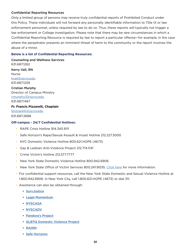### Confidential Reporting Resources

Only a limited group of persons may receive truly confidential reports of Prohibited Conduct under this Policy. These individuals will not forward any personally identifiable information to Title IX or law enforcement personnel, unless required by law to do so. Thus, these reports will typically not trigger a law enforcement or College investigation. Please note that there may be rare circumstances in which a Confidential Reporting Resource is required by law to report a particular offense—for example, in the case where the perpetrator presents an imminent threat of harm to the community or the report involves the abuse of a minor.

### **Below is a list of Confidential Reporting Resources:**

Counseling and Wellness Services 631.687.1262 Kerry Vall, RN Nurse [kvall@sjcny.edu](mailto:kvall%40sjcny.edu?subject=) 631.687.1259 Cristian Murphy

Director of Campus Ministry [cmurphy3@sjcny.edu](mailto:cmurphy3%40sjcny.edu?subject=) 631.687.1467

### **Fr. Francis Pizzarelli, Chaplain**

[fpizzarelli@sjcny.edu](mailto:fpizzarelli%40sjcny.edu?subject=) 631.687.2688

#### **Off-campus - 24/7 Confidential Hotlines:**

- RAPE Crisis Hotline 914.345.9111
- Safe Horizon's Rape/Sexual Assault & Incest Hotline 212.227.3000
- NYC Domestic Violence Hotline 800.621.HOPE (4673)
- Gay & Lesbian Anti-Violence Project 212.714.1141
- Crime Victim's Hotline 212.577.7777
- New York State Domestic Violence Hotline 800.942.6906
- New York State Office of Victim Services 800.247.8035. [Click here](https://ovs.ny.gov) for more information.
- For confidential support resources, call the New York State Domestic and Sexual Violence Hotline at 1.800.942.6906. In New York City, call 1.800.621.HOPE (4673) or dial 311.
- Assistance can also be obtained through:
	- [SurvJustice](https://voicesforciviljustice.org/organization/14863/survjustice/)
	- [Legal Momentum](https://www.legalmomentum.org)
	- [NYSCASA](https://www.nyscasa.org/responding/)
	- [NYSCADV](https://www.nyscadv.org)
	- [Pandora's Project](https://pandys.org/)
	- [GLBTQ Domestic Violence Project](https://www.bwjp.org/resource-center/resource-results/glbtq-domestic-violence-project.html)
	- [RAINN](https://www.rainn.org/get-help)
	- [Safe Horizons](https://www.safehorizon.org)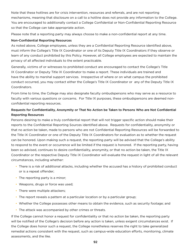Note that these hotlines are for crisis intervention, resources and referrals, and are not reporting mechanisms, meaning that disclosure on a call to a hotline does not provide any information to the College. You are encouraged to additionally contact a College Confidential or Non-Confidential Reporting Resource so that the College can take appropriate action.

Please note that a reporting party may always choose to make a non-confidential report at any time.

# Non-Confidential Reporting Resources

As noted above, College employees, unless they are a Confidential Reporting Resource identified above, must inform the College's Title IX Coordinator or one of its Deputy Title IX Coordinators if they observe or learn of any conduct prohibited by this Policy. However, all College employees are expected to maintain the privacy of all affected individuals to the extent practicable.

Generally, victims of or witnesses to prohibited conduct are encouraged to contact the College's Title IX Coordinator or Deputy Title IX Coordinator to make a report. These individuals are trained and have the ability to marshal support services. Irrespective of where or on what campus the prohibited conduct occurred, you may contact either the College's Title IX Coordinator or any of the Deputy Title IX Coordinators.

From time to time, the College may also designate faculty ombudspersons who may serve as a resource to faculty with various questions or concerns. For Title IX purposes, these ombudspersons are deemed nonconfidential reporting resources.

# Requests for Confidentiality, Anonymity or That No Action be Taken to Persons Who are Not Confidential Reporting Resources

Persons desiring to make a truly confidential report that will not trigger specific action should make their reports to the Confidential Reporting Sources identified above. Requests for confidentiality, anonymity or that no action be taken, made to persons who are not Confidential Reporting Resources will be forwarded to the Title IX Coordinator or one of the Deputy Title IX Coordinators for evaluation as to whether the request can be honored. Upon making such a request, the reporting party will be advised that the College's ability to respond to the event or occurrence will be limited if the request is honored. If the reporting party, having been so advised, continues to desire confidentiality, anonymity, or that no action be taken, the Title IX Coordinator or the respective Deputy Title IX Coordinator will evaluate the request in light of all the relevant circumstances, including whether:

- There is a risk of additional attacks, including whether the accused has a history of prohibited conduct or is a repeat offender;
- The reporting party is a minor;
- Weapons, drugs or force was used;
- There were multiple attackers;
- The report reveals a pattern at a particular location or by a particular group;
- Whether the College possesses other means to obtain the evidence, such as security footage; and
- The attack was accompanied by other crimes or threats.

If the College cannot honor a request for confidentiality or that no action be taken, the reporting party will be notified of the College's decision before any action is taken, unless exigent circumstances exist. If the College does honor such a request, the College nonetheless reserves the right to take generalized remedial actions consistent with the request, such as campus-wide education efforts, monitoring, climate assessments, and the like.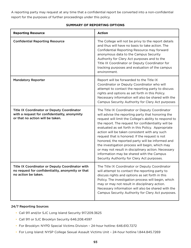A reporting party may request at any time that a confidential report be converted into a non-confidential report for the purposes of further proceedings under this policy.

# **SUMMARY OF REPORTING OPTIONS**

| <b>Reporting Resource</b>                                                                                                              | <b>Action</b>                                                                                                                                                                                                                                                                                                                                                                                                                                                                                                                                                                                                                          |
|----------------------------------------------------------------------------------------------------------------------------------------|----------------------------------------------------------------------------------------------------------------------------------------------------------------------------------------------------------------------------------------------------------------------------------------------------------------------------------------------------------------------------------------------------------------------------------------------------------------------------------------------------------------------------------------------------------------------------------------------------------------------------------------|
| <b>Confidential Reporting Resource</b>                                                                                                 | The College will not be privy to the report details<br>and thus will have no basis to take action. The<br>Confidential Reporting Resource may forward<br>anonymous data to the Campus Security<br>Authority for Clery Act purposes and to the<br>Title IX Coordinator or Deputy Coordinator for<br>tracking purposes and evaluation of the campus<br>environment.                                                                                                                                                                                                                                                                      |
| <b>Mandatory Reporter</b>                                                                                                              | Report will be forwarded to the Title IX<br>Coordinator or Deputy Coordinator who will<br>attempt to contact the reporting party to discuss<br>rights and options as set forth in this Policy.<br>Necessary information will also be shared with the<br>Campus Security Authority for Clery Act purposes                                                                                                                                                                                                                                                                                                                               |
| <b>Title IX Coordinator or Deputy Coordinator</b><br>with a request for confidentiality, anonymity<br>or that no action will be taken. | The Title IX Coordinator or Deputy Coordinator<br>will advise the reporting party that honoring the<br>request will limit the College's ability to respond to<br>the report. The request for confidentiality will be<br>evaluated as set forth in this Policy. Appropriate<br>action will be taken consistent with any such<br>request that is honored. If the request is not<br>honored, the reported party will be informed and<br>the investigation process will begin, which may<br>or may not result in disciplinary action. Necessary<br>information may be shared with the Campus<br>Security Authority for Clery Act purposes. |
| Title IX Coordinator or Deputy Coordinator with<br>no request for confidentiality, anonymity or that<br>no action be taken.            | The Title IX Coordinator or Deputy Coordinator<br>will attempt to contact the reporting party to<br>discuss rights and options as set forth in this<br>Policy. The investigation process will begin, which<br>may or may not result in disciplinary action.<br>Necessary information will also be shared with the<br>Campus Security Authority for Clery Act purposes.                                                                                                                                                                                                                                                                 |

### 24/7 Reporting Sources

- Call 911 and/or SJC Long Island Security 917.209.3625
- Call 911 or SJC Brooklyn Security 646.208.4597
- For Brooklyn: NYPD Special Victims Division 24-hour hotline: 646.610.7272
- For Long Island: NYSP College Sexual Assault Victims Unit 24-hour hotline 1.844.845.7269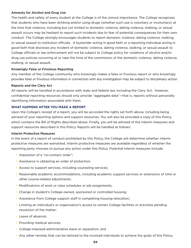### Amnesty for Alcohol and Drug Use

The health and safety of every student at the College is of the utmost importance. The College recognizes that students who have been drinking and/or using drugs (whether such use is voluntary or involuntary) at the time that violence, including but not limited to domestic violence, dating violence, stalking, or sexual assault occurs may be hesitant to report such incidents due to fear of potential consequences for their own conduct. The College strongly encourages students to report domestic violence, dating violence, stalking, or sexual assault to institution officials. A bystander acting in good faith or a reporting individual acting in good faith that discloses any incident of domestic violence, dating violence, stalking, or sexual assault to College officials or law enforcement will not be subject to College policy for violations of alcohol and/or drug use policies occurring at or near the time of the commission of the domestic violence, dating violence, stalking, or sexual assault.

### Knowingly False or Frivolous Reporting

Any member of the College community who knowingly makes a false or frivolous report or who knowingly provides false or frivolous information in connection with any investigation may be subject to disciplinary action.

#### Reports and the Clery Act

All reports will be handled in accordance with state and federal law, including the Clery Act. However, confidential reporting resources should only provide "aggregate data"—that is, reports without personally identifying information associated with them.

#### **WHAT HAPPENS AFTER YOU MAKE A REPORT**

Upon the College's receipt of a report, you will be accorded the rights set forth above, including being advised of your reporting options and support resources. You will also be provided a copy of this Policy, which contains the Bill of Rights described above. Finally, you will be advised of the interim measures and support resources described in this Policy. Reports will be handled as follows:

#### Interim Protective Measures

In the event of a report of conduct prohibited by this Policy, the College will determine whether interim protective measures are warranted. Interim protective measures are available regardless of whether the reporting party chooses to pursue any action under this Policy. Potential interim measures include:

- Imposition of a "no-contact order";
- Assistance in obtaining an order of protection;
- Access to support services, including counseling services;
- Reasonable academic accommodations, including academic support services or extensions of time or other course-related adjustments;
- Modifications of work or class schedules or job assignments;
- Change in student's College-owned, sponsored or controlled housing;
- Assistance from College support staff in completing housing relocation;
- Limiting an individual's or organization's access to certain College facilities or activities pending resolution of the matter;
- Leave of absence;
- Providing medical services;
- College-imposed administrative leave or separation; and
- Any other remedy that can be tailored to the involved individuals to achieve the goals of this Policy.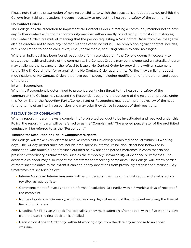Please note that the presumption of non-responsibility to which the accused is entitled does not prohibit the College from taking any actions it deems necessary to protect the health and safety of the community.

# No Contact Orders

The College has the discretion to implement No Contact Orders, directing a community member not to have any further contact with another community member, either directly or indirectly. In most circumstances, No Contact Orders are mutual, meaning that the person requesting a No Contact Order from the College will also be directed not to have any contact with the other individual. The prohibition against contact includes, but is not limited to phone calls, texts, email, social media, and using others to send messages.

Where an individual has been found responsible for misconduct, or if the College deems it necessary to protect the health and safety of the community, No Contact Orders may be implemented unilaterally. A party may challenge the issuance or the refusal to issue a No Contact Order by providing a written statement to the Title IX Coordinator for or against the No Contact Order at any time. Parties may similarly request modifications of No Contact Orders that have been issued, including modification of the duration and scope of the order.

### Interim Suspensions

When the Respondent is determined to present a continuing threat to the health and safety of the community, the College may suspend the Respondent pending the outcome of the resolution process under this Policy. Either the Reporting Party/Complainant or Respondent may obtain prompt review of the need for and terms of an interim suspension, and may submit evidence in support of their positions.

### **RESOLUTION OF COMPLAINTS**

When a reporting party makes a complaint of prohibited conduct to be investigated and resolved under this Policy, the reporting party will be referred to as the "Complainant." The alleged perpetrator of the prohibited conduct will be referred to as the "Respondent."

### Timeline for Resolution of Title IX Complaints/Reports

The College will make every effort to resolve complaints involving prohibited conduct within 60 working days. The 60-day period does not include time spent in informal resolution (described below) or in connection with appeals. The timelines outlined below are anticipated timeframes in cases that do not present extraordinary circumstances, such as the temporary unavailability of evidence or witnesses. The academic calendar may also impact the timeframe for resolving complaints. The College will inform parties of more specific dates to the extent it can and of any deviations from previously established timelines. Key timeframes are set forth below:

- Interim Measures: Interim measures will be discussed at the time of the first report and evaluated and revisited as appropriate.
- Commencement of Investigation or Informal Resolution: Ordinarily, within 7 working days of receipt of the complaint.
- Notice of Outcome: Ordinarily, within 60 working days of receipt of the complaint involving the Formal Resolution Process.
- Deadline for Filing an Appeal: The appealing party must submit his/her appeal within five working days from the date the final decision is emailed.
- Decision on Appeal: Ordinarily, within 14 working days from the date any response to an appeal was due.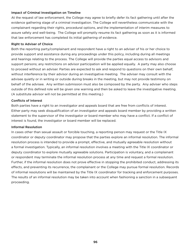### Impact of Criminal Investigation on Timeline

At the request of law enforcement, the College may agree to briefly defer its fact gathering until after the evidence gathering stage of a criminal investigation. The College will nevertheless communicate with the complainant regarding their rights, procedural options, and the implementation of interim measures to assure safety and well-being. The College will promptly resume its fact gathering as soon as it is informed that law enforcement has completed its initial gathering of evidence.

# Right to Adviser of Choice

Both the reporting party/complainant and respondent have a right to an adviser of his or her choice to provide support and assistance during any proceedings under this policy, including during all meetings and hearings relating to the process. The College will provide the parties equal access to advisors and support persons; any restrictions on advisor participation will be applied equally. A party may also choose to proceed without an adviser. Parties are expected to ask and respond to questions on their own behalf, without interference by their advisor during an investigative meeting. The adviser may consult with the advisee quietly or in writing or outside during breaks in the meeting, but may not provide testimony on behalf of the advisee. Any written submission must also be composed by the party. Any adviser who steps outside of this defined role will be given one warning and then be asked to leave the investigative meeting. (A substitute advisor will not be permitted at this meeting.)

# Conflicts of Interest

Both parties have a right to an investigator and appeals board that are free from conflicts of interest. Either party may seek disqualification of an investigator and appeals board member by providing a written statement to the supervisor of the investigator or board member who may have a conflict. If a conflict of interest is found, the investigator or board member will be replaced.

### Informal Resolution

In cases other than sexual assault or forcible touching, a reporting person may request or the Title IX coordinator or deputy coordinator may propose that the parties explore an informal resolution. The informal resolution process is intended to provide a prompt, effective, and mutually agreeable resolution without a formal investigation. Typically, an informal resolution involves a meeting with the Title IX coordinator or deputy coordinator to explore mutually agreeable solutions. Participation is voluntary, and a complainant or respondent may terminate the informal resolution process at any time and request a formal resolution. Further, if the informal resolution does not prove effective in stopping the prohibited conduct, addressing its effects, and preventing its recurrence, the complainant or the College may pursue formal resolution. Records of informal resolutions will be maintained by the Title IX coordinator for tracking and enforcement purposes. The results of an informal resolution may be taken into account when fashioning a sanction in a subsequent proceeding.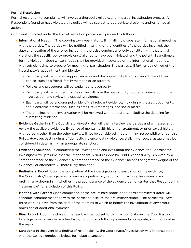# Formal Resolution

Formal resolution to complaints will involve a thorough, reliable, and impartial investigation process. A Respondent found to have violated this policy will be subject to appropriate discipline and/or remedial action.

Complaints handled under the formal resolution process will proceed as follows:

- Informational Meeting: The coordinator/investigator will initially hold separate informational meetings with the parties. The parties will be notified in writing of the identities of the parties involved, the date and location of the alleged incident, the precise conduct allegedly constituting the potential violation, the specific policy provision(s) alleged to have been violated, and the potential sanction(s) for the violation. Such written notice shall be provided in advance of the informational meetings, with sufficient time to prepare for meaningful participation. The parties will further be notified of the investigator's appointment and identity.
	- Each party will be offered support services and the opportunity to obtain an advisor of their choice, such as a friend, family member, or an attorney.
	- Policies and procedures will be explained to each party.
	- Each party will be notified that he or she will have the opportunity to offer evidence during the investigation and review the opposing evidence.
	- Each party will be encouraged to identify all relevant evidence, including witnesses, documents, and electronic information, such as email, text messages, and social media.
	- The timelines of the investigation will be reviewed with the parties, including the deadline for submitting evidence.
- Evidence Gathering: The Coordinator/Investigator will then interview the parties and witnesses and review the available evidence. Evidence of mental health history or treatment, or prior sexual history with persons other than the other party, will not be considered in determining responsibility under this Policy. However, past findings of domestic violence, dating violence, stalking, or sexual assault may be considered in determining an appropriate sanction.
- Evidence Evaluation: In conducting the investigation and evaluating the evidence, the Coordinator/ Investigator will presume that the Respondent is "not responsible" until responsibility is proven by a "preponderance of the evidence." A "preponderance of the evidence" means the "greater weight of the evidence" or alternatively, "more likely than not."
- **Preliminary Report:** Upon the completion of the investigation and evaluation of the evidence, the Coordinator/Investigator will compose a preliminary report summarizing the evidence and preliminarily determining whether the preponderance of the evidence demonstrates that Respondent is "responsible" for a violation of this Policy.
- Meeting with Parties: Upon completion of the preliminary report, the Coordinator/Investigator will schedule separate meetings with the parties to discuss the preliminary report. The parties will have three working days from the date of the meeting in which to inform the investigator of any errors, omissions or additional evidence.
- Final Report: Upon the close of the feedback period set forth in section 5 above, the Coordinator/ Investigator will consider any feedback, conduct any follow up deemed appropriate, and then finalize the report.
- Sanctions: In the event of a finding of responsibility, the Coordinator/Investigator will, in consultation with the College employee below, formulate a sanction: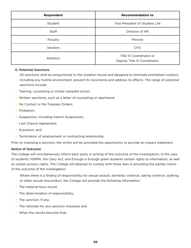| Respondent       | <b>Recommendation to</b>                               |
|------------------|--------------------------------------------------------|
| Student          | Vice President of Student Life                         |
| Staff            | Director of HR                                         |
| Faculty          | Provost                                                |
| Vendors          | <b>CFO</b>                                             |
| <b>Athletics</b> | Title IX Coordinator or<br>Deputy Title IX Coordinator |

### G. Potential Sanctions

 All sanctions shall be proportional to the violation found and designed to eliminate prohibited conduct, including any hostile environment, prevent its recurrence and address its effects. The range of potential sanctions include:

- Training, counseling or similar remedial action;
- Written sanctions, such as a letter of counseling or reprimand;
- No Contact or No Trespass Orders;
- Probation:
- Suspension, including Interim Suspension;
- Last Chance Agreement;
- Expulsion; and
- Termination of employment or contracting relationship.

Prior to imposing a sanction, the victim will be provided the opportunity to provide an impact statement.

### Notice of Outcome

The College will simultaneously inform each party in writing of the outcome of the investigation. In the case of students, FERPA, the Clery Act, and Enough is Enough grant students certain rights to information, as well as certain privacy rights. The College will attempt to comply with these laws in providing the parties notice of the outcome of the investigation.

 Where there is a finding of responsibility for sexual assault, domestic violence, dating violence, stalking, or other sexual misconduct, the College will provide the following information:

- The material facts found;
- The determination of responsibility;
- The sanction, if any;
- The rationale for any sanction imposed; and
- When the results become final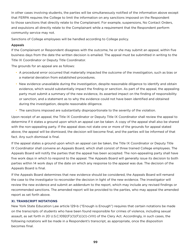In other cases involving students, the parties will be simultaneously notified of the information above except that FERPA requires the College to limit the information on any sanctions imposed on the Respondent to those sanctions that directly relate to the Complainant. For example, suspensions, No Contact Orders, and expulsions all directly relate to the Complainant while a requirement that the Respondent perform community service may not.

Sanctions of College employees will be handled according to College policy.

# Appeals

If the Complainant or Respondent disagrees with the outcome, he or she may submit an appeal, within five business days from the date the written decision is emailed. The appeal must be submitted in writing to the Title IX Coordinator or Deputy Title Coordinator.

The grounds for an appeal are as follows:

- A procedural error occurred that materially impacted the outcome of the investigation, such as bias or a material deviation from established procedures.
- New evidence unavailable during the investigation, despite reasonable diligence to identify and obtain evidence, which would substantially impact the finding or sanction. As part of the appeal, the appealing party must submit a summary of the new evidence, its asserted impact on the finding of responsibility or sanction, and a statement as to why the evidence could not have been identified and obtained during the investigation, despite reasonable diligence.
- The sanctions imposed are substantially disproportionate to the severity of the violation.

Upon receipt of an appeal, the Title IX Coordinator or Deputy Title IX Coordinator shall review the appeal to determine if it states a ground upon which an appeal can be taken. A copy of the appeal shall also be shared with the non-appealing party. If the appeal does not state one or more of the grounds for appeal stated above, the appeal will be dismissed, the decision will become final, and the parties will be informed of that fact. Any such dismissal is final.

If the appeal states a ground upon which an appeal can be taken, the Title IX Coordinator or Deputy Title IX Coordinator shall convene an Appeals Board, which shall consist of three trained College employees. The Appeals Board will notify the parties that the appeal has been accepted. The non-appealing party shall have five work days in which to respond to the appeal. The Appeals Board will generally issue its decision to both parties within 14 work days of the date on which any response to the appeal was due. The decision of the Appeals Board is final.

If the Appeals Board determines that new evidence should be considered, the Appeals Board will remand the case to the investigator to reconsider the decision in light of the new evidence. The investigator will review the new evidence and submit an addendum to the report, which may include any revised findings or recommended sanctions. The amended report will be provided to the parties, who may appeal the amended report as set forth above.

### **XI. TRANSCRIPT NOTATIONS**

New York State Education Law article 129-b ("Enough is Enough") requires that certain notations be made on the transcripts of students who have been found responsible for crimes of violence, including sexual assault, as set forth in 20 U.S.C.1092(F)(1)(F)(i)(I)-(VIII) of the Clery Act. Accordingly, in such cases, the following notations will be made in a Respondent's transcript, as appropriate, once the disposition becomes final.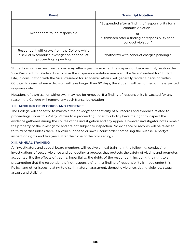| <b>Event</b>                                                                                                         | <b>Transcript Notation</b>                                                                                                                                  |
|----------------------------------------------------------------------------------------------------------------------|-------------------------------------------------------------------------------------------------------------------------------------------------------------|
| Respondent found responsible                                                                                         | "Suspended after a finding of responsibility for a<br>conduct violation."<br>or<br>"Dismissed after a finding of responsibility for a<br>conduct violation" |
| Respondent withdraws from the College while<br>a sexual misconduct investigation or conduct<br>proceeding is pending | "Withdrew with conduct charges pending."                                                                                                                    |

Students who have been suspended may, after a year from when the suspension became final, petition the Vice President for Student Life to have the suspension notation removed. The Vice President for Student Life, in consultation with the Vice President for Academic Affairs, will generally render a decision within 60 days. In cases where a decision will take longer than 60 days, the student will be notified of the expected response date.

Notations of dismissal or withdrawal may not be removed. If a finding of responsibility is vacated for any reason, the College will remove any such transcript notation.

# **XII. HANDLING OF RECORDS AND EVIDENCE**

The College will endeavor to maintain the privacy/confidentiality of all records and evidence related to proceedings under this Policy. Parties to a proceeding under this Policy have the right to inspect the evidence gathered during the course of the investigation and any appeal. However, investigator notes remain the property of the investigator and are not subject to inspection. No evidence or records will be released to third parties unless there is a valid subpoena or lawful court order compelling the release. A party's inspection rights end five years after the close of the proceedings.

### **XIII. ANNUAL TRAINING**

All investigators and appeal board members will receive annual training in the following: conducting investigations of sexual violence and conducting a process that protects the safety of victims and promotes accountability; the effects of trauma, impartiality, the rights of the respondent, including the right to a presumption that the respondent is "not responsible" until a finding of responsibility is made under this Policy; and other issues relating to discriminatory harassment, domestic violence, dating violence, sexual assault and stalking.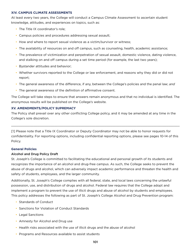#### **XIV. CAMPUS CLIMATE ASSESSMENTS**

At least every two years, the College will conduct a Campus Climate Assessment to ascertain student knowledge, attitudes, and experiences on topics, such as:

- The Title IX coordinator's role;
- Campus policies and procedures addressing sexual assault;
- How and where to report sexual violence as a victim/survivor or witness;
- The availability of resources on and off campus, such as counseling, health, academic assistance;
- The prevalence of victimization and perpetration of sexual assault, domestic violence, dating violence, and stalking on and off campus during a set time period (for example, the last two years);
- Bystander attitudes and behavior;
- Whether survivors reported to the College or law enforcement, and reasons why they did or did not report;
- The general awareness of the difference, if any, between the College's policies and the penal law; *and*
- The general awareness of the definition of affirmative consent.

The College will take steps to ensure that answers remain anonymous and that no individual is identified. The anonymous results will be published on the College's website.

# **XV. AMENDMENTS/POLICY SUPREMACY**

The Policy shall prevail over any other conflicting College policy, and it may be amended at any time in the College's sole discretion.

[1] Please note that a Title IX Coordinator or Deputy Coordinator may not be able to honor requests for confidentiality. For reporting options, including confidential reporting options, please see pages 10-14 of this Policy.

 $\_$  ,  $\_$  ,  $\_$  ,  $\_$  ,  $\_$  ,  $\_$  ,  $\_$  ,  $\_$  ,  $\_$  ,  $\_$  ,  $\_$  ,  $\_$  ,  $\_$  ,  $\_$  ,  $\_$  ,  $\_$  ,  $\_$  ,  $\_$  ,  $\_$  ,  $\_$  ,  $\_$  ,  $\_$  ,  $\_$  ,  $\_$  ,  $\_$  ,  $\_$  ,  $\_$  ,  $\_$  ,  $\_$  ,  $\_$  ,  $\_$  ,  $\_$  ,  $\_$  ,  $\_$  ,  $\_$  ,  $\_$  ,  $\_$  ,

### **General Policies**

### Alcohol and Drug Policy Draft

St. Joseph's College is committed to facilitating the educational and personal growth of its students and recognizes the importance of an alcohol and drug-free campus. As such, the College seeks to prevent the abuse of drugs and alcohol, which can adversely impact academic performance and threaten the health and safety of students, employees, and the larger community.

Additionally, St. Joseph's College complies with all federal, state, and local laws concerning the unlawful possession, use, and distribution of drugs and alcohol. Federal law requires that the College adopt and implement a program to prevent the use of illicit drugs and abuse of alcohol by students and employees. This policy addresses the following as part of St. Joseph's College Alcohol and Drug Prevention program:

- Standards of Conduct
- Sanctions for Violation of Conduct Standards
- Legal Sanctions
- Amnesty for Alcohol and Drug use
- Health risks associated with the use of illicit drugs and the abuse of alcohol
- Programs and Resources available to assist students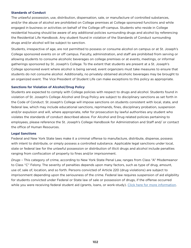#### **Standards of Conduct**

The unlawful possession, use, distribution, dispensation, sale, or manufacture of controlled substances, and/or the abuse of alcohol are prohibited on College premises at College sponsored functions and while engaged in business or activities on behalf of the College off-campus. Students who reside in College residential housing should be aware of any additional policies surrounding drugs and alcohol by referencing the Residential Life Handbook. Any student found in violation of the Standards of Conduct surrounding drugs and/or alcohol will be subject to sanction.

Students, irrespective of age, are not permitted to possess or consume alcohol on campus or at St. Joseph's College sponsored events on or off campus. Faculty, administration, and staff are prohibited from serving or allowing students to consume alcoholic beverages on college premises or at events, meetings, or informal gatherings sponsored by St. Joseph's College. To the extent that students are present at a St. Joseph's College sponsored event where alcohol is being served, event organizers must take measures to ensure that students do not consume alcohol. Additionally, no privately obtained alcoholic beverages may be brought to an organized event. The Vice President of Student Life can make exceptions to this policy as appropriate.

#### **Sanctions for Violation of Alcohol/Drug Policy**

Students are expected to comply with College policies with respect to drugs and alcohol. Students found in violation of St. Joseph's College Alcohol and Drug Policy are subject to disciplinary sanctions as set forth in the Code of Conduct. St Joseph's College will impose sanctions on students consistent with local, state, and federal law, which may include educational sanctions, reprimands, fines, disciplinary probation, suspension and/or expulsion and will, where appropriate, refer for prosecution by lawful authorities any student who violates the standards of conduct described above. For Alcohol and Drug related policies pertaining to employees, please reference the St. Joseph's College Handbook for Administration and Staff and/ or contact the office of Human Resources.

#### **Legal Sanctions**

Federal and New York State laws make it a criminal offense to manufacture, distribute, dispense, possess with intent to distribute, or simply possess a controlled substance. Applicable legal sanctions under local, state or federal law for the unlawful possession or distribution of illicit drugs and alcohol include penalties ranging from confiscation of property to fines and/or imprisonment.

*Drugs* – This category of crime, according to New York State Penal Law, ranges from Class "A" Misdemeanor to Class "C" Felony. The severity of penalties depends upon many factors, such as type of drug, amount, use of, sale of, location, and so forth. Persons convicted of Article 220 (drug violations) are subject to imprisonment depending upon the seriousness of the crime. Federal law requires suspension of aid eligibility for students convicted under Federal or State law of sale or possession of drugs, if the offense occurred while you were receiving federal student aid (grants, loans, or work-study). [Click here for more information](https://studentaid.gov/understand-aid/eligibility/requirements/criminal-convictions).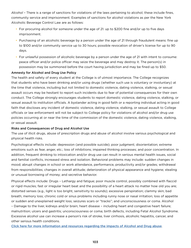*Alcohol* – There is a range of sanctions for violations of the laws pertaining to alcohol; these include fines, community service and imprisonment. Examples of sanctions for alcohol violations as per the New York Alcoholic Beverage Control Law are as follows:

- For procuring alcohol for someone under the age of 21: up to \$200 fine and/or up to five days imprisonment.
- Purchasing of an alcoholic beverage by a person under the age of 21 through fraudulent means: fine up to \$100 and/or community service up to 30 hours; possible revocation of driver's license for up to 90 days.
- For unlawful possession of alcoholic beverage by a person under the age of 21 with intent to consume: peace officer and/or police officer may seize the beverage and may destroy it. The person(s) in possession may be summoned before the court having jurisdiction and may be fined up to \$50.

### Amnesty for Alcohol and Drug Use Policy

The health and safety of every student at the College is of utmost importance. The College recognizes that students who have been drinking and/or using drugs (whether such use is voluntary or involuntary) at the time that violence, including but not limited to domestic violence, dating violence, stalking, or sexual assault occurs may be hesitant to report such incidents due to fear of potential consequences for their own conduct. The College strongly encourages students to report domestic violence, dating violence, stalking, or sexual assault to institution officials. A bystander acting in good faith or a reporting individual acting in good faith that discloses any incident of domestic violence, dating violence, stalking, or sexual assault to College officials or law enforcement will not be subject to College policy for violations of alcohol and/or drug use policies occurring at or near the time of the commission of the domestic violence, dating violence, stalking, or sexual assault.

### Risks and Consequences of Drug and Alcohol Use

The use of illicit drugs, abuse of prescription drugs and abuse of alcohol involve various psychological and physical health risks.

Psychological effects include: depression (and possible suicide); poor judgment; disorientation; extreme emotions such as fear, anger, etc.; loss of inhibitions; impaired thinking processes; and poor concentration. In addition, frequent drinking to intoxication and/or drug use can result in serious mental health issues, social and familial conflicts, increased stress and isolation. Behavioral problems may include: sudden changes in mood; abrupt changes in school or work attendance, performance, productivity and/or grades; withdrawal from responsibilities; changes in overall attitude; deterioration of physical appearance and hygiene; stealing or unusual borrowing of money; and secretive behavior.

Physical effects include: Drugs – Lethargy and fatigue; poor muscle control, possibly combined with flaccid or rigid muscles; fast or irregular heart beat and the possibility of a heart attack no matter how old you are; distorted senses (e.g., light is too bright, sensitivity to sounds); excessive perspiration; clammy skin; bad breath; memory loss; chronic cold or sinus problems including runny nose or nasal irritation; loss of appetite or sudden and unexplained weight loss; seizures scars or "tracks"; and unconsciousness or coma. Alcohol – Damage to the liver, kidneys and/or brain; heart disease – including heart and congestive heart failure; malnutrition; ulcers and gastritis; unconsciousness or coma; birth defects, including Fetal Alcohol Syndrome. Excessive alcohol use can increase a person's risk of stroke, liver cirrhosis, alcoholic hepatitis, cancer, and other serious health conditions.

[Click here for more information and resources regarding the impacts of Alcohol and Drug abuse](https://www.samhsa.gov/find-help/atod).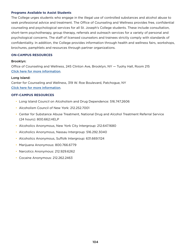#### **Programs Available to Assist Students**

The College urges students who engage in the illegal use of controlled substances and alcohol abuse to seek professional advice and treatment. The Office of Counseling and Wellness provides free, confidential counseling and psychological services for all St. Joseph's College students. These include consultation, short-term psychotherapy, group therapy, referrals and outreach services for a variety of personal and psychological concerns. The staff of licensed counselors and trainees strictly comply with standards of confidentiality. In addition, the College provides information through health and wellness fairs, workshops, brochures, pamphlets and resources through partner organizations.

### **ON-CAMPUS RESOURCES**

#### Brooklyn:

Office of Counseling and Wellness, 245 Clinton Ave, Brooklyn, NY — Tuohy Hall, Room 215 [Click here for more information](https://www.sjcny.edu/brooklyn/student-life/student-services/counseling-and-wellness-center).

#### Long Island:

Center for Counseling and Wellness, 319 W. Roe Boulevard, Patchogue, NY [Click here for more information](https://www.sjcny.edu/long-island/student-life/student-services/counseling-and-wellness-center).

#### **OFF-CAMPUS RESOURCES**

- Long Island Council on Alcoholism and Drug Dependence: 516.747.2606
- Alcoholism Council of New York: 212.252.7001
- Center for Substance Abuse Treatment, National Drug and Alcohol Treatment Referral Service (24 hours): 800.662.HELP
- Alcoholics Anonymous, New York City Intergroup: 212.647.1680
- Alcoholics Anonymous, Nassau Intergroup: 516.292.3040
- Alcoholics Anonymous, Suffolk Intergroup: 631.669.1124
- Marijuana Anonymous: 800.766.6779
- Narcotics Anonymous: 212.929.6262
- Cocaine Anonymous: 212.262.2463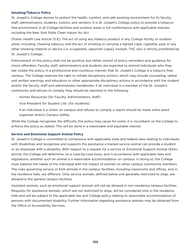### **Smoking/Tobacco Policy**

St. Joseph's College desires to protect the health, comfort, and safe working environment for its faculty, staff, administrators, students, visitors, and vendors. It is St. Joseph's College policy to provide a tobaccofree environment in all College facilities and outdoor areas in full conformance with applicable statutes including the New York State Clean Indoor Air Act

(Public Health Law Article 13-E). The act of using any tobacco product in any College facility or outdoor areas, including, chewing tobacco, and the act of smoking or carrying a lighted cigar, cigarette, pipe or any other smoking material or device (i.e. e-cigarette, vaporizer [vape], hookah, THC oils) is strictly prohibited by St. Joseph's College.

Enforcement of this policy shall not be punitive, but rather consist of policy reminders and guidance for minor offenders. Faculty, staff, administrators and students are expected to remind individuals who they see violate the policy, in a professional and courteous manner, that St. Joseph's College is a tobacco-free campus. The College reserves the right to initiate disciplinary actions, which may include counseling, verbal and written warnings and education or other appropriate disciplinary actions in accordance with the student and/or the faculty, staff and administrator handbooks. If an individual is a member of the St. Joseph's community and refuses to comply, they should be reported to the following:

- Human Resources (for Faculty, Administrators, Staff)
- Vice President for Student Life (for students)
- If an individual is a visitor on campus and refuses to comply, a report should be made tothe event organizer and/or Campus Safety.

While the College recognizes the difficulty this policy may cause for some, it is incumbent on the College to enforce the policy as stated. This will be done in a reasonable and equitable manner.

#### **Service and Emotional Support Animal Policy**

St. Joseph's College is committed to compliance with applicable state and federal laws relating to individuals with disabilities and recognizes and supports the assistance a trained service animal can provide a student or an employee with a disability. With respect to a request for a service or Emotional Support Animal (ESA) animal, the College will determine, on a case-by-case basis, and in accordance with applicable laws and regulations, whether such an animal is a reasonable accommodation on campus. In doing so, the College must balance the needs of the individual with the impact of animals on other campus community members. The rules governing service or ESA animals in the campus facilities, including classrooms and offices, and in the residence halls, are different. Only service animals, defined below and generally restricted to dogs, are allowed in the general campus facilities.

Assistant animals, such as emotional support animals will not be allowed in non-residence campus facilities. Requests for assistance animals, which are not restricted to dogs, will be considered only in the residence halls and will be subject to the applicable law and College policy relating to reasonable accommodation of persons with documented disability. Further information regarding assistance animals may be obtained from the Office of Accessibility Services.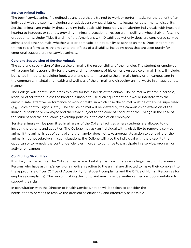#### **Service Animal Policy**

The term "service animal" is defined as any dog that is trained to work or perform tasks for the benefit of an individual with a disability, including a physical, sensory, psychiatric, intellectual, or other mental disability. Service animals are typically those guiding individuals with impaired vision, alerting individuals with impaired hearing to intruders or sounds, providing minimal protection or rescue work, pulling a wheelchair, or fetching dropped items. Under Titles II and III of the Americans with Disabilities Act only dogs are considered service animals and other animals, whether wild or domestic, do not qualify as service animals. Dogs that are not trained to perform tasks that mitigate the effects of a disability, including dogs that are used purely for emotional support, are not service animals.

#### **Care and Supervision of Service Animals**

The care and supervision of the service animal is the responsibility of the handler. The student or employee will assume full responsibility for the care and management of his or her own service animal. This will include, but is not limited to, providing food, water and shelter; managing the animal's behavior on campus and in the community; maintaining health and wellness of the animal; and disposing animal waste in an appropriate manner.

The College will identify safe areas to allow for basic needs of the animal. The animal must have a harness, leash, or other tether unless the handler is unable to use such equipment or it would interfere with the animal's safe, effective performance of work or tasks, in which case the animal must be otherwise supervised (e.g., voice control, signals, etc.). The service animal will be viewed by the campus as an extension of the individual student or employee and therefore subject to the code of conduct of the College in the case of the student and the applicable governing policies in the case of an employee.

Service animals will be permitted in all areas of the College facilities where students are allowed to go, including programs and activities. The College may ask an individual with a disability to remove a service animal if the animal is out of control and the handler does not take appropriate action to control it, or the animal is not housebroken. In such situations, the College will give the individual with the disability the opportunity to remedy the control deficiencies in order to continue to participate in a service, program or activity on campus.

#### **Conflicting Disabilities**

It is likely that persons at the College may have a disability that precipitates an allergic reaction to animals. Persons who have asthma/allergy/or a medical reaction to the animal are directed to make their complaint to the appropriate offices (Office of Accessibility for student complaints and the Office of Human Resources for employee complaints). The person making the complaint must provide verifiable medical documentation to support their claim.

In consultation with the Director of Health Services, action will be taken to consider the needs of both persons to resolve the problem as efficiently and effectively as possible.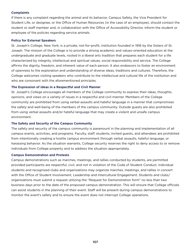#### **Complaints**

If there is any complaint regarding the animal and its behavior, Campus Safety, the Vice President for Student Life, or designee, or the Office of Human Resources (in the case of an employee), should contact the student or staff member and, in collaboration with the Office of Accessibility Director, inform the student or employee of the policies regarding service animals.

#### **Policy for External Speakers**

St. Joseph's College, New York, is a private, not-for-profit, institution founded in 1916 by the Sisters of St. Joseph. The mission of the College is to provide a strong academic and values-oriented education at the undergraduate and graduate levels, rooted in a liberal arts tradition that prepares each student for a life characterized by integrity, intellectual and spiritual values, social responsibility and service. The College affirms the dignity, freedom, and inherent value of each person. It also endeavors to foster an environment of openness to the exploration and understanding of diverse ideas, traditions and cultures. Therefore, the College welcomes visiting speakers who contribute to the intellectual and cultural life of the institution and who are consonant with the aforementioned principles.

#### **The Expression of ideas in a Respectful and Civil Manne**r

St. Joseph's College encourages all members of the College community to express their ideas, thoughts, opinions, and views on a variety of issues in a respectful and civil manner. Members of the College community are prohibited from using verbal assaults and hateful language in a manner that compromises the safety and well-being of the members of the campus community. Outside guests are also prohibited from using verbal assaults and/or hateful language that may create a violent and unsafe campus environment.

#### **The Safety and Security of the Campus Community**

The safety and security of the campus community is paramount in the planning and implementation of all campus events, activities, and programs. Faculty, staff, students, invited guests, and attendees are prohibited from intentionally creating a hostile campus environment through verbal assaults, hateful language, or harassing behavior. As the situation warrants, College security reserves the right to deny access to or remove individuals from College property and to address the situation appropriately.

#### **Campus Demonstration and Protests**

Campus demonstrations such as marches, meetings, and rallies conducted by students, are permitted provided participants are respectful, civil, and not in violation of the Code of Student Conduct. Individual students and recognized clubs and organizations may organize marches, meetings, and rallies in concert with the Office of Student Involvement, Leadership and Intercultural Engagement. Students and clubs/ organizations must submit a request utilizing the "Request for Demonstration form" no less than two business days prior to the date of the proposed campus demonstration. This will ensure that College officials can assist students in the planning of their event. Staff will be present during campus demonstrations to monitor the event's safety and to ensure the event does not interrupt College operations.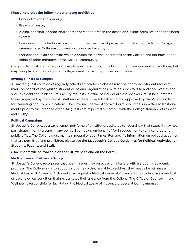#### **Please note that the following actions are prohibited:**

- Conduct which is disorderly;
- Breach of peace;
- Aiding, abetting, or procuring another person to breach the peace on College premises or at sponsored events;
- Intentional or unintentional obstruction of the free flow of pedestrian or vehicular traffic on College premises or at College-sponsored or supervised events;
- Participation in any behavior which disrupts the normal operations of the College and infringes on the rights of other members of the College community.

Campus demonstrations may not take place in classrooms, corridors, or in or near administrative offices, but may take place inside designated college event spaces if approved in advance.

### **Inviting Guests to Campus**

All invited guests outside of regularly scheduled academic classes must be approved. Student requests made on behalf of recognized student clubs and organizations must be submitted to and approved by the Vice President for Student Life. Faculty requests, outside of individual class speakers, must be submitted to and approved by the Provost. Staff requests must be submitted to and approved by the Vice President for Marketing and Communications. The External Speaker Approval Form should be submitted at least one month prior to the intended event. All guests are expected to comply with the College standard of respect and civility.

# **Political Campaigns**

St. Joseph's College, as a tax-exempt, not-for-profit institution, adheres to federal law that states it may not participate in, or intervene in, any political campaign on behalf of (or in opposition to) any candidate for public office. The College must maintain neutrality at all times. For specific information on political activities that are permitted and prohibited, please see the St. Joseph's College Guidelines for Political Activities for Students, Faculty, and Staff.

### (Documents will be available on the SJC website and on the Portal.)

### **Medical Leave of Absence Policy**

St. Joseph's College recognizes that health issues may on occasion interfere with a student's academic progress. The College aims to support students so they are able to address their needs by utilizing a Medical Leave of Absence. A student may request a Medical Leave of Absence if the student has a medical or psychological condition that necessitates their absence from the College. The Office of Counseling and Wellness is responsible for facilitating the Medical Leave of Absence process at both campuses.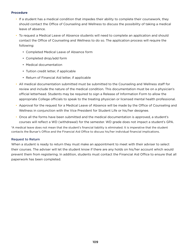#### **Procedure**

- If a student has a medical condition that impedes their ability to complete their coursework, they should contact the Office of Counseling and Wellness to discuss the possibility of taking a medical leave of absence.
- To request a Medical Leave of Absence students will need to complete an application and should contact the Office of Counseling and Wellness to do so. The application process will require the following:
	- Completed Medical Leave of Absence form
	- Completed drop/add form
	- Medical documentation
	- Tuition credit letter, if applicable
	- Return of Financial Aid letter, if applicable
- All medical documentation submitted must be submitted to the Counseling and Wellness staff for review and include the nature of the medical condition. This documentation must be on a physician's official letterhead. Students may be required to sign a Release of Information Form to allow the appropriate College officials to speak to the treating physician or licensed mental health professional.
- Approval for the request for a Medical Leave of Absence will be made by the Office of Counseling and Wellness in conjunction with the Vice President for Student Life or his/her designee.
- Once all the forms have been submitted and the medical documentation is approved, a student's courses will reflect a WD (withdrawal) for the semester. WD grade does not impact a student's GPA.

\*A medical leave does not mean that the student's financial liability is eliminated. It is imperative that the student contacts the Bursar's Office and the Financial Aid Office to discuss his/her individual financial implications.

#### Request to Return

When a student is ready to return they must make an appointment to meet with their adviser to select their courses. The adviser will let the student know if there are any holds on his/her account which would prevent them from registering. In addition, students must contact the Financial Aid Office to ensure that all paperwork has been completed.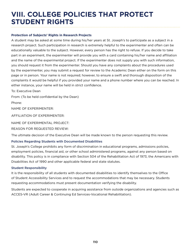## **VIII. COLLEGE POLICIES THAT PROTECT STUDENT RIGHTS**

#### **Protection of Subjects' Rights in Research Projects**

A student may be asked at some time during his/her years at St. Joseph's to participate as a subject in a research project. Such participation in research is extremely helpful to the experimenter and often can be educationally valuable to the subject. However, every person has the right to refuse. If you decide to take part in an experiment, the experimenter will provide you with a card containing his/her name and affiliation and the name of the experimental project. If the experimenter does not supply you with such information, you should request it from the experimenter. Should you have any complaints about the procedures used by the experimenter, you may submit a request for review to the Academic Dean either on the form on this page or in person. Your name is not required; however, to ensure a swift and thorough disposition of the complaints it would be helpful if you provided your name and a phone number where you can be reached. In either instance, your name will be held in strict confidence.

To: Executive Dean

From: (To be held confidential by the Dean)

Phone:

NAME OF EXPERIMENTER:

AFFILIATION OF EXPERIMENTER:

NAME OF EXPERIMENTAL PROJECT:

REASON FOR REQUESTED REVIEW:

The ultimate decision of the Executive Dean will be made known to the person requesting this review.

#### Policies Regarding Students with Documented Disabilities

St. Joseph's College prohibits any form of discrimination in educational programs, admissions policies, employment policies, financial aid, or other school administered programs, against any person based on disability. This policy is in compliance with Section 504 of the Rehabilitation Act of 1973, the Americans with Disabilities Act of 1990 and other applicable federal and state statutes.

#### Student Responsibility

It is the responsibility of all students with documented disabilities to identify themselves to the Office of Student Accessibility Services and to request the accommodations that may be necessary. Students requesting accommodations must present documentation verifying the disability.

Students are expected to cooperate in acquiring assistance from outside organizations and agencies such as ACCES-VR (Adult Career & Continuing Ed Services-Vocational Rehabilitation).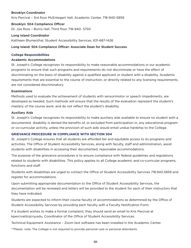#### Brooklyn Coordinator

Kris Percival – 3rd floor McEntegart Hall, Academic Center, 718-940-5859

#### Brooklyn: 504 Compliance Officer

Dr. Joe Ross – Burns Hall, Third floor 718-940- 5750

#### Long Island Coordinator

Kathleen Blumenthal, Student Accessibility Services, 631-687-1426

#### Long Island: 504 Compliance Officer: Associate Dean for Student Success

#### **College Responsibilities**

#### Academic Accommodations

St. Joseph's College recognizes its responsibility to make reasonable accommodations in our academic programs to ensure that such programs and requirements do not discriminate or have the effect of discriminating on the basis of disability against a qualified applicant or student with a disability. Academic requirements that are essential to the course of instruction, or directly related to any licensing requirements, are not considered discriminatory.

#### **Examinations**

Methods used to evaluate the achievement of students with sensorimotor or speech impediments, are developed as needed. Such methods will ensure that the results of the evaluation represent the student's mastery of the course work, and do not reflect the student's disability.

#### Auxiliary Aids

St. Joseph's College recognizes its responsibility to make auxiliary aids available to ensure no student with a documented disability is denied the benefits of, or excluded from participation in, any educational program or co-curricular activity, unless the provision of such aids would entail undue hardship to the College.

#### **GRIEVANCE PROCEDURE IN COMPLIANCE WITH SECTION 504**

St. Joseph's College ensures that all students are afforded fair and equitable access to its programs and activities. The Office of Student Accessibility Services, along with faculty, staff and administration, assist students with disabilities in accessing their documented, reasonable accommodations.

The purpose of the grievance procedures is to ensure compliance with federal guidelines and regulations related to students with disabilities. This policy applies to all College academic and co-curricular programs, functions and staff.

Students with disabilities are urged to contact the Office of Student Accessibility Services 718.940.5859 and register for accommodations.

Upon submitting appropriate documentation to the Office of Student Accessibility Services, the documentation will be reviewed and letters will be provided to the student for each of their instructors that they have indicated.

Students are expected to inform their course faculty of accommodations as determined by the Office of Student Accessibility Services by providing each faculty with a Faculty Notification Form.

If a student wishes to make a formal complaint, they should send an email to Kris Percival at kpercival@sjcny.edu, Coordinator of the Office of Student Accessibility Services.

Technical Equipment Assistance – Zoom text software has been installed in the Academic Center.

\*\*Please note: The College is not required to provide personal care or personal attendants.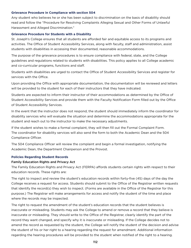#### **Grievance Procedure in Compliance with section 504**

Any student who believes he or she has been subject to discrimination on the basis of disability should read and follow the "Procedure for Resolving Complaints Alleging Sexual and Other Forms of Unlawful Harassment and Alleged Discrimination."

#### **Grievance Procedure for Students with a Disability**

St. Joseph's College ensures that all students are afforded fair and equitable access to its programs and activities. The Office of Student Accessibility Services, along with faculty, staff and administration, assist students with disabilities in accessing their documented, reasonable accommodations.

The purpose of the grievance procedures is to ensure compliance with federal, state, and the College guidelines and regulations related to students with disabilities. This policy applies to all College academic and co-curricular programs, functions and staff.

Students with disabilities are urged to contact the Office of Student Accessibility Services and register for services with the Office.

Upon providing the Office with appropriate documentation, the documentation will be reviewed and letters will be provided to the student for each of their instructors that they have indicated.

Students are expected to inform their instructor of their accommodations as determined by the Office of Student Accessibility Services and provide them with the Faculty Notification Form filled out by the Office of Student Accessibility Services.

In the event that the instructor does not respond, the student should immediately inform the coordinator for disability services who will evaluate the situation and determine the accommodations appropriate for the student and reach out to the instructor to make the necessary adjustments.

If the student wishes to make a formal complaint, they will then fill out the Formal Complaint Form. The coordinator for disability services will also send the form to both the Academic Dean and the 504 Compliance Officer.

The 504 Compliance Officer will review the complaint and begin a formal investigation, notifying the Academic Dean, the Department Chairperson and the Provost.

#### **Policies Regarding Student Records**

#### Family Education Rights and Privacy Act

The Family Education Rights and Privacy Act (FERPA) affords students certain rights with respect to their education records. These rights are:

The right to inspect and review the student's education records within forty-five (45) days of the day the College receives a request for access. Students should submit to the Office of the Registrar written requests that identify the record(s) they wish to inspect. (Forms are available in the Office of the Registrar for this purpose.) The Registrar will make arrangements for access and notify the student of the time and place where the records may be inspected.

The right to request the amendment of the student's education records that the student believes is inaccurate or misleading. Students may ask the College to amend or remove a record that they believe is inaccurate or misleading. They should write to the Office of the Registrar, clearly identify the part of the record they want changed, and specify why it is inaccurate or misleading. If the College decides not to amend the record as requested by the student, the College will notify the student of the decision and advise the student of his or her right to a hearing regarding the request for amendment. Additional information regarding the hearing procedures will be provided to the student when notified of the right to a hearing.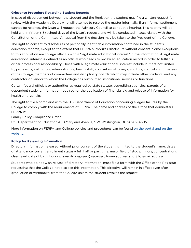#### **Grievance Procedure Regarding Student Records**

In case of disagreement between the student and the Registrar, the student may file a written request for review with the Academic Dean, who will attempt to resolve the matter informally. If an informal settlement cannot be reached, the Dean will request the Advisory Council to conduct a hearing. This hearing will be held within fifteen (15) school days of the Dean's request, and will be conducted in accordance with the Constitution of the Committee. An appeal from the decision may be taken to the President of the College.

The right to consent to disclosures of personally identifiable information contained in the student's education records, except to the extent that FERPA authorizes disclosure without consent. Some exceptions to this stipulation are college officials with a "legitimate educational interest" in the information. A legitimate educational interest is defined as an official who needs to review an education record in order to fulfil his or her professional responsibility. Those with a legitimate educational interest include, but are not limited to, professors, instructors, administrators, health staff, counselors, attorneys, auditors, clerical staff, trustees of the College, members of committees and disciplinary boards which may include other students; and any contractor or vendor to whom the College has outsourced institutional services or functions.

Certain federal officials or authorities as required by state statute, accrediting agencies, parents of a dependent student, information required for the application of financial aid and release of information for health emergencies.

The right to file a complaint with the U.S. Department of Education concerning alleged failures by the College to comply with the requirements of FERPA. The name and address of the Office that administers FERPA is:

Family Policy Compliance Office

U.S. Department of Education 400 Maryland Avenue, S.W. Washington, DC 20202-4605

More information on FERPA and College policies and procedures can be found on the portal and on the [website](https://www.sjcny.edu/about/srtk).

#### **Policy for Releasing Information**

Directory information released without prior consent of the student is limited to the student's name, dates of attendance, current enrollment status – full, half or part time, major field of study, minors, concentrations, class level, date of birth, honors/ awards, degree(s) received, home address and SJC email address.

Students who do not wish release of directory information, must file a form with the Office of the Registrar requesting that the College not disclose this information. This directive will remain in effect even after graduation or withdrawal from the College unless the student revokes the request.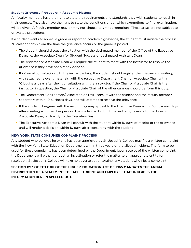#### **Student Grievance Procedure in Academic Matters**

All faculty members have the right to state the requirements and standards they wish students to reach in their courses. They also have the right to state the conditions under which exemptions to final examinations will be given. A faculty member may or may not choose to grant exemptions. These areas are not subject to grievance procedures.

If a student wants to appeal a grade or report an academic grievance, the student must initiate the process 30 calendar days from the time the grievance occurs or the grade is posted.

- The student should discuss the situation with the designated member of the Office of the Executive Dean, i.e. the Associate Dean for Student Success or designated Assistant Dean.
- The Assistant or Associate Dean will require the student to meet with the instructor to resolve the grievance if they have not already done so.
- If informal consultation with the instructor fails, the student should register the grievance in writing, with attached relevant materials, with the respective Department Chair or Associate Chair within 10 business days after their consultation with the instructor. If the Chair or Associate Chair is the instructor in question, the Chair or Associate Chair of the other campus should perform this duty.
- The Department Chairperson/Associate Chair will consult with the student and the faculty member separately within 10 business days, and will attempt to resolve the grievance.
- If the student disagrees with the result, they may appeal to the Executive Dean within 10 business days after meeting with the chairperson. The student will submit the written grievance to the Assistant or Associate Dean, or directly to the Executive Dean.
- The Executive Academic Dean will consult with the student within 10 days of receipt of the grievance and will render a decision within 10 days after consulting with the student.

#### **NEW YORK STATE CONSUMER COMPLAINT PROCESS**

Any student who believes he or she has been aggrieved by St. Joseph's College may file a written complaint with the New York State Education Department within three years of the alleged incident. The form to be used for these complaints has been determined by the Department. Upon receipt of the written complaint, the Department will either conduct an investigation or refer the matter to an appropriate entity for resolution. St. Joseph's College will take no adverse action against any student who files a complaint.

#### **SECTION 1213 OF TITLE XII OF THE HIGHER EDUCATION ACT OF 1965 MANDATES THE ANNUAL DISTRIBUTION OF A STATEMENT TO EACH STUDENT AND EMPLOYEE THAT INCLUDES THE INFORMATION HEREIN SPELLED OUT.**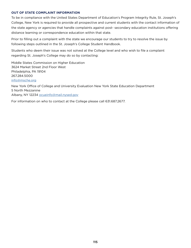#### **OUT OF STATE COMPLAINT INFORMATION**

To be in compliance with the United States Department of Education's Program Integrity Rule, St. Joseph's College, New York is required to provide all prospective and current students with the contact information of the state agency or agencies that handle complaints against post- secondary education institutions offering distance learning or correspondence education within that state.

Prior to filling out a complaint with the state we encourage our students to try to resolve the issue by following steps outlined in the St. Joseph's College Student Handbook.

Students who deem their issue was not solved at the College level and who wish to file a complaint regarding St. Joseph's College may do so by contacting:

Middle States Commission on Higher Education 3624 Market Street 2nd Floor West Philadelphia, PA 19104 267.284.5000 [info@msche.org](mailto:info%40msche.org?subject=)

New York Office of College and University Evaluation New York State Education Department 5 North Mezzanine Albany, NY 12234 [ocueinfo@mail.nysed.gov](mailto:ocueinfo%40mail.nysed.gov?subject=)

For information on who to contact at the College please call 631.687.2677.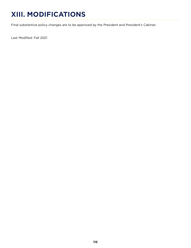# **XIII. MODIFICATIONS**

Final substantive policy changes are to be approved by the President and President's Cabinet.

Last Modified: Fall 2021